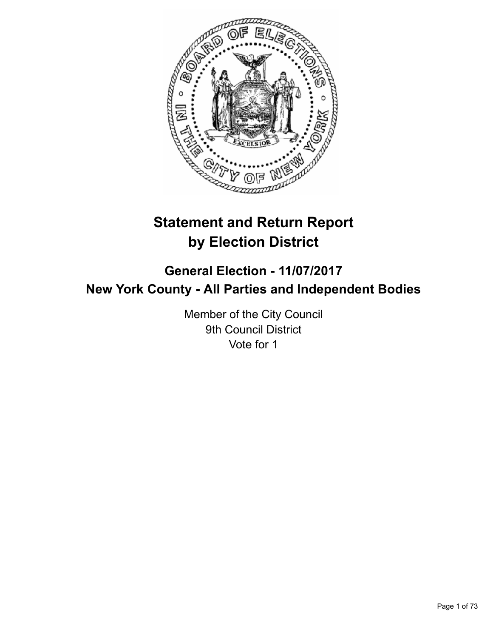

# **Statement and Return Report by Election District**

## **General Election - 11/07/2017 New York County - All Parties and Independent Bodies**

Member of the City Council 9th Council District Vote for 1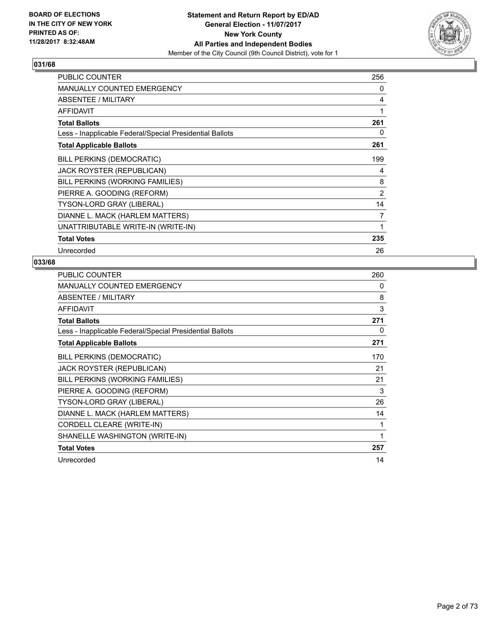

| <b>PUBLIC COUNTER</b>                                    | 256            |
|----------------------------------------------------------|----------------|
| <b>MANUALLY COUNTED EMERGENCY</b>                        | 0              |
| ABSENTEE / MILITARY                                      | 4              |
| <b>AFFIDAVIT</b>                                         | 1              |
| <b>Total Ballots</b>                                     | 261            |
| Less - Inapplicable Federal/Special Presidential Ballots | 0              |
| <b>Total Applicable Ballots</b>                          | 261            |
| <b>BILL PERKINS (DEMOCRATIC)</b>                         | 199            |
| <b>JACK ROYSTER (REPUBLICAN)</b>                         | 4              |
| BILL PERKINS (WORKING FAMILIES)                          | 8              |
| PIERRE A. GOODING (REFORM)                               | $\overline{2}$ |
| TYSON-LORD GRAY (LIBERAL)                                | 14             |
| DIANNE L. MACK (HARLEM MATTERS)                          | 7              |
| UNATTRIBUTABLE WRITE-IN (WRITE-IN)                       | 1              |
| <b>Total Votes</b>                                       | 235            |
| Unrecorded                                               | 26             |

| <b>PUBLIC COUNTER</b>                                    | 260 |
|----------------------------------------------------------|-----|
| <b>MANUALLY COUNTED EMERGENCY</b>                        | 0   |
| ABSENTEE / MILITARY                                      | 8   |
| <b>AFFIDAVIT</b>                                         | 3   |
| <b>Total Ballots</b>                                     | 271 |
| Less - Inapplicable Federal/Special Presidential Ballots | 0   |
| <b>Total Applicable Ballots</b>                          | 271 |
| BILL PERKINS (DEMOCRATIC)                                | 170 |
| <b>JACK ROYSTER (REPUBLICAN)</b>                         | 21  |
| BILL PERKINS (WORKING FAMILIES)                          | 21  |
| PIERRE A. GOODING (REFORM)                               | 3   |
| TYSON-LORD GRAY (LIBERAL)                                | 26  |
| DIANNE L. MACK (HARLEM MATTERS)                          | 14  |
| CORDELL CLEARE (WRITE-IN)                                | 1   |
| SHANELLE WASHINGTON (WRITE-IN)                           | 1   |
| <b>Total Votes</b>                                       | 257 |
| Unrecorded                                               | 14  |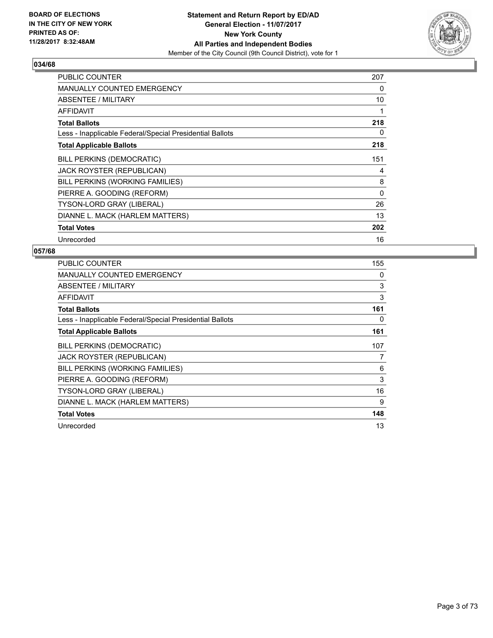

| <b>PUBLIC COUNTER</b>                                    | 207      |
|----------------------------------------------------------|----------|
| <b>MANUALLY COUNTED EMERGENCY</b>                        | 0        |
| ABSENTEE / MILITARY                                      | 10       |
| <b>AFFIDAVIT</b>                                         | 1        |
| <b>Total Ballots</b>                                     | 218      |
| Less - Inapplicable Federal/Special Presidential Ballots | 0        |
| <b>Total Applicable Ballots</b>                          | 218      |
| <b>BILL PERKINS (DEMOCRATIC)</b>                         | 151      |
| JACK ROYSTER (REPUBLICAN)                                | 4        |
| BILL PERKINS (WORKING FAMILIES)                          | 8        |
| PIERRE A. GOODING (REFORM)                               | $\Omega$ |
| <b>TYSON-LORD GRAY (LIBERAL)</b>                         | 26       |
| DIANNE L. MACK (HARLEM MATTERS)                          | 13       |
| <b>Total Votes</b>                                       | 202      |
| Unrecorded                                               | 16       |

| PUBLIC COUNTER                                           | 155 |
|----------------------------------------------------------|-----|
| MANUALLY COUNTED EMERGENCY                               | 0   |
| <b>ABSENTEE / MILITARY</b>                               | 3   |
| AFFIDAVIT                                                | 3   |
| <b>Total Ballots</b>                                     | 161 |
| Less - Inapplicable Federal/Special Presidential Ballots | 0   |
| <b>Total Applicable Ballots</b>                          | 161 |
| <b>BILL PERKINS (DEMOCRATIC)</b>                         | 107 |
| <b>JACK ROYSTER (REPUBLICAN)</b>                         | 7   |
| BILL PERKINS (WORKING FAMILIES)                          | 6   |
| PIERRE A. GOODING (REFORM)                               | 3   |
| <b>TYSON-LORD GRAY (LIBERAL)</b>                         | 16  |
| DIANNE L. MACK (HARLEM MATTERS)                          | 9   |
| <b>Total Votes</b>                                       | 148 |
| Unrecorded                                               | 13  |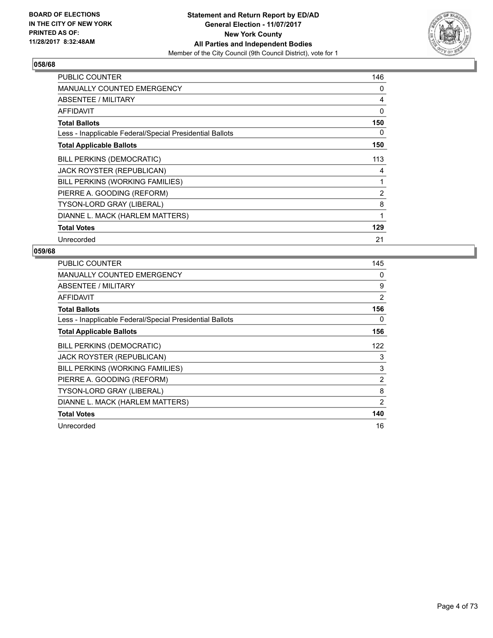

| PUBLIC COUNTER                                           | 146            |
|----------------------------------------------------------|----------------|
| MANUALLY COUNTED EMERGENCY                               | 0              |
| ABSENTEE / MILITARY                                      | 4              |
| <b>AFFIDAVIT</b>                                         | 0              |
| <b>Total Ballots</b>                                     | 150            |
| Less - Inapplicable Federal/Special Presidential Ballots | 0              |
| <b>Total Applicable Ballots</b>                          | 150            |
| <b>BILL PERKINS (DEMOCRATIC)</b>                         | 113            |
| <b>JACK ROYSTER (REPUBLICAN)</b>                         | 4              |
| BILL PERKINS (WORKING FAMILIES)                          | 1              |
| PIERRE A. GOODING (REFORM)                               | $\overline{2}$ |
| TYSON-LORD GRAY (LIBERAL)                                | 8              |
| DIANNE L. MACK (HARLEM MATTERS)                          | 1              |
| <b>Total Votes</b>                                       | 129            |
| Unrecorded                                               | 21             |

| <b>PUBLIC COUNTER</b>                                    | 145            |
|----------------------------------------------------------|----------------|
| <b>MANUALLY COUNTED EMERGENCY</b>                        | 0              |
| ABSENTEE / MILITARY                                      | 9              |
| AFFIDAVIT                                                | 2              |
| <b>Total Ballots</b>                                     | 156            |
| Less - Inapplicable Federal/Special Presidential Ballots | 0              |
| <b>Total Applicable Ballots</b>                          | 156            |
| <b>BILL PERKINS (DEMOCRATIC)</b>                         | 122            |
| JACK ROYSTER (REPUBLICAN)                                | 3              |
| BILL PERKINS (WORKING FAMILIES)                          | 3              |
| PIERRE A. GOODING (REFORM)                               | $\overline{2}$ |
| <b>TYSON-LORD GRAY (LIBERAL)</b>                         | 8              |
| DIANNE L. MACK (HARLEM MATTERS)                          | 2              |
| <b>Total Votes</b>                                       | 140            |
| Unrecorded                                               | 16             |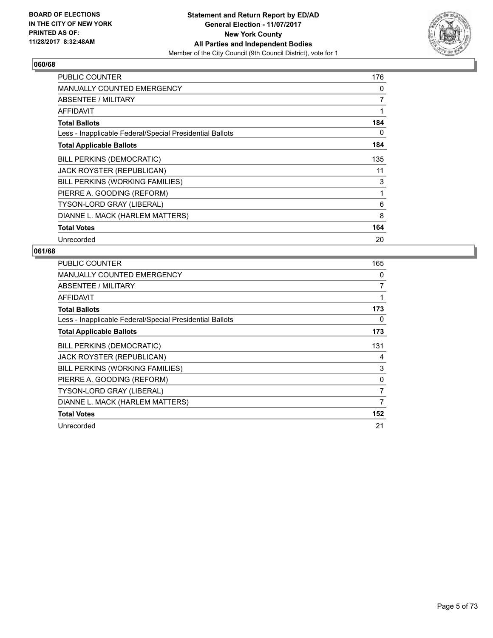

| <b>PUBLIC COUNTER</b>                                    | 176 |
|----------------------------------------------------------|-----|
| <b>MANUALLY COUNTED EMERGENCY</b>                        | 0   |
| <b>ABSENTEE / MILITARY</b>                               | 7   |
| AFFIDAVIT                                                |     |
| <b>Total Ballots</b>                                     | 184 |
| Less - Inapplicable Federal/Special Presidential Ballots | 0   |
| <b>Total Applicable Ballots</b>                          | 184 |
| <b>BILL PERKINS (DEMOCRATIC)</b>                         | 135 |
| JACK ROYSTER (REPUBLICAN)                                | 11  |
| BILL PERKINS (WORKING FAMILIES)                          | 3   |
| PIERRE A. GOODING (REFORM)                               | 1   |
| <b>TYSON-LORD GRAY (LIBERAL)</b>                         | 6   |
| DIANNE L. MACK (HARLEM MATTERS)                          | 8   |
| <b>Total Votes</b>                                       | 164 |
| Unrecorded                                               | 20  |

| <b>PUBLIC COUNTER</b>                                    | 165 |
|----------------------------------------------------------|-----|
| MANUALLY COUNTED EMERGENCY                               | 0   |
| ABSENTEE / MILITARY                                      | 7   |
| AFFIDAVIT                                                | 1   |
| <b>Total Ballots</b>                                     | 173 |
| Less - Inapplicable Federal/Special Presidential Ballots | 0   |
| <b>Total Applicable Ballots</b>                          | 173 |
| <b>BILL PERKINS (DEMOCRATIC)</b>                         | 131 |
| JACK ROYSTER (REPUBLICAN)                                | 4   |
| BILL PERKINS (WORKING FAMILIES)                          | 3   |
| PIERRE A. GOODING (REFORM)                               | 0   |
| <b>TYSON-LORD GRAY (LIBERAL)</b>                         | 7   |
| DIANNE L. MACK (HARLEM MATTERS)                          | 7   |
| <b>Total Votes</b>                                       | 152 |
| Unrecorded                                               | 21  |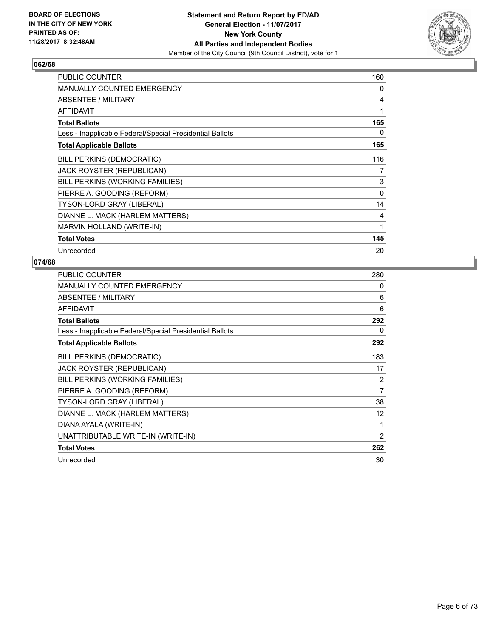

| <b>PUBLIC COUNTER</b>                                    | 160 |
|----------------------------------------------------------|-----|
| <b>MANUALLY COUNTED EMERGENCY</b>                        | 0   |
| ABSENTEE / MILITARY                                      | 4   |
| <b>AFFIDAVIT</b>                                         | 1   |
| <b>Total Ballots</b>                                     | 165 |
| Less - Inapplicable Federal/Special Presidential Ballots | 0   |
| <b>Total Applicable Ballots</b>                          | 165 |
| <b>BILL PERKINS (DEMOCRATIC)</b>                         | 116 |
| <b>JACK ROYSTER (REPUBLICAN)</b>                         | 7   |
| BILL PERKINS (WORKING FAMILIES)                          | 3   |
| PIERRE A. GOODING (REFORM)                               | 0   |
| <b>TYSON-LORD GRAY (LIBERAL)</b>                         | 14  |
| DIANNE L. MACK (HARLEM MATTERS)                          | 4   |
| MARVIN HOLLAND (WRITE-IN)                                | 1   |
| <b>Total Votes</b>                                       | 145 |
| Unrecorded                                               | 20  |

| PUBLIC COUNTER                                           | 280            |
|----------------------------------------------------------|----------------|
| <b>MANUALLY COUNTED EMERGENCY</b>                        | 0              |
| ABSENTEE / MILITARY                                      | 6              |
| <b>AFFIDAVIT</b>                                         | 6              |
| <b>Total Ballots</b>                                     | 292            |
| Less - Inapplicable Federal/Special Presidential Ballots | 0              |
| <b>Total Applicable Ballots</b>                          | 292            |
| <b>BILL PERKINS (DEMOCRATIC)</b>                         | 183            |
| <b>JACK ROYSTER (REPUBLICAN)</b>                         | 17             |
| BILL PERKINS (WORKING FAMILIES)                          | 2              |
| PIERRE A. GOODING (REFORM)                               | 7              |
| TYSON-LORD GRAY (LIBERAL)                                | 38             |
| DIANNE L. MACK (HARLEM MATTERS)                          | 12             |
| DIANA AYALA (WRITE-IN)                                   | 1              |
| UNATTRIBUTABLE WRITE-IN (WRITE-IN)                       | $\overline{c}$ |
| <b>Total Votes</b>                                       | 262            |
| Unrecorded                                               | 30             |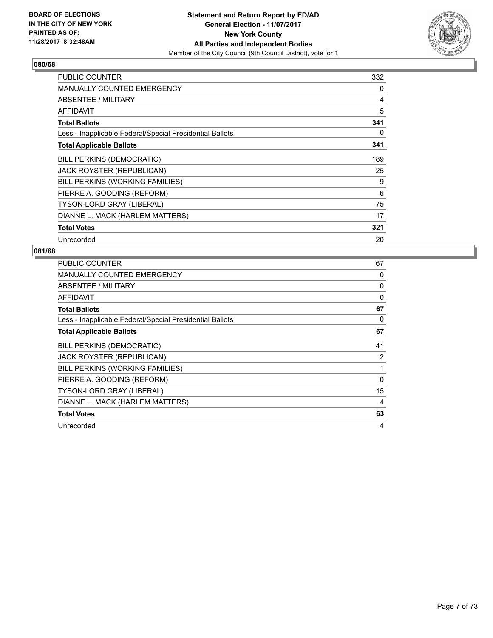

| <b>PUBLIC COUNTER</b>                                    | 332 |
|----------------------------------------------------------|-----|
| <b>MANUALLY COUNTED EMERGENCY</b>                        | 0   |
| ABSENTEE / MILITARY                                      | 4   |
| <b>AFFIDAVIT</b>                                         | 5   |
| <b>Total Ballots</b>                                     | 341 |
| Less - Inapplicable Federal/Special Presidential Ballots | 0   |
| <b>Total Applicable Ballots</b>                          | 341 |
| <b>BILL PERKINS (DEMOCRATIC)</b>                         | 189 |
| JACK ROYSTER (REPUBLICAN)                                | 25  |
| BILL PERKINS (WORKING FAMILIES)                          | 9   |
| PIERRE A. GOODING (REFORM)                               | 6   |
| <b>TYSON-LORD GRAY (LIBERAL)</b>                         | 75  |
| DIANNE L. MACK (HARLEM MATTERS)                          | 17  |
| <b>Total Votes</b>                                       | 321 |
| Unrecorded                                               | 20  |

| <b>PUBLIC COUNTER</b>                                    | 67          |
|----------------------------------------------------------|-------------|
| <b>MANUALLY COUNTED EMERGENCY</b>                        | 0           |
| ABSENTEE / MILITARY                                      | 0           |
| <b>AFFIDAVIT</b>                                         | $\mathbf 0$ |
| <b>Total Ballots</b>                                     | 67          |
| Less - Inapplicable Federal/Special Presidential Ballots | 0           |
| <b>Total Applicable Ballots</b>                          | 67          |
| <b>BILL PERKINS (DEMOCRATIC)</b>                         | 41          |
| JACK ROYSTER (REPUBLICAN)                                | 2           |
| BILL PERKINS (WORKING FAMILIES)                          | 1           |
| PIERRE A. GOODING (REFORM)                               | $\Omega$    |
| <b>TYSON-LORD GRAY (LIBERAL)</b>                         | 15          |
| DIANNE L. MACK (HARLEM MATTERS)                          | 4           |
| <b>Total Votes</b>                                       | 63          |
| Unrecorded                                               | 4           |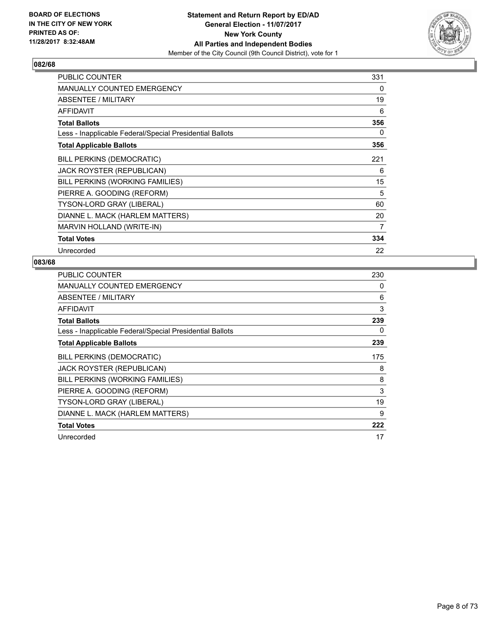

| <b>PUBLIC COUNTER</b>                                    | 331 |
|----------------------------------------------------------|-----|
| <b>MANUALLY COUNTED EMERGENCY</b>                        | 0   |
| ABSENTEE / MILITARY                                      | 19  |
| <b>AFFIDAVIT</b>                                         | 6   |
| <b>Total Ballots</b>                                     | 356 |
| Less - Inapplicable Federal/Special Presidential Ballots | 0   |
| <b>Total Applicable Ballots</b>                          | 356 |
| BILL PERKINS (DEMOCRATIC)                                | 221 |
| JACK ROYSTER (REPUBLICAN)                                | 6   |
| BILL PERKINS (WORKING FAMILIES)                          | 15  |
| PIERRE A. GOODING (REFORM)                               | 5   |
| TYSON-LORD GRAY (LIBERAL)                                | 60  |
| DIANNE L. MACK (HARLEM MATTERS)                          | 20  |
| MARVIN HOLLAND (WRITE-IN)                                | 7   |
| <b>Total Votes</b>                                       | 334 |
| Unrecorded                                               | 22  |

| <b>PUBLIC COUNTER</b>                                    | 230 |
|----------------------------------------------------------|-----|
| MANUALLY COUNTED EMERGENCY                               | 0   |
| ABSENTEE / MILITARY                                      | 6   |
| <b>AFFIDAVIT</b>                                         | 3   |
| <b>Total Ballots</b>                                     | 239 |
| Less - Inapplicable Federal/Special Presidential Ballots | 0   |
| <b>Total Applicable Ballots</b>                          | 239 |
| BILL PERKINS (DEMOCRATIC)                                | 175 |
| <b>JACK ROYSTER (REPUBLICAN)</b>                         | 8   |
| BILL PERKINS (WORKING FAMILIES)                          | 8   |
| PIERRE A. GOODING (REFORM)                               | 3   |
| TYSON-LORD GRAY (LIBERAL)                                | 19  |
| DIANNE L. MACK (HARLEM MATTERS)                          | 9   |
| <b>Total Votes</b>                                       | 222 |
| Unrecorded                                               | 17  |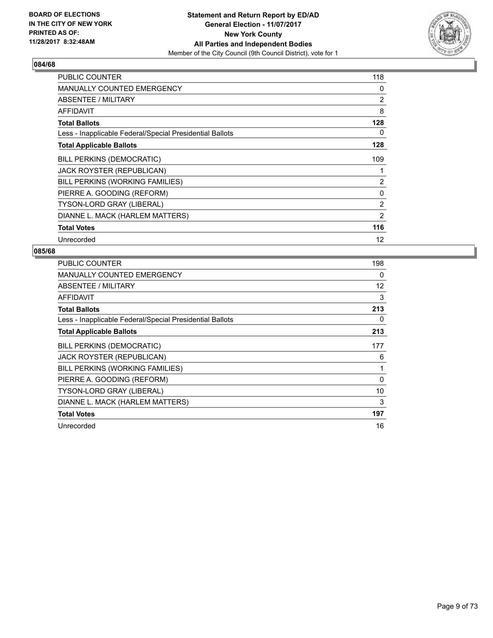

| <b>PUBLIC COUNTER</b>                                    | 118            |
|----------------------------------------------------------|----------------|
| <b>MANUALLY COUNTED EMERGENCY</b>                        | 0              |
| ABSENTEE / MILITARY                                      | $\overline{2}$ |
| AFFIDAVIT                                                | 8              |
| <b>Total Ballots</b>                                     | 128            |
| Less - Inapplicable Federal/Special Presidential Ballots | 0              |
| <b>Total Applicable Ballots</b>                          | 128            |
| <b>BILL PERKINS (DEMOCRATIC)</b>                         | 109            |
| JACK ROYSTER (REPUBLICAN)                                |                |
| BILL PERKINS (WORKING FAMILIES)                          | $\overline{2}$ |
| PIERRE A. GOODING (REFORM)                               | 0              |
| <b>TYSON-LORD GRAY (LIBERAL)</b>                         | $\overline{2}$ |
| DIANNE L. MACK (HARLEM MATTERS)                          | 2              |
| <b>Total Votes</b>                                       | 116            |
| Unrecorded                                               | 12             |

| <b>PUBLIC COUNTER</b>                                    | 198      |
|----------------------------------------------------------|----------|
| <b>MANUALLY COUNTED EMERGENCY</b>                        | 0        |
| ABSENTEE / MILITARY                                      | 12       |
| AFFIDAVIT                                                | 3        |
| <b>Total Ballots</b>                                     | 213      |
| Less - Inapplicable Federal/Special Presidential Ballots | 0        |
| <b>Total Applicable Ballots</b>                          | 213      |
| <b>BILL PERKINS (DEMOCRATIC)</b>                         | 177      |
| JACK ROYSTER (REPUBLICAN)                                | 6        |
| BILL PERKINS (WORKING FAMILIES)                          | 1        |
| PIERRE A. GOODING (REFORM)                               | $\Omega$ |
| <b>TYSON-LORD GRAY (LIBERAL)</b>                         | 10       |
| DIANNE L. MACK (HARLEM MATTERS)                          | 3        |
| <b>Total Votes</b>                                       | 197      |
| Unrecorded                                               | 16       |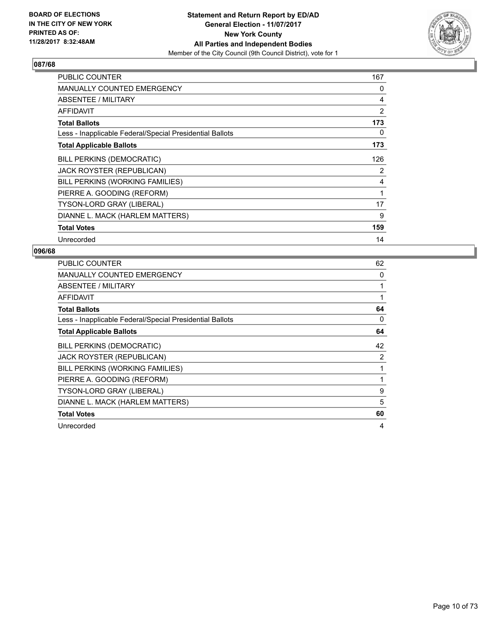

| <b>PUBLIC COUNTER</b>                                    | 167 |
|----------------------------------------------------------|-----|
| <b>MANUALLY COUNTED EMERGENCY</b>                        | 0   |
| ABSENTEE / MILITARY                                      | 4   |
| <b>AFFIDAVIT</b>                                         | 2   |
| <b>Total Ballots</b>                                     | 173 |
| Less - Inapplicable Federal/Special Presidential Ballots | 0   |
| <b>Total Applicable Ballots</b>                          | 173 |
| <b>BILL PERKINS (DEMOCRATIC)</b>                         | 126 |
| JACK ROYSTER (REPUBLICAN)                                | 2   |
| BILL PERKINS (WORKING FAMILIES)                          | 4   |
| PIERRE A. GOODING (REFORM)                               | 1   |
| TYSON-LORD GRAY (LIBERAL)                                | 17  |
| DIANNE L. MACK (HARLEM MATTERS)                          | 9   |
| <b>Total Votes</b>                                       | 159 |
| Unrecorded                                               | 14  |

| <b>PUBLIC COUNTER</b>                                    | 62 |
|----------------------------------------------------------|----|
| <b>MANUALLY COUNTED EMERGENCY</b>                        | 0  |
| ABSENTEE / MILITARY                                      |    |
| AFFIDAVIT                                                |    |
| <b>Total Ballots</b>                                     | 64 |
| Less - Inapplicable Federal/Special Presidential Ballots | 0  |
| <b>Total Applicable Ballots</b>                          | 64 |
| <b>BILL PERKINS (DEMOCRATIC)</b>                         | 42 |
| JACK ROYSTER (REPUBLICAN)                                | 2  |
| BILL PERKINS (WORKING FAMILIES)                          |    |
| PIERRE A. GOODING (REFORM)                               | 1  |
| <b>TYSON-LORD GRAY (LIBERAL)</b>                         | 9  |
| DIANNE L. MACK (HARLEM MATTERS)                          | 5  |
| <b>Total Votes</b>                                       | 60 |
| Unrecorded                                               | 4  |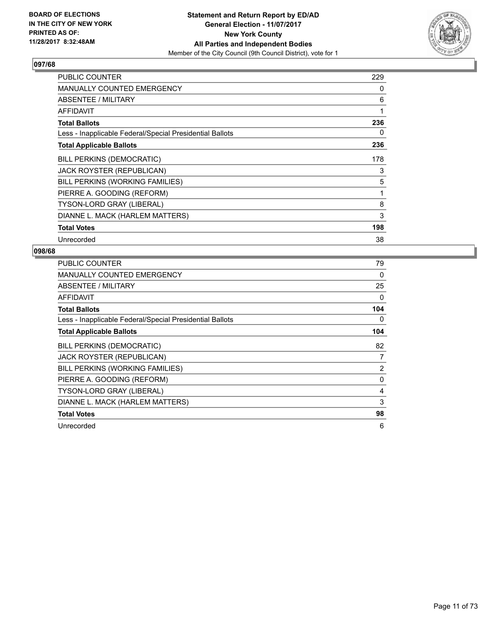

| <b>PUBLIC COUNTER</b>                                    | 229 |
|----------------------------------------------------------|-----|
| <b>MANUALLY COUNTED EMERGENCY</b>                        | 0   |
| ABSENTEE / MILITARY                                      | 6   |
| AFFIDAVIT                                                | 1   |
| <b>Total Ballots</b>                                     | 236 |
| Less - Inapplicable Federal/Special Presidential Ballots | 0   |
| <b>Total Applicable Ballots</b>                          | 236 |
| <b>BILL PERKINS (DEMOCRATIC)</b>                         | 178 |
| JACK ROYSTER (REPUBLICAN)                                | 3   |
| BILL PERKINS (WORKING FAMILIES)                          | 5   |
| PIERRE A. GOODING (REFORM)                               | 1   |
| TYSON-LORD GRAY (LIBERAL)                                | 8   |
| DIANNE L. MACK (HARLEM MATTERS)                          | 3   |
| <b>Total Votes</b>                                       | 198 |
| Unrecorded                                               | 38  |

| <b>PUBLIC COUNTER</b>                                    | 79             |
|----------------------------------------------------------|----------------|
| <b>MANUALLY COUNTED EMERGENCY</b>                        | 0              |
| ABSENTEE / MILITARY                                      | 25             |
| AFFIDAVIT                                                | 0              |
| <b>Total Ballots</b>                                     | 104            |
| Less - Inapplicable Federal/Special Presidential Ballots | 0              |
| <b>Total Applicable Ballots</b>                          | 104            |
| <b>BILL PERKINS (DEMOCRATIC)</b>                         | 82             |
| JACK ROYSTER (REPUBLICAN)                                | 7              |
| BILL PERKINS (WORKING FAMILIES)                          | $\overline{2}$ |
| PIERRE A. GOODING (REFORM)                               | 0              |
| <b>TYSON-LORD GRAY (LIBERAL)</b>                         | 4              |
| DIANNE L. MACK (HARLEM MATTERS)                          | 3              |
| <b>Total Votes</b>                                       | 98             |
| Unrecorded                                               | 6              |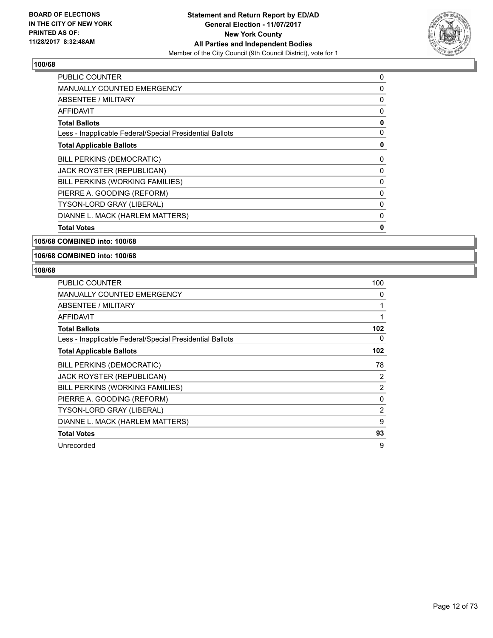

| <b>PUBLIC COUNTER</b>                                    | 0 |
|----------------------------------------------------------|---|
| <b>MANUALLY COUNTED EMERGENCY</b>                        | 0 |
| ABSENTEE / MILITARY                                      | 0 |
| AFFIDAVIT                                                | 0 |
| <b>Total Ballots</b>                                     | 0 |
| Less - Inapplicable Federal/Special Presidential Ballots | 0 |
| <b>Total Applicable Ballots</b>                          | 0 |
| <b>BILL PERKINS (DEMOCRATIC)</b>                         | 0 |
| JACK ROYSTER (REPUBLICAN)                                | 0 |
| BILL PERKINS (WORKING FAMILIES)                          | 0 |
| PIERRE A. GOODING (REFORM)                               | 0 |
| TYSON-LORD GRAY (LIBERAL)                                | 0 |
| DIANNE L. MACK (HARLEM MATTERS)                          | 0 |
| <b>Total Votes</b>                                       | 0 |

#### **105/68 COMBINED into: 100/68**

#### **106/68 COMBINED into: 100/68**

| <b>PUBLIC COUNTER</b>                                    | 100            |
|----------------------------------------------------------|----------------|
| <b>MANUALLY COUNTED EMERGENCY</b>                        | 0              |
| ABSENTEE / MILITARY                                      |                |
| AFFIDAVIT                                                |                |
| <b>Total Ballots</b>                                     | 102            |
| Less - Inapplicable Federal/Special Presidential Ballots | 0              |
| <b>Total Applicable Ballots</b>                          | 102            |
| <b>BILL PERKINS (DEMOCRATIC)</b>                         | 78             |
| JACK ROYSTER (REPUBLICAN)                                | 2              |
| BILL PERKINS (WORKING FAMILIES)                          | $\overline{2}$ |
| PIERRE A. GOODING (REFORM)                               | $\Omega$       |
| <b>TYSON-LORD GRAY (LIBERAL)</b>                         | $\overline{2}$ |
| DIANNE L. MACK (HARLEM MATTERS)                          | 9              |
| <b>Total Votes</b>                                       | 93             |
| Unrecorded                                               | 9              |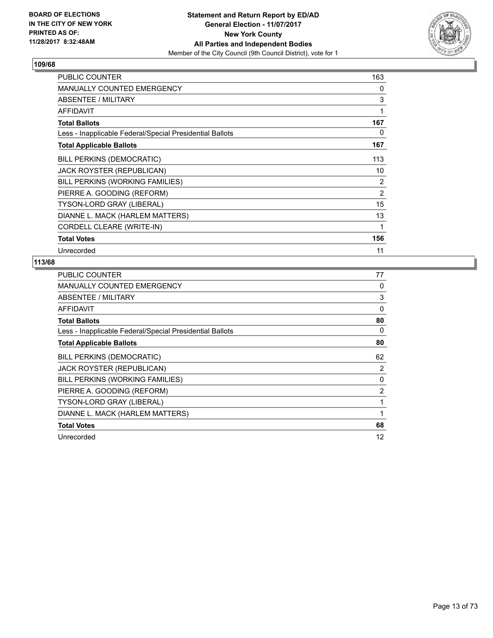

| <b>PUBLIC COUNTER</b>                                    | 163            |
|----------------------------------------------------------|----------------|
| <b>MANUALLY COUNTED EMERGENCY</b>                        | 0              |
| ABSENTEE / MILITARY                                      | 3              |
| <b>AFFIDAVIT</b>                                         | 1              |
| <b>Total Ballots</b>                                     | 167            |
| Less - Inapplicable Federal/Special Presidential Ballots | 0              |
| <b>Total Applicable Ballots</b>                          | 167            |
| <b>BILL PERKINS (DEMOCRATIC)</b>                         | 113            |
| <b>JACK ROYSTER (REPUBLICAN)</b>                         | 10             |
| BILL PERKINS (WORKING FAMILIES)                          | 2              |
| PIERRE A. GOODING (REFORM)                               | $\overline{2}$ |
| TYSON-LORD GRAY (LIBERAL)                                | 15             |
| DIANNE L. MACK (HARLEM MATTERS)                          | 13             |
| CORDELL CLEARE (WRITE-IN)                                | 1              |
| <b>Total Votes</b>                                       | 156            |
| Unrecorded                                               | 11             |

| <b>PUBLIC COUNTER</b>                                    | 77             |
|----------------------------------------------------------|----------------|
| <b>MANUALLY COUNTED EMERGENCY</b>                        | 0              |
| ABSENTEE / MILITARY                                      | 3              |
| AFFIDAVIT                                                | 0              |
| <b>Total Ballots</b>                                     | 80             |
| Less - Inapplicable Federal/Special Presidential Ballots | 0              |
| <b>Total Applicable Ballots</b>                          | 80             |
| <b>BILL PERKINS (DEMOCRATIC)</b>                         | 62             |
| <b>JACK ROYSTER (REPUBLICAN)</b>                         | 2              |
| BILL PERKINS (WORKING FAMILIES)                          | 0              |
| PIERRE A. GOODING (REFORM)                               | $\overline{2}$ |
| TYSON-LORD GRAY (LIBERAL)                                | 1              |
| DIANNE L. MACK (HARLEM MATTERS)                          | 1              |
| <b>Total Votes</b>                                       | 68             |
| Unrecorded                                               | 12             |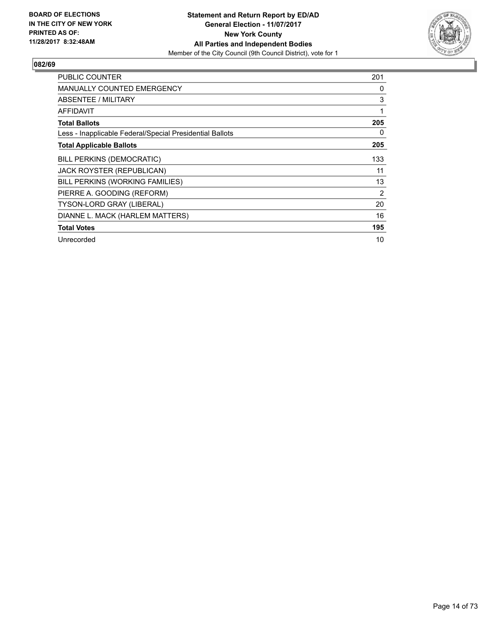

| <b>PUBLIC COUNTER</b>                                    | 201 |
|----------------------------------------------------------|-----|
| <b>MANUALLY COUNTED EMERGENCY</b>                        | 0   |
| ABSENTEE / MILITARY                                      | 3   |
| AFFIDAVIT                                                | 1   |
| <b>Total Ballots</b>                                     | 205 |
| Less - Inapplicable Federal/Special Presidential Ballots | 0   |
| <b>Total Applicable Ballots</b>                          | 205 |
| <b>BILL PERKINS (DEMOCRATIC)</b>                         | 133 |
| JACK ROYSTER (REPUBLICAN)                                | 11  |
| BILL PERKINS (WORKING FAMILIES)                          | 13  |
| PIERRE A. GOODING (REFORM)                               | 2   |
| TYSON-LORD GRAY (LIBERAL)                                | 20  |
| DIANNE L. MACK (HARLEM MATTERS)                          | 16  |
| <b>Total Votes</b>                                       | 195 |
| Unrecorded                                               | 10  |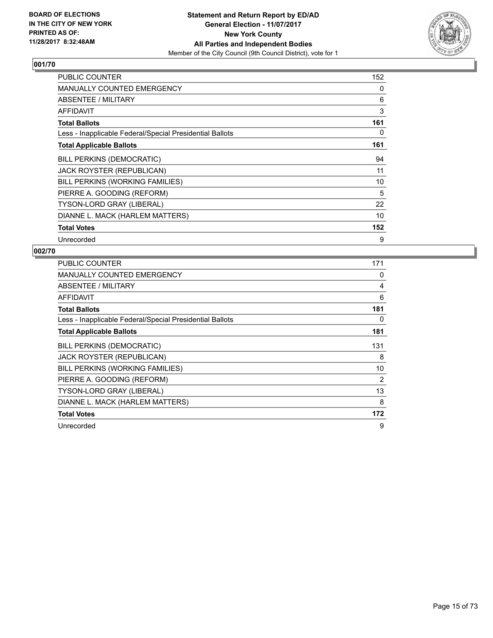

| <b>PUBLIC COUNTER</b>                                    | 152 |
|----------------------------------------------------------|-----|
| <b>MANUALLY COUNTED EMERGENCY</b>                        | 0   |
| ABSENTEE / MILITARY                                      | 6   |
| <b>AFFIDAVIT</b>                                         | 3   |
| <b>Total Ballots</b>                                     | 161 |
| Less - Inapplicable Federal/Special Presidential Ballots | 0   |
| <b>Total Applicable Ballots</b>                          | 161 |
| <b>BILL PERKINS (DEMOCRATIC)</b>                         | 94  |
| JACK ROYSTER (REPUBLICAN)                                | 11  |
| BILL PERKINS (WORKING FAMILIES)                          | 10  |
| PIERRE A. GOODING (REFORM)                               | 5   |
| TYSON-LORD GRAY (LIBERAL)                                | 22  |
| DIANNE L. MACK (HARLEM MATTERS)                          | 10  |
| <b>Total Votes</b>                                       | 152 |
| Unrecorded                                               | 9   |

| <b>PUBLIC COUNTER</b>                                    | 171 |
|----------------------------------------------------------|-----|
| <b>MANUALLY COUNTED EMERGENCY</b>                        | 0   |
| ABSENTEE / MILITARY                                      | 4   |
| <b>AFFIDAVIT</b>                                         | 6   |
| <b>Total Ballots</b>                                     | 181 |
| Less - Inapplicable Federal/Special Presidential Ballots | 0   |
| <b>Total Applicable Ballots</b>                          | 181 |
| <b>BILL PERKINS (DEMOCRATIC)</b>                         | 131 |
| JACK ROYSTER (REPUBLICAN)                                | 8   |
| BILL PERKINS (WORKING FAMILIES)                          | 10  |
| PIERRE A. GOODING (REFORM)                               | 2   |
| <b>TYSON-LORD GRAY (LIBERAL)</b>                         | 13  |
| DIANNE L. MACK (HARLEM MATTERS)                          | 8   |
| <b>Total Votes</b>                                       | 172 |
| Unrecorded                                               | 9   |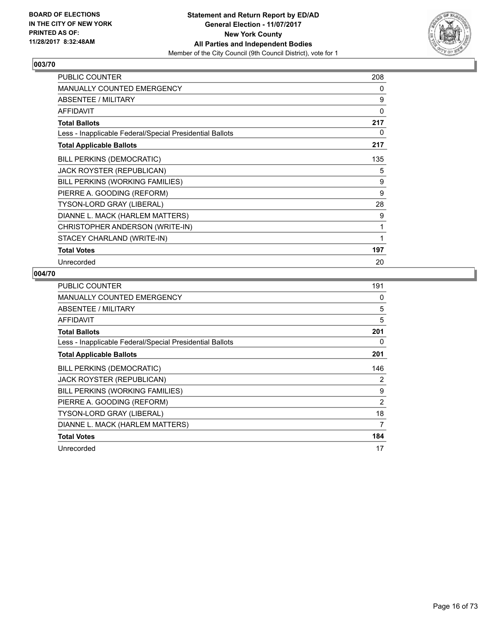

| PUBLIC COUNTER                                           | 208 |
|----------------------------------------------------------|-----|
| <b>MANUALLY COUNTED EMERGENCY</b>                        | 0   |
| <b>ABSENTEE / MILITARY</b>                               | 9   |
| <b>AFFIDAVIT</b>                                         | 0   |
| <b>Total Ballots</b>                                     | 217 |
| Less - Inapplicable Federal/Special Presidential Ballots | 0   |
| <b>Total Applicable Ballots</b>                          | 217 |
| BILL PERKINS (DEMOCRATIC)                                | 135 |
| JACK ROYSTER (REPUBLICAN)                                | 5   |
| BILL PERKINS (WORKING FAMILIES)                          | 9   |
| PIERRE A. GOODING (REFORM)                               | 9   |
| TYSON-LORD GRAY (LIBERAL)                                | 28  |
| DIANNE L. MACK (HARLEM MATTERS)                          | 9   |
| CHRISTOPHER ANDERSON (WRITE-IN)                          | 1   |
| STACEY CHARLAND (WRITE-IN)                               | 1   |
| <b>Total Votes</b>                                       | 197 |
| Unrecorded                                               | 20  |

| <b>PUBLIC COUNTER</b>                                    | 191            |
|----------------------------------------------------------|----------------|
| <b>MANUALLY COUNTED EMERGENCY</b>                        | 0              |
| ABSENTEE / MILITARY                                      | 5              |
| <b>AFFIDAVIT</b>                                         | 5              |
| <b>Total Ballots</b>                                     | 201            |
| Less - Inapplicable Federal/Special Presidential Ballots | 0              |
| <b>Total Applicable Ballots</b>                          | 201            |
| <b>BILL PERKINS (DEMOCRATIC)</b>                         | 146            |
| JACK ROYSTER (REPUBLICAN)                                | 2              |
| BILL PERKINS (WORKING FAMILIES)                          | 9              |
| PIERRE A. GOODING (REFORM)                               | $\overline{2}$ |
| TYSON-LORD GRAY (LIBERAL)                                | 18             |
| DIANNE L. MACK (HARLEM MATTERS)                          | 7              |
| <b>Total Votes</b>                                       | 184            |
| Unrecorded                                               | 17             |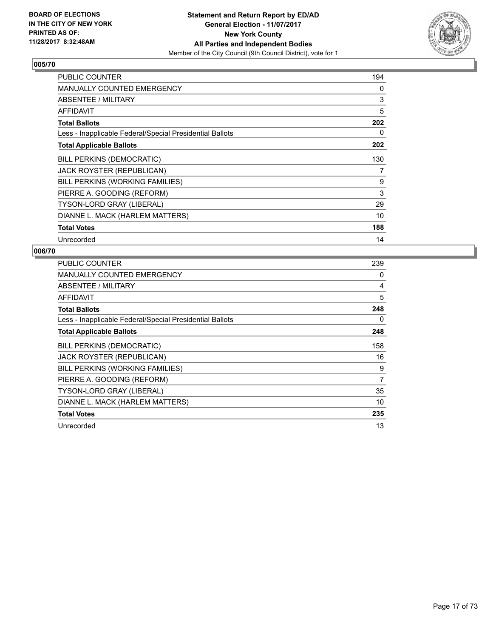

| <b>PUBLIC COUNTER</b>                                    | 194 |
|----------------------------------------------------------|-----|
| <b>MANUALLY COUNTED EMERGENCY</b>                        | 0   |
| ABSENTEE / MILITARY                                      | 3   |
| <b>AFFIDAVIT</b>                                         | 5   |
| <b>Total Ballots</b>                                     | 202 |
| Less - Inapplicable Federal/Special Presidential Ballots | 0   |
| <b>Total Applicable Ballots</b>                          | 202 |
| <b>BILL PERKINS (DEMOCRATIC)</b>                         | 130 |
| JACK ROYSTER (REPUBLICAN)                                | 7   |
| BILL PERKINS (WORKING FAMILIES)                          | 9   |
| PIERRE A. GOODING (REFORM)                               | 3   |
| <b>TYSON-LORD GRAY (LIBERAL)</b>                         | 29  |
| DIANNE L. MACK (HARLEM MATTERS)                          | 10  |
| <b>Total Votes</b>                                       | 188 |
| Unrecorded                                               | 14  |

| <b>PUBLIC COUNTER</b>                                    | 239 |
|----------------------------------------------------------|-----|
| <b>MANUALLY COUNTED EMERGENCY</b>                        | 0   |
| ABSENTEE / MILITARY                                      | 4   |
| AFFIDAVIT                                                | 5   |
| <b>Total Ballots</b>                                     | 248 |
| Less - Inapplicable Federal/Special Presidential Ballots | 0   |
| <b>Total Applicable Ballots</b>                          | 248 |
| <b>BILL PERKINS (DEMOCRATIC)</b>                         | 158 |
| JACK ROYSTER (REPUBLICAN)                                | 16  |
| BILL PERKINS (WORKING FAMILIES)                          | 9   |
| PIERRE A. GOODING (REFORM)                               | 7   |
| <b>TYSON-LORD GRAY (LIBERAL)</b>                         | 35  |
| DIANNE L. MACK (HARLEM MATTERS)                          | 10  |
| <b>Total Votes</b>                                       | 235 |
| Unrecorded                                               | 13  |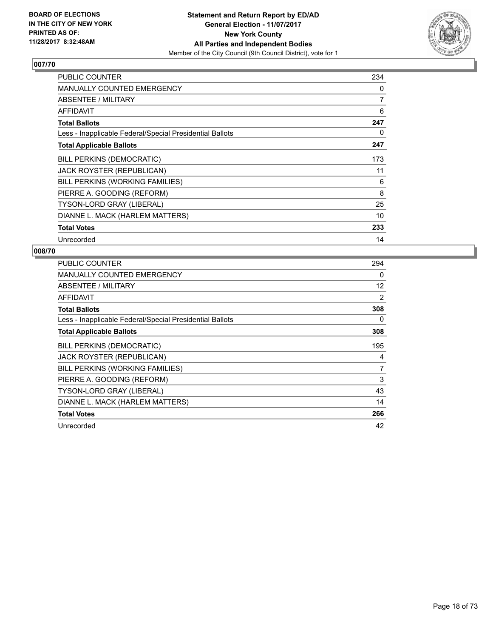

| <b>PUBLIC COUNTER</b>                                    | 234 |
|----------------------------------------------------------|-----|
| <b>MANUALLY COUNTED EMERGENCY</b>                        | 0   |
| ABSENTEE / MILITARY                                      | 7   |
| <b>AFFIDAVIT</b>                                         | 6   |
| <b>Total Ballots</b>                                     | 247 |
| Less - Inapplicable Federal/Special Presidential Ballots | 0   |
| <b>Total Applicable Ballots</b>                          | 247 |
| <b>BILL PERKINS (DEMOCRATIC)</b>                         | 173 |
| JACK ROYSTER (REPUBLICAN)                                | 11  |
| BILL PERKINS (WORKING FAMILIES)                          | 6   |
| PIERRE A. GOODING (REFORM)                               | 8   |
| <b>TYSON-LORD GRAY (LIBERAL)</b>                         | 25  |
| DIANNE L. MACK (HARLEM MATTERS)                          | 10  |
| <b>Total Votes</b>                                       | 233 |
| Unrecorded                                               | 14  |

| <b>PUBLIC COUNTER</b>                                    | 294            |
|----------------------------------------------------------|----------------|
| MANUALLY COUNTED EMERGENCY                               | 0              |
| ABSENTEE / MILITARY                                      | 12             |
| AFFIDAVIT                                                | 2              |
| <b>Total Ballots</b>                                     | 308            |
| Less - Inapplicable Federal/Special Presidential Ballots | 0              |
| <b>Total Applicable Ballots</b>                          | 308            |
| <b>BILL PERKINS (DEMOCRATIC)</b>                         | 195            |
| <b>JACK ROYSTER (REPUBLICAN)</b>                         | 4              |
| BILL PERKINS (WORKING FAMILIES)                          | $\overline{7}$ |
| PIERRE A. GOODING (REFORM)                               | 3              |
| <b>TYSON-LORD GRAY (LIBERAL)</b>                         | 43             |
| DIANNE L. MACK (HARLEM MATTERS)                          | 14             |
| <b>Total Votes</b>                                       | 266            |
| Unrecorded                                               | 42             |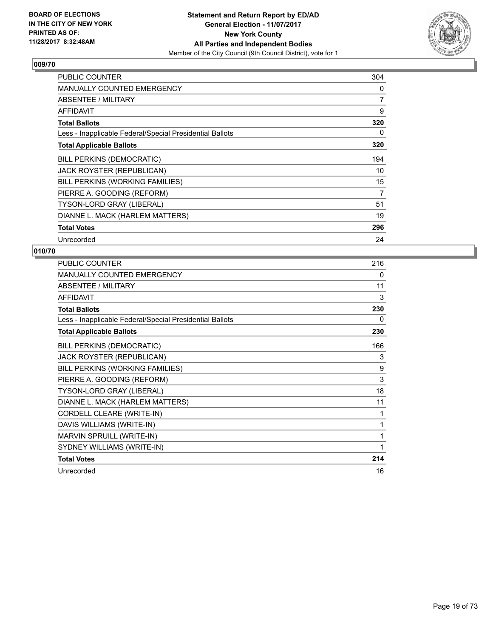

| <b>PUBLIC COUNTER</b>                                    | 304            |
|----------------------------------------------------------|----------------|
| <b>MANUALLY COUNTED EMERGENCY</b>                        | 0              |
| ABSENTEE / MILITARY                                      | $\overline{7}$ |
| AFFIDAVIT                                                | 9              |
| <b>Total Ballots</b>                                     | 320            |
| Less - Inapplicable Federal/Special Presidential Ballots | 0              |
| <b>Total Applicable Ballots</b>                          | 320            |
| <b>BILL PERKINS (DEMOCRATIC)</b>                         | 194            |
| JACK ROYSTER (REPUBLICAN)                                | 10             |
| BILL PERKINS (WORKING FAMILIES)                          | 15             |
| PIERRE A. GOODING (REFORM)                               | 7              |
| <b>TYSON-LORD GRAY (LIBERAL)</b>                         | 51             |
| DIANNE L. MACK (HARLEM MATTERS)                          | 19             |
| <b>Total Votes</b>                                       | 296            |
| Unrecorded                                               | 24             |

| PUBLIC COUNTER                                           | 216 |
|----------------------------------------------------------|-----|
| <b>MANUALLY COUNTED EMERGENCY</b>                        | 0   |
| <b>ABSENTEE / MILITARY</b>                               | 11  |
| <b>AFFIDAVIT</b>                                         | 3   |
| <b>Total Ballots</b>                                     | 230 |
| Less - Inapplicable Federal/Special Presidential Ballots | 0   |
| <b>Total Applicable Ballots</b>                          | 230 |
| <b>BILL PERKINS (DEMOCRATIC)</b>                         | 166 |
| JACK ROYSTER (REPUBLICAN)                                | 3   |
| BILL PERKINS (WORKING FAMILIES)                          | 9   |
| PIERRE A. GOODING (REFORM)                               | 3   |
| TYSON-LORD GRAY (LIBERAL)                                | 18  |
| DIANNE L. MACK (HARLEM MATTERS)                          | 11  |
| CORDELL CLEARE (WRITE-IN)                                | 1   |
| DAVIS WILLIAMS (WRITE-IN)                                | 1   |
| MARVIN SPRUILL (WRITE-IN)                                | 1   |
| SYDNEY WILLIAMS (WRITE-IN)                               | 1   |
| <b>Total Votes</b>                                       | 214 |
| Unrecorded                                               | 16  |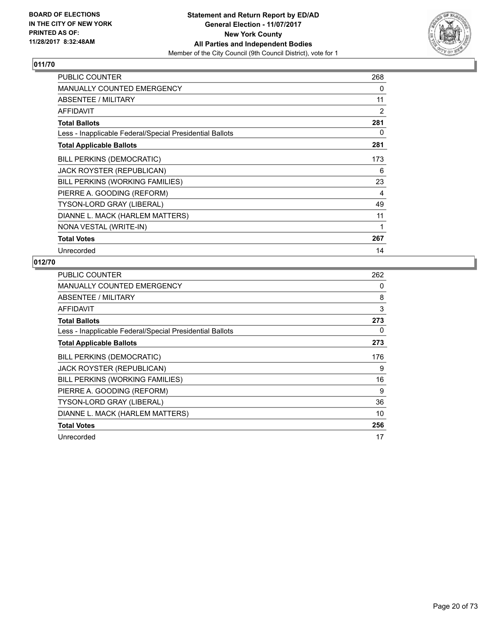

| <b>PUBLIC COUNTER</b>                                    | 268 |
|----------------------------------------------------------|-----|
| <b>MANUALLY COUNTED EMERGENCY</b>                        | 0   |
| ABSENTEE / MILITARY                                      | 11  |
| AFFIDAVIT                                                | 2   |
| <b>Total Ballots</b>                                     | 281 |
| Less - Inapplicable Federal/Special Presidential Ballots | 0   |
| <b>Total Applicable Ballots</b>                          | 281 |
| <b>BILL PERKINS (DEMOCRATIC)</b>                         | 173 |
| <b>JACK ROYSTER (REPUBLICAN)</b>                         | 6   |
| BILL PERKINS (WORKING FAMILIES)                          | 23  |
| PIERRE A. GOODING (REFORM)                               | 4   |
| TYSON-LORD GRAY (LIBERAL)                                | 49  |
| DIANNE L. MACK (HARLEM MATTERS)                          | 11  |
| NONA VESTAL (WRITE-IN)                                   | 1   |
| <b>Total Votes</b>                                       | 267 |
| Unrecorded                                               | 14  |

| <b>PUBLIC COUNTER</b>                                    | 262 |
|----------------------------------------------------------|-----|
| <b>MANUALLY COUNTED EMERGENCY</b>                        | 0   |
| ABSENTEE / MILITARY                                      | 8   |
| <b>AFFIDAVIT</b>                                         | 3   |
| <b>Total Ballots</b>                                     | 273 |
| Less - Inapplicable Federal/Special Presidential Ballots | 0   |
| <b>Total Applicable Ballots</b>                          | 273 |
| BILL PERKINS (DEMOCRATIC)                                | 176 |
| <b>JACK ROYSTER (REPUBLICAN)</b>                         | 9   |
| BILL PERKINS (WORKING FAMILIES)                          | 16  |
| PIERRE A. GOODING (REFORM)                               | 9   |
| <b>TYSON-LORD GRAY (LIBERAL)</b>                         | 36  |
| DIANNE L. MACK (HARLEM MATTERS)                          | 10  |
| <b>Total Votes</b>                                       | 256 |
| Unrecorded                                               | 17  |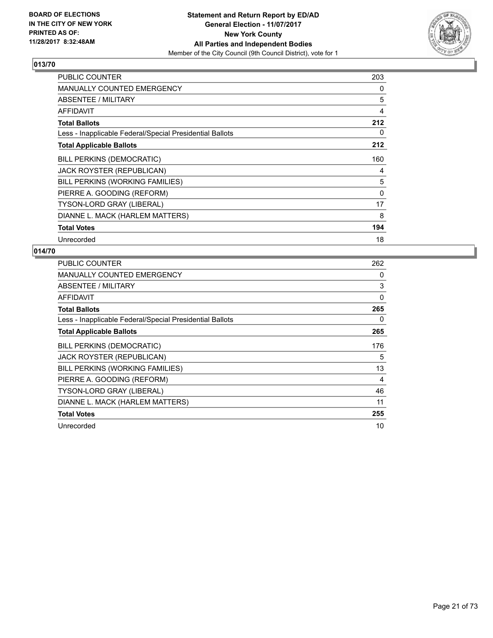

| <b>PUBLIC COUNTER</b>                                    | 203 |
|----------------------------------------------------------|-----|
| <b>MANUALLY COUNTED EMERGENCY</b>                        | 0   |
| ABSENTEE / MILITARY                                      | 5   |
| <b>AFFIDAVIT</b>                                         | 4   |
| <b>Total Ballots</b>                                     | 212 |
| Less - Inapplicable Federal/Special Presidential Ballots | 0   |
| <b>Total Applicable Ballots</b>                          | 212 |
| <b>BILL PERKINS (DEMOCRATIC)</b>                         | 160 |
| <b>JACK ROYSTER (REPUBLICAN)</b>                         | 4   |
| BILL PERKINS (WORKING FAMILIES)                          | 5   |
| PIERRE A. GOODING (REFORM)                               | 0   |
| <b>TYSON-LORD GRAY (LIBERAL)</b>                         | 17  |
| DIANNE L. MACK (HARLEM MATTERS)                          | 8   |
| <b>Total Votes</b>                                       | 194 |
| Unrecorded                                               | 18  |

| <b>PUBLIC COUNTER</b>                                    | 262 |
|----------------------------------------------------------|-----|
| <b>MANUALLY COUNTED EMERGENCY</b>                        | 0   |
| ABSENTEE / MILITARY                                      | 3   |
| AFFIDAVIT                                                | 0   |
| <b>Total Ballots</b>                                     | 265 |
| Less - Inapplicable Federal/Special Presidential Ballots | 0   |
| <b>Total Applicable Ballots</b>                          | 265 |
| <b>BILL PERKINS (DEMOCRATIC)</b>                         | 176 |
| JACK ROYSTER (REPUBLICAN)                                | 5   |
| BILL PERKINS (WORKING FAMILIES)                          | 13  |
| PIERRE A. GOODING (REFORM)                               | 4   |
| <b>TYSON-LORD GRAY (LIBERAL)</b>                         | 46  |
| DIANNE L. MACK (HARLEM MATTERS)                          | 11  |
| <b>Total Votes</b>                                       | 255 |
| Unrecorded                                               | 10  |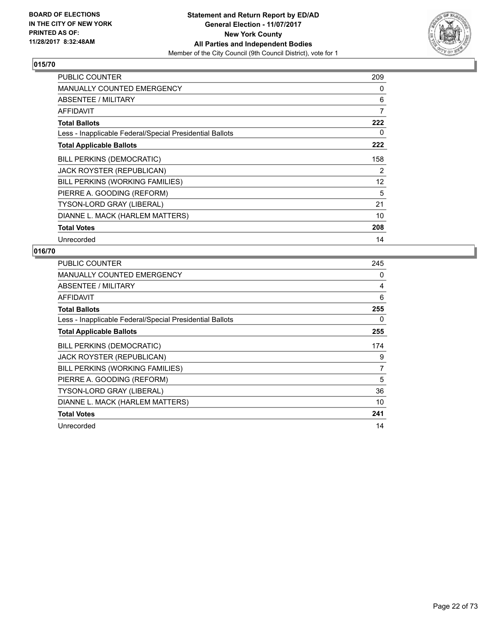

| <b>PUBLIC COUNTER</b>                                    | 209               |
|----------------------------------------------------------|-------------------|
| <b>MANUALLY COUNTED EMERGENCY</b>                        | 0                 |
| ABSENTEE / MILITARY                                      | 6                 |
| <b>AFFIDAVIT</b>                                         | 7                 |
| <b>Total Ballots</b>                                     | 222               |
| Less - Inapplicable Federal/Special Presidential Ballots | 0                 |
| <b>Total Applicable Ballots</b>                          | 222               |
| <b>BILL PERKINS (DEMOCRATIC)</b>                         | 158               |
| JACK ROYSTER (REPUBLICAN)                                | 2                 |
| BILL PERKINS (WORKING FAMILIES)                          | $12 \overline{ }$ |
| PIERRE A. GOODING (REFORM)                               | 5                 |
| TYSON-LORD GRAY (LIBERAL)                                | 21                |
| DIANNE L. MACK (HARLEM MATTERS)                          | 10                |
| <b>Total Votes</b>                                       | 208               |
| Unrecorded                                               | 14                |

| <b>PUBLIC COUNTER</b>                                    | 245 |
|----------------------------------------------------------|-----|
| <b>MANUALLY COUNTED EMERGENCY</b>                        | 0   |
| ABSENTEE / MILITARY                                      | 4   |
| <b>AFFIDAVIT</b>                                         | 6   |
| <b>Total Ballots</b>                                     | 255 |
| Less - Inapplicable Federal/Special Presidential Ballots | 0   |
| <b>Total Applicable Ballots</b>                          | 255 |
| <b>BILL PERKINS (DEMOCRATIC)</b>                         | 174 |
| JACK ROYSTER (REPUBLICAN)                                | 9   |
| BILL PERKINS (WORKING FAMILIES)                          | 7   |
| PIERRE A. GOODING (REFORM)                               | 5   |
| <b>TYSON-LORD GRAY (LIBERAL)</b>                         | 36  |
| DIANNE L. MACK (HARLEM MATTERS)                          | 10  |
| <b>Total Votes</b>                                       | 241 |
| Unrecorded                                               | 14  |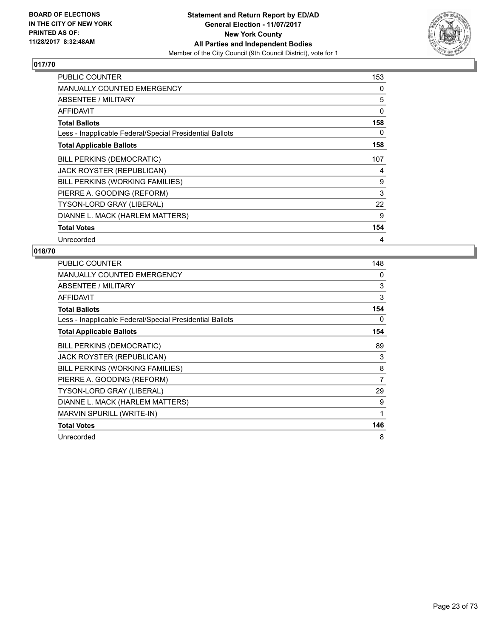

| <b>PUBLIC COUNTER</b>                                    | 153 |
|----------------------------------------------------------|-----|
| <b>MANUALLY COUNTED EMERGENCY</b>                        | 0   |
| ABSENTEE / MILITARY                                      | 5   |
| <b>AFFIDAVIT</b>                                         | 0   |
| <b>Total Ballots</b>                                     | 158 |
| Less - Inapplicable Federal/Special Presidential Ballots | 0   |
| <b>Total Applicable Ballots</b>                          | 158 |
| <b>BILL PERKINS (DEMOCRATIC)</b>                         | 107 |
| <b>JACK ROYSTER (REPUBLICAN)</b>                         | 4   |
| BILL PERKINS (WORKING FAMILIES)                          | 9   |
| PIERRE A. GOODING (REFORM)                               | 3   |
| <b>TYSON-LORD GRAY (LIBERAL)</b>                         | 22  |
| DIANNE L. MACK (HARLEM MATTERS)                          | 9   |
| <b>Total Votes</b>                                       | 154 |
| Unrecorded                                               | 4   |

| PUBLIC COUNTER                                           | 148 |
|----------------------------------------------------------|-----|
| <b>MANUALLY COUNTED EMERGENCY</b>                        | 0   |
| ABSENTEE / MILITARY                                      | 3   |
| AFFIDAVIT                                                | 3   |
| <b>Total Ballots</b>                                     | 154 |
| Less - Inapplicable Federal/Special Presidential Ballots | 0   |
| <b>Total Applicable Ballots</b>                          | 154 |
| <b>BILL PERKINS (DEMOCRATIC)</b>                         | 89  |
| JACK ROYSTER (REPUBLICAN)                                | 3   |
| BILL PERKINS (WORKING FAMILIES)                          | 8   |
| PIERRE A. GOODING (REFORM)                               | 7   |
| <b>TYSON-LORD GRAY (LIBERAL)</b>                         | 29  |
| DIANNE L. MACK (HARLEM MATTERS)                          | 9   |
| MARVIN SPURILL (WRITE-IN)                                | 1   |
| <b>Total Votes</b>                                       | 146 |
| Unrecorded                                               | 8   |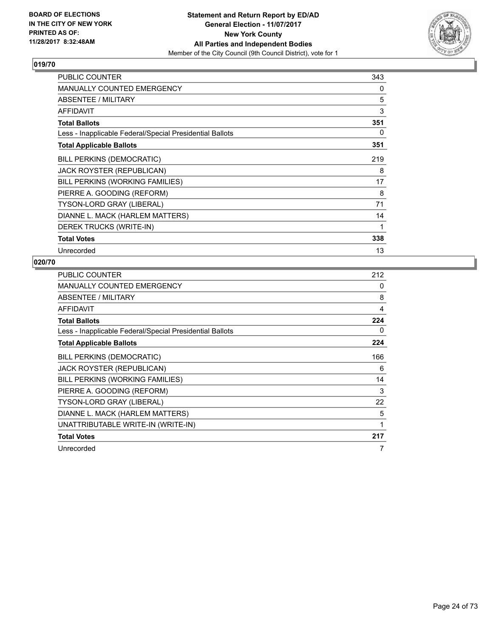

| PUBLIC COUNTER                                           | 343 |
|----------------------------------------------------------|-----|
| MANUALLY COUNTED EMERGENCY                               | 0   |
| ABSENTEE / MILITARY                                      | 5   |
| AFFIDAVIT                                                | 3   |
| <b>Total Ballots</b>                                     | 351 |
| Less - Inapplicable Federal/Special Presidential Ballots | 0   |
| <b>Total Applicable Ballots</b>                          | 351 |
| <b>BILL PERKINS (DEMOCRATIC)</b>                         | 219 |
| JACK ROYSTER (REPUBLICAN)                                | 8   |
| BILL PERKINS (WORKING FAMILIES)                          | 17  |
| PIERRE A. GOODING (REFORM)                               | 8   |
| TYSON-LORD GRAY (LIBERAL)                                | 71  |
| DIANNE L. MACK (HARLEM MATTERS)                          | 14  |
| DEREK TRUCKS (WRITE-IN)                                  | 1   |
| <b>Total Votes</b>                                       | 338 |
| Unrecorded                                               | 13  |

| <b>PUBLIC COUNTER</b>                                    | 212 |
|----------------------------------------------------------|-----|
| <b>MANUALLY COUNTED EMERGENCY</b>                        | 0   |
| ABSENTEE / MILITARY                                      | 8   |
| <b>AFFIDAVIT</b>                                         | 4   |
| <b>Total Ballots</b>                                     | 224 |
| Less - Inapplicable Federal/Special Presidential Ballots | 0   |
| <b>Total Applicable Ballots</b>                          | 224 |
| BILL PERKINS (DEMOCRATIC)                                | 166 |
| JACK ROYSTER (REPUBLICAN)                                | 6   |
| BILL PERKINS (WORKING FAMILIES)                          | 14  |
| PIERRE A. GOODING (REFORM)                               | 3   |
| <b>TYSON-LORD GRAY (LIBERAL)</b>                         | 22  |
| DIANNE L. MACK (HARLEM MATTERS)                          | 5   |
| UNATTRIBUTABLE WRITE-IN (WRITE-IN)                       | 1   |
| <b>Total Votes</b>                                       | 217 |
| Unrecorded                                               | 7   |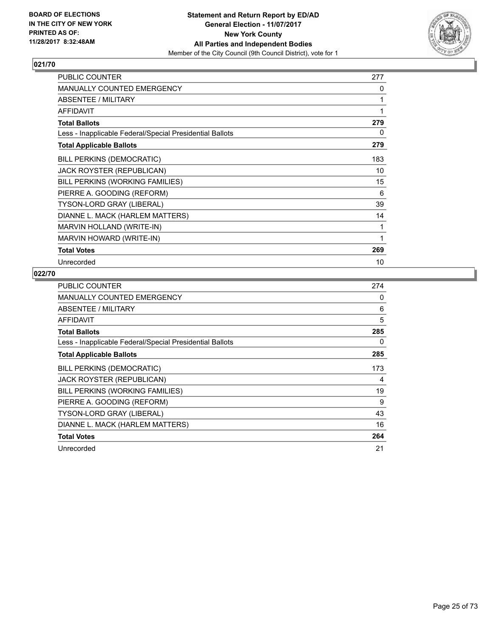

| PUBLIC COUNTER                                           | 277 |
|----------------------------------------------------------|-----|
| MANUALLY COUNTED EMERGENCY                               | 0   |
| <b>ABSENTEE / MILITARY</b>                               | 1   |
| <b>AFFIDAVIT</b>                                         | 1   |
| <b>Total Ballots</b>                                     | 279 |
| Less - Inapplicable Federal/Special Presidential Ballots | 0   |
| <b>Total Applicable Ballots</b>                          | 279 |
| <b>BILL PERKINS (DEMOCRATIC)</b>                         | 183 |
| JACK ROYSTER (REPUBLICAN)                                | 10  |
| BILL PERKINS (WORKING FAMILIES)                          | 15  |
| PIERRE A. GOODING (REFORM)                               | 6   |
| TYSON-LORD GRAY (LIBERAL)                                | 39  |
| DIANNE L. MACK (HARLEM MATTERS)                          | 14  |
| MARVIN HOLLAND (WRITE-IN)                                | 1   |
| <b>MARVIN HOWARD (WRITE-IN)</b>                          | 1   |
| <b>Total Votes</b>                                       | 269 |
| Unrecorded                                               | 10  |

| <b>PUBLIC COUNTER</b>                                    | 274 |
|----------------------------------------------------------|-----|
| <b>MANUALLY COUNTED EMERGENCY</b>                        | 0   |
| <b>ABSENTEE / MILITARY</b>                               | 6   |
| AFFIDAVIT                                                | 5   |
| <b>Total Ballots</b>                                     | 285 |
| Less - Inapplicable Federal/Special Presidential Ballots | 0   |
| <b>Total Applicable Ballots</b>                          | 285 |
| <b>BILL PERKINS (DEMOCRATIC)</b>                         | 173 |
| JACK ROYSTER (REPUBLICAN)                                | 4   |
| BILL PERKINS (WORKING FAMILIES)                          | 19  |
| PIERRE A. GOODING (REFORM)                               | 9   |
| TYSON-LORD GRAY (LIBERAL)                                | 43  |
| DIANNE L. MACK (HARLEM MATTERS)                          | 16  |
| <b>Total Votes</b>                                       | 264 |
| Unrecorded                                               | 21  |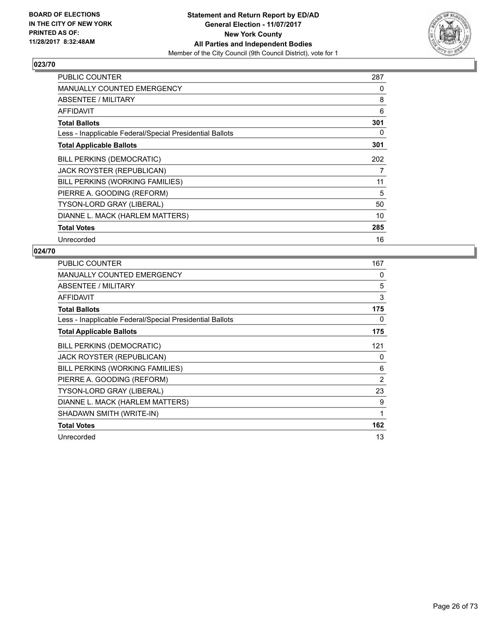

| <b>PUBLIC COUNTER</b>                                    | 287 |
|----------------------------------------------------------|-----|
| <b>MANUALLY COUNTED EMERGENCY</b>                        | 0   |
| ABSENTEE / MILITARY                                      | 8   |
| <b>AFFIDAVIT</b>                                         | 6   |
| <b>Total Ballots</b>                                     | 301 |
| Less - Inapplicable Federal/Special Presidential Ballots | 0   |
| <b>Total Applicable Ballots</b>                          | 301 |
| <b>BILL PERKINS (DEMOCRATIC)</b>                         | 202 |
| JACK ROYSTER (REPUBLICAN)                                | 7   |
| BILL PERKINS (WORKING FAMILIES)                          | 11  |
| PIERRE A. GOODING (REFORM)                               | 5   |
| <b>TYSON-LORD GRAY (LIBERAL)</b>                         | 50  |
| DIANNE L. MACK (HARLEM MATTERS)                          | 10  |
| <b>Total Votes</b>                                       | 285 |
| Unrecorded                                               | 16  |

| <b>PUBLIC COUNTER</b>                                    | 167 |
|----------------------------------------------------------|-----|
| <b>MANUALLY COUNTED EMERGENCY</b>                        | 0   |
| ABSENTEE / MILITARY                                      | 5   |
| AFFIDAVIT                                                | 3   |
| <b>Total Ballots</b>                                     | 175 |
| Less - Inapplicable Federal/Special Presidential Ballots | 0   |
| <b>Total Applicable Ballots</b>                          | 175 |
| BILL PERKINS (DEMOCRATIC)                                | 121 |
| <b>JACK ROYSTER (REPUBLICAN)</b>                         | 0   |
| BILL PERKINS (WORKING FAMILIES)                          | 6   |
| PIERRE A. GOODING (REFORM)                               | 2   |
| <b>TYSON-LORD GRAY (LIBERAL)</b>                         | 23  |
| DIANNE L. MACK (HARLEM MATTERS)                          | 9   |
| SHADAWN SMITH (WRITE-IN)                                 | 1   |
| <b>Total Votes</b>                                       | 162 |
| Unrecorded                                               | 13  |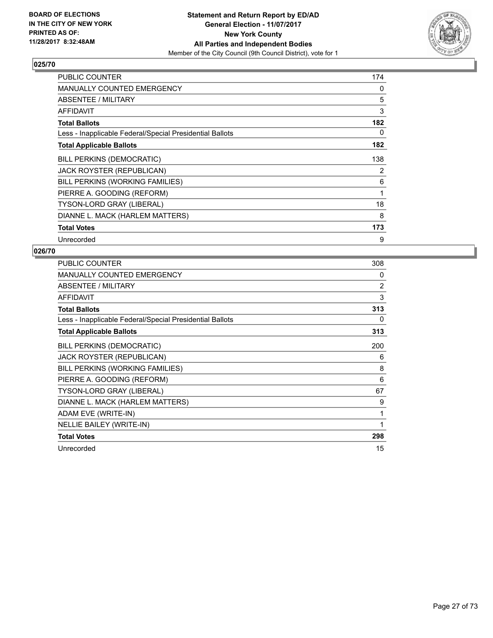

| <b>PUBLIC COUNTER</b>                                    | 174 |
|----------------------------------------------------------|-----|
| <b>MANUALLY COUNTED EMERGENCY</b>                        | 0   |
| ABSENTEE / MILITARY                                      | 5   |
| <b>AFFIDAVIT</b>                                         | 3   |
| <b>Total Ballots</b>                                     | 182 |
| Less - Inapplicable Federal/Special Presidential Ballots | 0   |
| <b>Total Applicable Ballots</b>                          | 182 |
| <b>BILL PERKINS (DEMOCRATIC)</b>                         | 138 |
| <b>JACK ROYSTER (REPUBLICAN)</b>                         | 2   |
| BILL PERKINS (WORKING FAMILIES)                          | 6   |
| PIERRE A. GOODING (REFORM)                               | 1   |
| <b>TYSON-LORD GRAY (LIBERAL)</b>                         | 18  |
| DIANNE L. MACK (HARLEM MATTERS)                          | 8   |
| <b>Total Votes</b>                                       | 173 |
| Unrecorded                                               | 9   |

| PUBLIC COUNTER                                           | 308 |
|----------------------------------------------------------|-----|
| <b>MANUALLY COUNTED EMERGENCY</b>                        | 0   |
| ABSENTEE / MILITARY                                      | 2   |
| <b>AFFIDAVIT</b>                                         | 3   |
| <b>Total Ballots</b>                                     | 313 |
| Less - Inapplicable Federal/Special Presidential Ballots | 0   |
| <b>Total Applicable Ballots</b>                          | 313 |
| <b>BILL PERKINS (DEMOCRATIC)</b>                         | 200 |
| JACK ROYSTER (REPUBLICAN)                                | 6   |
| BILL PERKINS (WORKING FAMILIES)                          | 8   |
| PIERRE A. GOODING (REFORM)                               | 6   |
| TYSON-LORD GRAY (LIBERAL)                                | 67  |
| DIANNE L. MACK (HARLEM MATTERS)                          | 9   |
| ADAM EVE (WRITE-IN)                                      | 1   |
| NELLIE BAILEY (WRITE-IN)                                 | 1   |
| <b>Total Votes</b>                                       | 298 |
| Unrecorded                                               | 15  |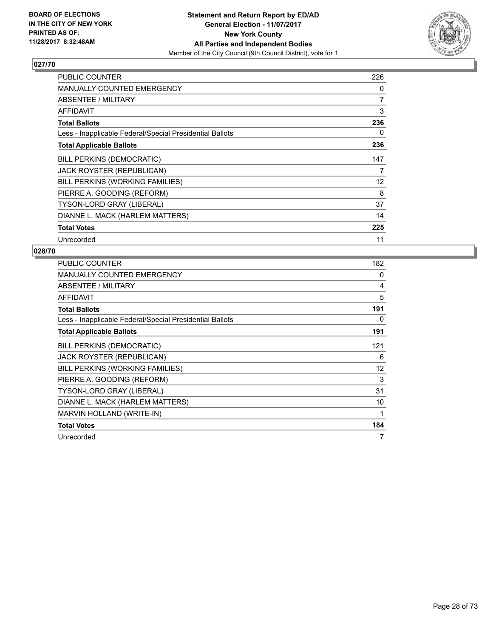

| <b>PUBLIC COUNTER</b>                                    | 226               |
|----------------------------------------------------------|-------------------|
| <b>MANUALLY COUNTED EMERGENCY</b>                        | 0                 |
| ABSENTEE / MILITARY                                      | 7                 |
| <b>AFFIDAVIT</b>                                         | 3                 |
| <b>Total Ballots</b>                                     | 236               |
| Less - Inapplicable Federal/Special Presidential Ballots | 0                 |
| <b>Total Applicable Ballots</b>                          | 236               |
| <b>BILL PERKINS (DEMOCRATIC)</b>                         | 147               |
| JACK ROYSTER (REPUBLICAN)                                | 7                 |
| BILL PERKINS (WORKING FAMILIES)                          | $12 \overline{ }$ |
| PIERRE A. GOODING (REFORM)                               | 8                 |
| <b>TYSON-LORD GRAY (LIBERAL)</b>                         | 37                |
| DIANNE L. MACK (HARLEM MATTERS)                          | 14                |
| <b>Total Votes</b>                                       | 225               |
| Unrecorded                                               | 11                |

| <b>PUBLIC COUNTER</b>                                    | 182 |
|----------------------------------------------------------|-----|
| <b>MANUALLY COUNTED EMERGENCY</b>                        | 0   |
| ABSENTEE / MILITARY                                      | 4   |
| AFFIDAVIT                                                | 5   |
| <b>Total Ballots</b>                                     | 191 |
| Less - Inapplicable Federal/Special Presidential Ballots | 0   |
| <b>Total Applicable Ballots</b>                          | 191 |
| BILL PERKINS (DEMOCRATIC)                                | 121 |
| JACK ROYSTER (REPUBLICAN)                                | 6   |
| BILL PERKINS (WORKING FAMILIES)                          | 12  |
| PIERRE A. GOODING (REFORM)                               | 3   |
| <b>TYSON-LORD GRAY (LIBERAL)</b>                         | 31  |
| DIANNE L. MACK (HARLEM MATTERS)                          | 10  |
| MARVIN HOLLAND (WRITE-IN)                                | 1   |
| <b>Total Votes</b>                                       | 184 |
| Unrecorded                                               | 7   |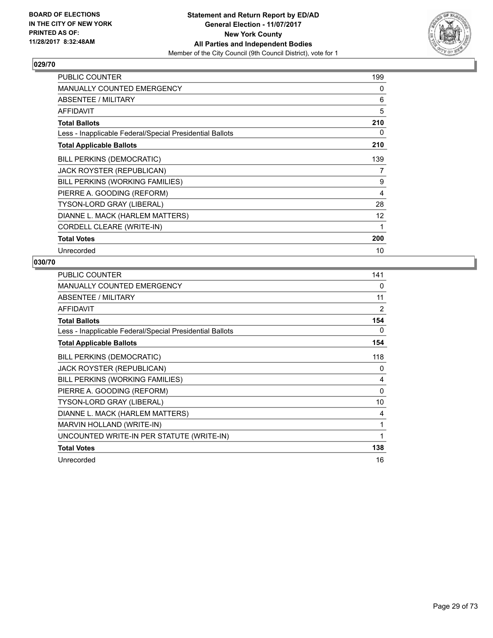

| <b>PUBLIC COUNTER</b>                                    | 199 |
|----------------------------------------------------------|-----|
| <b>MANUALLY COUNTED EMERGENCY</b>                        | 0   |
| ABSENTEE / MILITARY                                      | 6   |
| <b>AFFIDAVIT</b>                                         | 5   |
| <b>Total Ballots</b>                                     | 210 |
| Less - Inapplicable Federal/Special Presidential Ballots | 0   |
| <b>Total Applicable Ballots</b>                          | 210 |
| <b>BILL PERKINS (DEMOCRATIC)</b>                         | 139 |
| JACK ROYSTER (REPUBLICAN)                                | 7   |
| BILL PERKINS (WORKING FAMILIES)                          | 9   |
| PIERRE A. GOODING (REFORM)                               | 4   |
| TYSON-LORD GRAY (LIBERAL)                                | 28  |
| DIANNE L. MACK (HARLEM MATTERS)                          | 12  |
| CORDELL CLEARE (WRITE-IN)                                | 1   |
| <b>Total Votes</b>                                       | 200 |
| Unrecorded                                               | 10  |

| <b>PUBLIC COUNTER</b>                                    | 141      |
|----------------------------------------------------------|----------|
| <b>MANUALLY COUNTED EMERGENCY</b>                        | 0        |
| ABSENTEE / MILITARY                                      | 11       |
| <b>AFFIDAVIT</b>                                         | 2        |
| <b>Total Ballots</b>                                     | 154      |
| Less - Inapplicable Federal/Special Presidential Ballots | 0        |
| <b>Total Applicable Ballots</b>                          | 154      |
| <b>BILL PERKINS (DEMOCRATIC)</b>                         | 118      |
| JACK ROYSTER (REPUBLICAN)                                | 0        |
| BILL PERKINS (WORKING FAMILIES)                          | 4        |
| PIERRE A. GOODING (REFORM)                               | $\Omega$ |
| <b>TYSON-LORD GRAY (LIBERAL)</b>                         | 10       |
| DIANNE L. MACK (HARLEM MATTERS)                          | 4        |
| MARVIN HOLLAND (WRITE-IN)                                | 1        |
| UNCOUNTED WRITE-IN PER STATUTE (WRITE-IN)                | 1        |
| <b>Total Votes</b>                                       | 138      |
| Unrecorded                                               | 16       |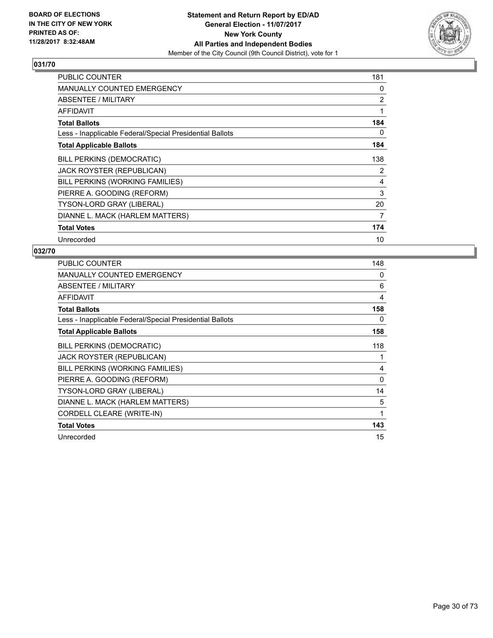

| <b>PUBLIC COUNTER</b>                                    | 181 |
|----------------------------------------------------------|-----|
| <b>MANUALLY COUNTED EMERGENCY</b>                        | 0   |
| ABSENTEE / MILITARY                                      | 2   |
| <b>AFFIDAVIT</b>                                         | 1   |
| <b>Total Ballots</b>                                     | 184 |
| Less - Inapplicable Federal/Special Presidential Ballots | 0   |
| <b>Total Applicable Ballots</b>                          | 184 |
| <b>BILL PERKINS (DEMOCRATIC)</b>                         | 138 |
| <b>JACK ROYSTER (REPUBLICAN)</b>                         | 2   |
| BILL PERKINS (WORKING FAMILIES)                          | 4   |
| PIERRE A. GOODING (REFORM)                               | 3   |
| <b>TYSON-LORD GRAY (LIBERAL)</b>                         | 20  |
| DIANNE L. MACK (HARLEM MATTERS)                          | 7   |
| <b>Total Votes</b>                                       | 174 |
| Unrecorded                                               | 10  |

| <b>PUBLIC COUNTER</b>                                    | 148      |
|----------------------------------------------------------|----------|
| <b>MANUALLY COUNTED EMERGENCY</b>                        | 0        |
| ABSENTEE / MILITARY                                      | 6        |
| AFFIDAVIT                                                | 4        |
| <b>Total Ballots</b>                                     | 158      |
| Less - Inapplicable Federal/Special Presidential Ballots | 0        |
| <b>Total Applicable Ballots</b>                          | 158      |
| <b>BILL PERKINS (DEMOCRATIC)</b>                         | 118      |
| <b>JACK ROYSTER (REPUBLICAN)</b>                         | 1        |
| BILL PERKINS (WORKING FAMILIES)                          | 4        |
| PIERRE A. GOODING (REFORM)                               | $\Omega$ |
| TYSON-LORD GRAY (LIBERAL)                                | 14       |
| DIANNE L. MACK (HARLEM MATTERS)                          | 5        |
| CORDELL CLEARE (WRITE-IN)                                | 1        |
| <b>Total Votes</b>                                       | 143      |
| Unrecorded                                               | 15       |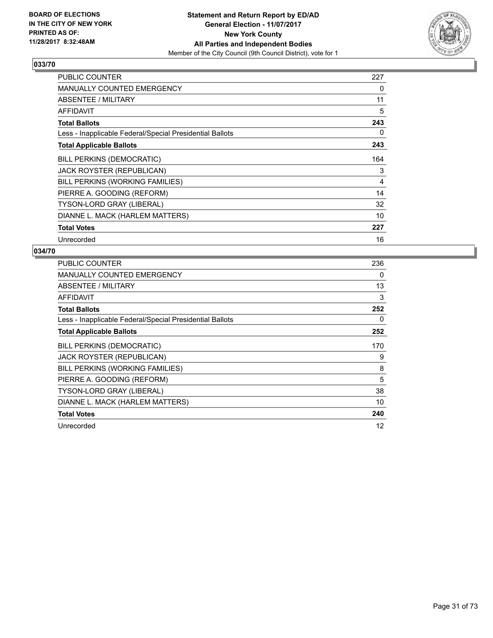

| <b>PUBLIC COUNTER</b>                                    | 227 |
|----------------------------------------------------------|-----|
| <b>MANUALLY COUNTED EMERGENCY</b>                        | 0   |
| ABSENTEE / MILITARY                                      | 11  |
| <b>AFFIDAVIT</b>                                         | 5   |
| <b>Total Ballots</b>                                     | 243 |
| Less - Inapplicable Federal/Special Presidential Ballots | 0   |
| <b>Total Applicable Ballots</b>                          | 243 |
| <b>BILL PERKINS (DEMOCRATIC)</b>                         | 164 |
| JACK ROYSTER (REPUBLICAN)                                | 3   |
| BILL PERKINS (WORKING FAMILIES)                          | 4   |
| PIERRE A. GOODING (REFORM)                               | 14  |
| TYSON-LORD GRAY (LIBERAL)                                | 32  |
| DIANNE L. MACK (HARLEM MATTERS)                          | 10  |
| <b>Total Votes</b>                                       | 227 |
| Unrecorded                                               | 16  |

| <b>PUBLIC COUNTER</b>                                    | 236 |
|----------------------------------------------------------|-----|
| MANUALLY COUNTED EMERGENCY                               | 0   |
| ABSENTEE / MILITARY                                      | 13  |
| AFFIDAVIT                                                | 3   |
| <b>Total Ballots</b>                                     | 252 |
| Less - Inapplicable Federal/Special Presidential Ballots | 0   |
| <b>Total Applicable Ballots</b>                          | 252 |
| <b>BILL PERKINS (DEMOCRATIC)</b>                         | 170 |
| JACK ROYSTER (REPUBLICAN)                                | 9   |
| BILL PERKINS (WORKING FAMILIES)                          | 8   |
| PIERRE A. GOODING (REFORM)                               | 5   |
| TYSON-LORD GRAY (LIBERAL)                                | 38  |
| DIANNE L. MACK (HARLEM MATTERS)                          | 10  |
| <b>Total Votes</b>                                       | 240 |
| Unrecorded                                               | 12  |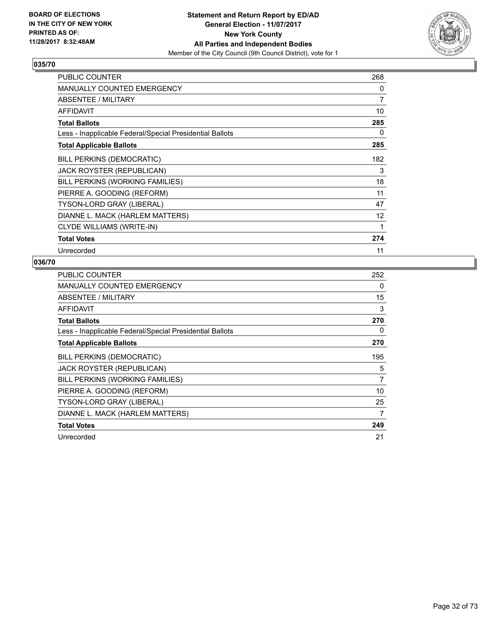

| <b>PUBLIC COUNTER</b>                                    | 268 |
|----------------------------------------------------------|-----|
| <b>MANUALLY COUNTED EMERGENCY</b>                        | 0   |
| ABSENTEE / MILITARY                                      | 7   |
| <b>AFFIDAVIT</b>                                         | 10  |
| <b>Total Ballots</b>                                     | 285 |
| Less - Inapplicable Federal/Special Presidential Ballots | 0   |
| <b>Total Applicable Ballots</b>                          | 285 |
| <b>BILL PERKINS (DEMOCRATIC)</b>                         | 182 |
| <b>JACK ROYSTER (REPUBLICAN)</b>                         | 3   |
| BILL PERKINS (WORKING FAMILIES)                          | 18  |
| PIERRE A. GOODING (REFORM)                               | 11  |
| TYSON-LORD GRAY (LIBERAL)                                | 47  |
| DIANNE L. MACK (HARLEM MATTERS)                          | 12  |
| <b>CLYDE WILLIAMS (WRITE-IN)</b>                         | 1   |
| <b>Total Votes</b>                                       | 274 |
| Unrecorded                                               | 11  |

| <b>PUBLIC COUNTER</b>                                    | 252 |
|----------------------------------------------------------|-----|
| <b>MANUALLY COUNTED EMERGENCY</b>                        | 0   |
| ABSENTEE / MILITARY                                      | 15  |
| AFFIDAVIT                                                | 3   |
| <b>Total Ballots</b>                                     | 270 |
| Less - Inapplicable Federal/Special Presidential Ballots | 0   |
| <b>Total Applicable Ballots</b>                          | 270 |
| <b>BILL PERKINS (DEMOCRATIC)</b>                         | 195 |
| <b>JACK ROYSTER (REPUBLICAN)</b>                         | 5   |
| BILL PERKINS (WORKING FAMILIES)                          | 7   |
| PIERRE A. GOODING (REFORM)                               | 10  |
| <b>TYSON-LORD GRAY (LIBERAL)</b>                         | 25  |
| DIANNE L. MACK (HARLEM MATTERS)                          | 7   |
| <b>Total Votes</b>                                       | 249 |
| Unrecorded                                               | 21  |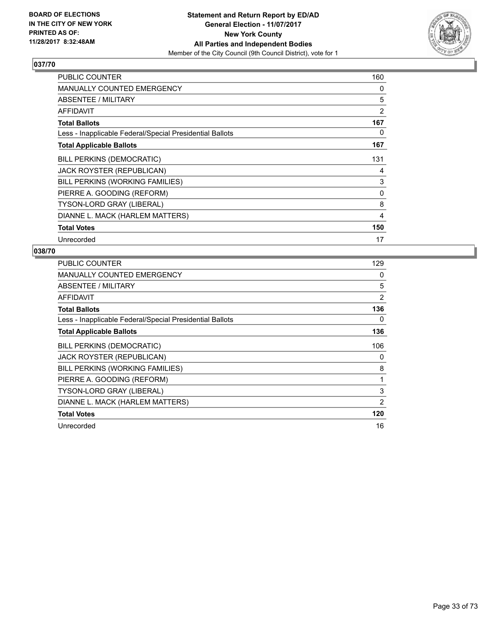

| <b>PUBLIC COUNTER</b>                                    | 160 |
|----------------------------------------------------------|-----|
| <b>MANUALLY COUNTED EMERGENCY</b>                        | 0   |
| ABSENTEE / MILITARY                                      | 5   |
| <b>AFFIDAVIT</b>                                         | 2   |
| <b>Total Ballots</b>                                     | 167 |
| Less - Inapplicable Federal/Special Presidential Ballots | 0   |
| <b>Total Applicable Ballots</b>                          | 167 |
| <b>BILL PERKINS (DEMOCRATIC)</b>                         | 131 |
| <b>JACK ROYSTER (REPUBLICAN)</b>                         | 4   |
| BILL PERKINS (WORKING FAMILIES)                          | 3   |
| PIERRE A. GOODING (REFORM)                               | 0   |
| <b>TYSON-LORD GRAY (LIBERAL)</b>                         | 8   |
| DIANNE L. MACK (HARLEM MATTERS)                          | 4   |
| <b>Total Votes</b>                                       | 150 |
| Unrecorded                                               | 17  |

| <b>PUBLIC COUNTER</b>                                    | 129 |
|----------------------------------------------------------|-----|
| <b>MANUALLY COUNTED EMERGENCY</b>                        | 0   |
| ABSENTEE / MILITARY                                      | 5   |
| <b>AFFIDAVIT</b>                                         | 2   |
| <b>Total Ballots</b>                                     | 136 |
| Less - Inapplicable Federal/Special Presidential Ballots | 0   |
| <b>Total Applicable Ballots</b>                          | 136 |
| <b>BILL PERKINS (DEMOCRATIC)</b>                         | 106 |
| <b>JACK ROYSTER (REPUBLICAN)</b>                         | 0   |
| BILL PERKINS (WORKING FAMILIES)                          | 8   |
| PIERRE A. GOODING (REFORM)                               | 1   |
| TYSON-LORD GRAY (LIBERAL)                                | 3   |
| DIANNE L. MACK (HARLEM MATTERS)                          | 2   |
| <b>Total Votes</b>                                       | 120 |
| Unrecorded                                               | 16  |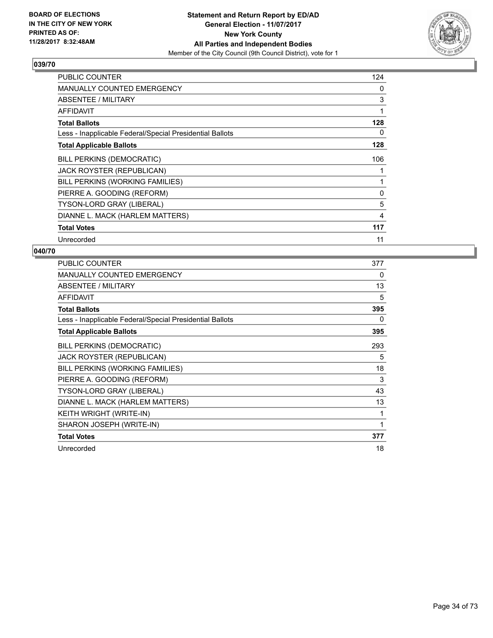

| <b>PUBLIC COUNTER</b>                                    | 124 |
|----------------------------------------------------------|-----|
| <b>MANUALLY COUNTED EMERGENCY</b>                        | 0   |
| ABSENTEE / MILITARY                                      | 3   |
| <b>AFFIDAVIT</b>                                         | 1   |
| <b>Total Ballots</b>                                     | 128 |
| Less - Inapplicable Federal/Special Presidential Ballots | 0   |
| <b>Total Applicable Ballots</b>                          | 128 |
| <b>BILL PERKINS (DEMOCRATIC)</b>                         | 106 |
| <b>JACK ROYSTER (REPUBLICAN)</b>                         | 1   |
| BILL PERKINS (WORKING FAMILIES)                          | 1   |
| PIERRE A. GOODING (REFORM)                               | 0   |
| <b>TYSON-LORD GRAY (LIBERAL)</b>                         | 5   |
| DIANNE L. MACK (HARLEM MATTERS)                          | 4   |
| <b>Total Votes</b>                                       | 117 |
| Unrecorded                                               | 11  |

| PUBLIC COUNTER                                           | 377 |
|----------------------------------------------------------|-----|
| <b>MANUALLY COUNTED EMERGENCY</b>                        | 0   |
| ABSENTEE / MILITARY                                      | 13  |
| <b>AFFIDAVIT</b>                                         | 5   |
| <b>Total Ballots</b>                                     | 395 |
| Less - Inapplicable Federal/Special Presidential Ballots | 0   |
| <b>Total Applicable Ballots</b>                          | 395 |
| <b>BILL PERKINS (DEMOCRATIC)</b>                         | 293 |
| JACK ROYSTER (REPUBLICAN)                                | 5   |
| BILL PERKINS (WORKING FAMILIES)                          | 18  |
| PIERRE A. GOODING (REFORM)                               | 3   |
| TYSON-LORD GRAY (LIBERAL)                                | 43  |
| DIANNE L. MACK (HARLEM MATTERS)                          | 13  |
| <b>KEITH WRIGHT (WRITE-IN)</b>                           | 1   |
| SHARON JOSEPH (WRITE-IN)                                 | 1   |
| <b>Total Votes</b>                                       | 377 |
| Unrecorded                                               | 18  |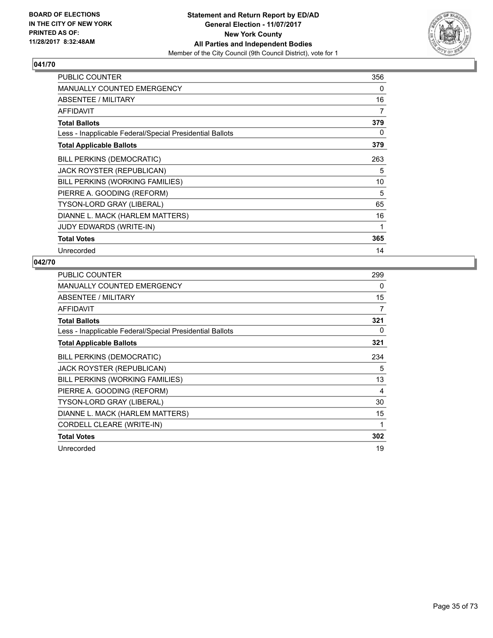

| <b>PUBLIC COUNTER</b>                                    | 356 |
|----------------------------------------------------------|-----|
| <b>MANUALLY COUNTED EMERGENCY</b>                        | 0   |
| ABSENTEE / MILITARY                                      | 16  |
| <b>AFFIDAVIT</b>                                         | 7   |
| <b>Total Ballots</b>                                     | 379 |
| Less - Inapplicable Federal/Special Presidential Ballots | 0   |
| <b>Total Applicable Ballots</b>                          | 379 |
| BILL PERKINS (DEMOCRATIC)                                | 263 |
| JACK ROYSTER (REPUBLICAN)                                | 5   |
| BILL PERKINS (WORKING FAMILIES)                          | 10  |
| PIERRE A. GOODING (REFORM)                               | 5   |
| <b>TYSON-LORD GRAY (LIBERAL)</b>                         | 65  |
| DIANNE L. MACK (HARLEM MATTERS)                          | 16  |
| <b>JUDY EDWARDS (WRITE-IN)</b>                           | 1   |
| <b>Total Votes</b>                                       | 365 |
| Unrecorded                                               | 14  |

| <b>PUBLIC COUNTER</b>                                    | 299 |
|----------------------------------------------------------|-----|
| <b>MANUALLY COUNTED EMERGENCY</b>                        | 0   |
| ABSENTEE / MILITARY                                      | 15  |
| <b>AFFIDAVIT</b>                                         | 7   |
| <b>Total Ballots</b>                                     | 321 |
| Less - Inapplicable Federal/Special Presidential Ballots | 0   |
| <b>Total Applicable Ballots</b>                          | 321 |
| <b>BILL PERKINS (DEMOCRATIC)</b>                         | 234 |
| JACK ROYSTER (REPUBLICAN)                                | 5   |
| BILL PERKINS (WORKING FAMILIES)                          | 13  |
| PIERRE A. GOODING (REFORM)                               | 4   |
| <b>TYSON-LORD GRAY (LIBERAL)</b>                         | 30  |
| DIANNE L. MACK (HARLEM MATTERS)                          | 15  |
| CORDELL CLEARE (WRITE-IN)                                | 1   |
| <b>Total Votes</b>                                       | 302 |
| Unrecorded                                               | 19  |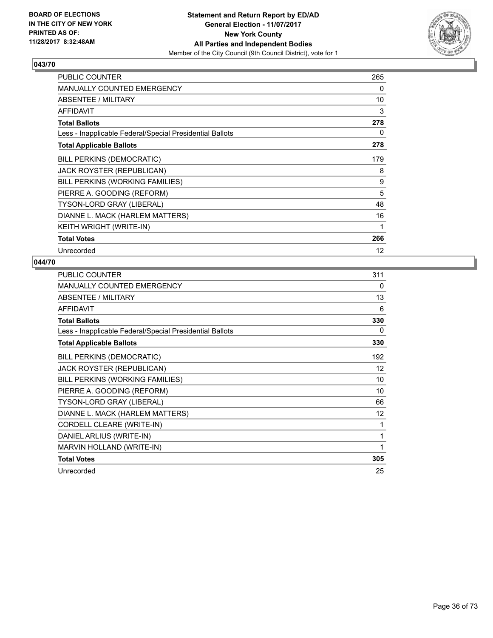

| <b>PUBLIC COUNTER</b>                                    | 265 |
|----------------------------------------------------------|-----|
| <b>MANUALLY COUNTED EMERGENCY</b>                        | 0   |
| ABSENTEE / MILITARY                                      | 10  |
| <b>AFFIDAVIT</b>                                         | 3   |
| <b>Total Ballots</b>                                     | 278 |
| Less - Inapplicable Federal/Special Presidential Ballots | 0   |
| <b>Total Applicable Ballots</b>                          | 278 |
| BILL PERKINS (DEMOCRATIC)                                | 179 |
| JACK ROYSTER (REPUBLICAN)                                | 8   |
| BILL PERKINS (WORKING FAMILIES)                          | 9   |
| PIERRE A. GOODING (REFORM)                               | 5   |
| TYSON-LORD GRAY (LIBERAL)                                | 48  |
| DIANNE L. MACK (HARLEM MATTERS)                          | 16  |
| KEITH WRIGHT (WRITE-IN)                                  | 1   |
| <b>Total Votes</b>                                       | 266 |
| Unrecorded                                               | 12  |

| <b>PUBLIC COUNTER</b>                                    | 311 |
|----------------------------------------------------------|-----|
| <b>MANUALLY COUNTED EMERGENCY</b>                        | 0   |
| ABSENTEE / MILITARY                                      | 13  |
| <b>AFFIDAVIT</b>                                         | 6   |
| <b>Total Ballots</b>                                     | 330 |
| Less - Inapplicable Federal/Special Presidential Ballots | 0   |
| <b>Total Applicable Ballots</b>                          | 330 |
| <b>BILL PERKINS (DEMOCRATIC)</b>                         | 192 |
| JACK ROYSTER (REPUBLICAN)                                | 12  |
| BILL PERKINS (WORKING FAMILIES)                          | 10  |
| PIERRE A. GOODING (REFORM)                               | 10  |
| TYSON-LORD GRAY (LIBERAL)                                | 66  |
| DIANNE L. MACK (HARLEM MATTERS)                          | 12  |
| CORDELL CLEARE (WRITE-IN)                                | 1   |
| DANIEL ARLIUS (WRITE-IN)                                 | 1   |
| MARVIN HOLLAND (WRITE-IN)                                | 1   |
| <b>Total Votes</b>                                       | 305 |
| Unrecorded                                               | 25  |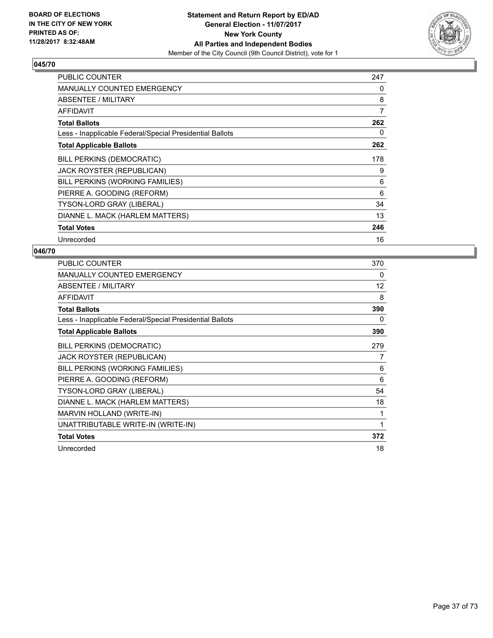

| <b>PUBLIC COUNTER</b>                                    | 247 |
|----------------------------------------------------------|-----|
| <b>MANUALLY COUNTED EMERGENCY</b>                        | 0   |
| <b>ABSENTEE / MILITARY</b>                               | 8   |
| <b>AFFIDAVIT</b>                                         | 7   |
| <b>Total Ballots</b>                                     | 262 |
| Less - Inapplicable Federal/Special Presidential Ballots | 0   |
| <b>Total Applicable Ballots</b>                          | 262 |
| <b>BILL PERKINS (DEMOCRATIC)</b>                         | 178 |
| <b>JACK ROYSTER (REPUBLICAN)</b>                         | 9   |
| BILL PERKINS (WORKING FAMILIES)                          | 6   |
| PIERRE A. GOODING (REFORM)                               | 6   |
| <b>TYSON-LORD GRAY (LIBERAL)</b>                         | 34  |
| DIANNE L. MACK (HARLEM MATTERS)                          | 13  |
| <b>Total Votes</b>                                       | 246 |
| Unrecorded                                               | 16  |

| PUBLIC COUNTER                                           | 370 |
|----------------------------------------------------------|-----|
| <b>MANUALLY COUNTED EMERGENCY</b>                        | 0   |
| ABSENTEE / MILITARY                                      | 12  |
| <b>AFFIDAVIT</b>                                         | 8   |
| <b>Total Ballots</b>                                     | 390 |
| Less - Inapplicable Federal/Special Presidential Ballots | 0   |
| <b>Total Applicable Ballots</b>                          | 390 |
| <b>BILL PERKINS (DEMOCRATIC)</b>                         | 279 |
| JACK ROYSTER (REPUBLICAN)                                | 7   |
| BILL PERKINS (WORKING FAMILIES)                          | 6   |
| PIERRE A. GOODING (REFORM)                               | 6   |
| TYSON-LORD GRAY (LIBERAL)                                | 54  |
| DIANNE L. MACK (HARLEM MATTERS)                          | 18  |
| MARVIN HOLLAND (WRITE-IN)                                | 1   |
| UNATTRIBUTABLE WRITE-IN (WRITE-IN)                       | 1   |
| <b>Total Votes</b>                                       | 372 |
| Unrecorded                                               | 18  |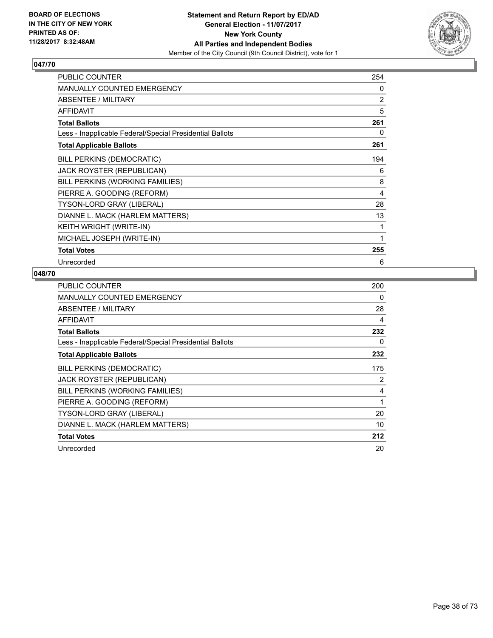

| <b>PUBLIC COUNTER</b>                                    | 254 |
|----------------------------------------------------------|-----|
| MANUALLY COUNTED EMERGENCY                               | 0   |
| ABSENTEE / MILITARY                                      | 2   |
| <b>AFFIDAVIT</b>                                         | 5   |
| <b>Total Ballots</b>                                     | 261 |
| Less - Inapplicable Federal/Special Presidential Ballots | 0   |
| <b>Total Applicable Ballots</b>                          | 261 |
| <b>BILL PERKINS (DEMOCRATIC)</b>                         | 194 |
| JACK ROYSTER (REPUBLICAN)                                | 6   |
| BILL PERKINS (WORKING FAMILIES)                          | 8   |
| PIERRE A. GOODING (REFORM)                               | 4   |
| TYSON-LORD GRAY (LIBERAL)                                | 28  |
| DIANNE L. MACK (HARLEM MATTERS)                          | 13  |
| KEITH WRIGHT (WRITE-IN)                                  | 1   |
| MICHAEL JOSEPH (WRITE-IN)                                | 1   |
| <b>Total Votes</b>                                       | 255 |
| Unrecorded                                               | 6   |

| <b>PUBLIC COUNTER</b>                                    | 200 |
|----------------------------------------------------------|-----|
| <b>MANUALLY COUNTED EMERGENCY</b>                        | 0   |
| ABSENTEE / MILITARY                                      | 28  |
| AFFIDAVIT                                                | 4   |
| <b>Total Ballots</b>                                     | 232 |
| Less - Inapplicable Federal/Special Presidential Ballots | 0   |
| <b>Total Applicable Ballots</b>                          | 232 |
| <b>BILL PERKINS (DEMOCRATIC)</b>                         | 175 |
| <b>JACK ROYSTER (REPUBLICAN)</b>                         | 2   |
| BILL PERKINS (WORKING FAMILIES)                          | 4   |
| PIERRE A. GOODING (REFORM)                               | 1   |
| TYSON-LORD GRAY (LIBERAL)                                | 20  |
| DIANNE L. MACK (HARLEM MATTERS)                          | 10  |
| <b>Total Votes</b>                                       | 212 |
| Unrecorded                                               | 20  |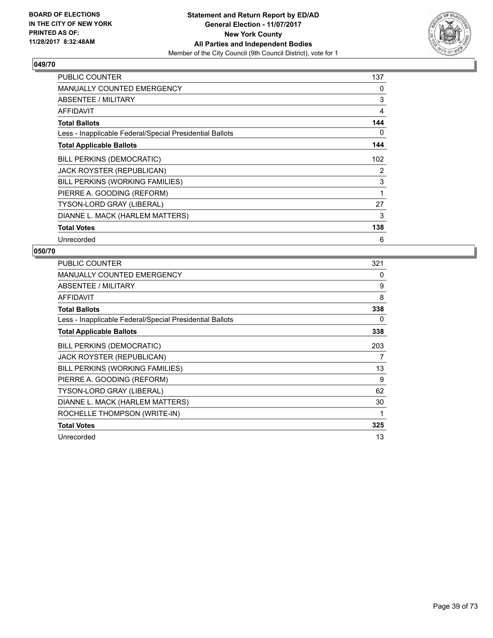

| <b>PUBLIC COUNTER</b>                                    | 137 |
|----------------------------------------------------------|-----|
| <b>MANUALLY COUNTED EMERGENCY</b>                        | 0   |
| <b>ABSENTEE / MILITARY</b>                               | 3   |
| <b>AFFIDAVIT</b>                                         | 4   |
| <b>Total Ballots</b>                                     | 144 |
| Less - Inapplicable Federal/Special Presidential Ballots | 0   |
| <b>Total Applicable Ballots</b>                          | 144 |
| <b>BILL PERKINS (DEMOCRATIC)</b>                         | 102 |
| <b>JACK ROYSTER (REPUBLICAN)</b>                         | 2   |
| BILL PERKINS (WORKING FAMILIES)                          | 3   |
| PIERRE A. GOODING (REFORM)                               | 1   |
| <b>TYSON-LORD GRAY (LIBERAL)</b>                         | 27  |
| DIANNE L. MACK (HARLEM MATTERS)                          | 3   |
| <b>Total Votes</b>                                       | 138 |
| Unrecorded                                               | 6   |

| <b>PUBLIC COUNTER</b>                                    | 321 |
|----------------------------------------------------------|-----|
| <b>MANUALLY COUNTED EMERGENCY</b>                        | 0   |
| ABSENTEE / MILITARY                                      | 9   |
| AFFIDAVIT                                                | 8   |
| <b>Total Ballots</b>                                     | 338 |
| Less - Inapplicable Federal/Special Presidential Ballots | 0   |
| <b>Total Applicable Ballots</b>                          | 338 |
| BILL PERKINS (DEMOCRATIC)                                | 203 |
| <b>JACK ROYSTER (REPUBLICAN)</b>                         | 7   |
| BILL PERKINS (WORKING FAMILIES)                          | 13  |
| PIERRE A. GOODING (REFORM)                               | 9   |
| TYSON-LORD GRAY (LIBERAL)                                | 62  |
| DIANNE L. MACK (HARLEM MATTERS)                          | 30  |
| ROCHELLE THOMPSON (WRITE-IN)                             | 1   |
| <b>Total Votes</b>                                       | 325 |
| Unrecorded                                               | 13  |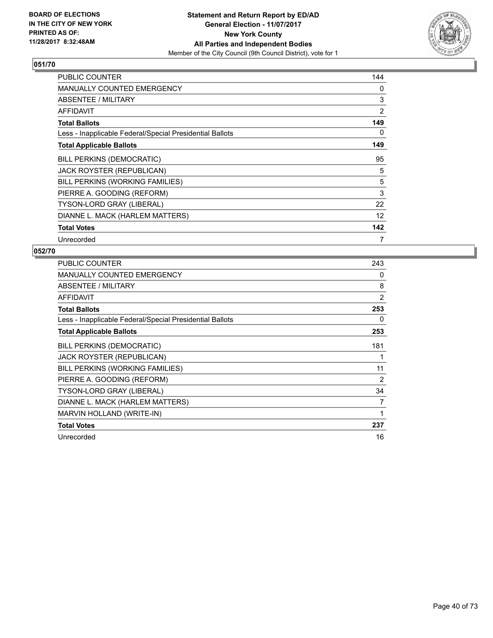

| <b>PUBLIC COUNTER</b>                                    | 144 |
|----------------------------------------------------------|-----|
| <b>MANUALLY COUNTED EMERGENCY</b>                        | 0   |
| ABSENTEE / MILITARY                                      | 3   |
| <b>AFFIDAVIT</b>                                         | 2   |
| <b>Total Ballots</b>                                     | 149 |
| Less - Inapplicable Federal/Special Presidential Ballots | 0   |
| <b>Total Applicable Ballots</b>                          | 149 |
| BILL PERKINS (DEMOCRATIC)                                | 95  |
| JACK ROYSTER (REPUBLICAN)                                | 5   |
| BILL PERKINS (WORKING FAMILIES)                          | 5   |
| PIERRE A. GOODING (REFORM)                               | 3   |
| TYSON-LORD GRAY (LIBERAL)                                | 22  |
| DIANNE L. MACK (HARLEM MATTERS)                          | 12  |
| <b>Total Votes</b>                                       | 142 |
| Unrecorded                                               | 7   |

| <b>PUBLIC COUNTER</b>                                    | 243            |
|----------------------------------------------------------|----------------|
| MANUALLY COUNTED EMERGENCY                               | 0              |
| ABSENTEE / MILITARY                                      | 8              |
| <b>AFFIDAVIT</b>                                         | $\overline{2}$ |
| <b>Total Ballots</b>                                     | 253            |
| Less - Inapplicable Federal/Special Presidential Ballots | 0              |
| <b>Total Applicable Ballots</b>                          | 253            |
| BILL PERKINS (DEMOCRATIC)                                | 181            |
| JACK ROYSTER (REPUBLICAN)                                | 1              |
| BILL PERKINS (WORKING FAMILIES)                          | 11             |
| PIERRE A. GOODING (REFORM)                               | 2              |
| TYSON-LORD GRAY (LIBERAL)                                | 34             |
| DIANNE L. MACK (HARLEM MATTERS)                          | 7              |
| <b>MARVIN HOLLAND (WRITE-IN)</b>                         | 1              |
| <b>Total Votes</b>                                       | 237            |
| Unrecorded                                               | 16             |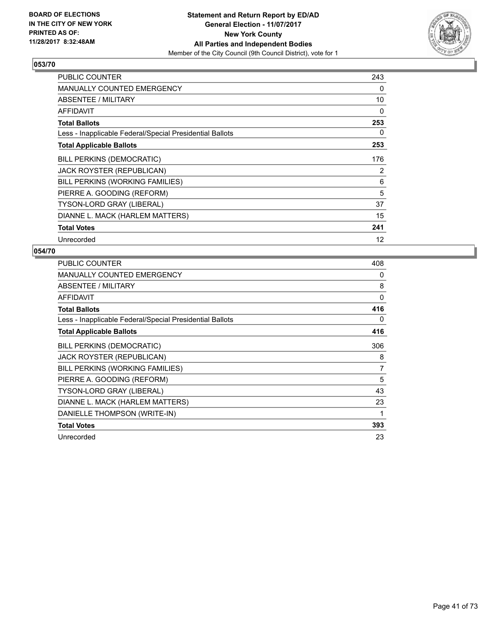

| <b>PUBLIC COUNTER</b>                                    | 243 |
|----------------------------------------------------------|-----|
| <b>MANUALLY COUNTED EMERGENCY</b>                        | 0   |
| <b>ABSENTEE / MILITARY</b>                               | 10  |
| <b>AFFIDAVIT</b>                                         | 0   |
| <b>Total Ballots</b>                                     | 253 |
| Less - Inapplicable Federal/Special Presidential Ballots | 0   |
| <b>Total Applicable Ballots</b>                          | 253 |
| <b>BILL PERKINS (DEMOCRATIC)</b>                         | 176 |
| <b>JACK ROYSTER (REPUBLICAN)</b>                         | 2   |
| BILL PERKINS (WORKING FAMILIES)                          | 6   |
| PIERRE A. GOODING (REFORM)                               | 5   |
| <b>TYSON-LORD GRAY (LIBERAL)</b>                         | 37  |
| DIANNE L. MACK (HARLEM MATTERS)                          | 15  |
| <b>Total Votes</b>                                       | 241 |
| Unrecorded                                               | 12  |

| <b>PUBLIC COUNTER</b>                                    | 408 |
|----------------------------------------------------------|-----|
| <b>MANUALLY COUNTED EMERGENCY</b>                        | 0   |
| ABSENTEE / MILITARY                                      | 8   |
| AFFIDAVIT                                                | 0   |
| <b>Total Ballots</b>                                     | 416 |
| Less - Inapplicable Federal/Special Presidential Ballots | 0   |
| <b>Total Applicable Ballots</b>                          | 416 |
| BILL PERKINS (DEMOCRATIC)                                | 306 |
| <b>JACK ROYSTER (REPUBLICAN)</b>                         | 8   |
| BILL PERKINS (WORKING FAMILIES)                          | 7   |
| PIERRE A. GOODING (REFORM)                               | 5   |
| TYSON-LORD GRAY (LIBERAL)                                | 43  |
| DIANNE L. MACK (HARLEM MATTERS)                          | 23  |
| DANIELLE THOMPSON (WRITE-IN)                             | 1   |
| <b>Total Votes</b>                                       | 393 |
| Unrecorded                                               | 23  |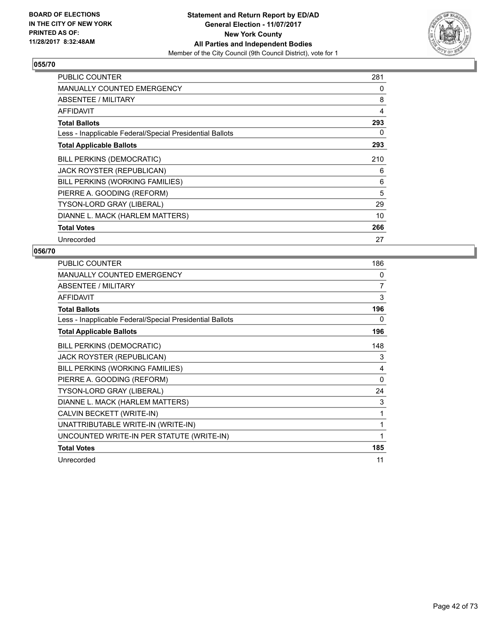

| <b>PUBLIC COUNTER</b>                                    | 281 |
|----------------------------------------------------------|-----|
| <b>MANUALLY COUNTED EMERGENCY</b>                        | 0   |
| ABSENTEE / MILITARY                                      | 8   |
| <b>AFFIDAVIT</b>                                         | 4   |
| <b>Total Ballots</b>                                     | 293 |
| Less - Inapplicable Federal/Special Presidential Ballots | 0   |
| <b>Total Applicable Ballots</b>                          | 293 |
| <b>BILL PERKINS (DEMOCRATIC)</b>                         | 210 |
| JACK ROYSTER (REPUBLICAN)                                | 6   |
| BILL PERKINS (WORKING FAMILIES)                          | 6   |
| PIERRE A. GOODING (REFORM)                               | 5   |
| <b>TYSON-LORD GRAY (LIBERAL)</b>                         | 29  |
| DIANNE L. MACK (HARLEM MATTERS)                          | 10  |
| <b>Total Votes</b>                                       | 266 |
| Unrecorded                                               | 27  |

| PUBLIC COUNTER                                           | 186            |
|----------------------------------------------------------|----------------|
| MANUALLY COUNTED EMERGENCY                               | 0              |
| ABSENTEE / MILITARY                                      | $\overline{7}$ |
| <b>AFFIDAVIT</b>                                         | 3              |
| <b>Total Ballots</b>                                     | 196            |
| Less - Inapplicable Federal/Special Presidential Ballots | 0              |
| <b>Total Applicable Ballots</b>                          | 196            |
| <b>BILL PERKINS (DEMOCRATIC)</b>                         | 148            |
| <b>JACK ROYSTER (REPUBLICAN)</b>                         | 3              |
| BILL PERKINS (WORKING FAMILIES)                          | 4              |
| PIERRE A. GOODING (REFORM)                               | 0              |
| TYSON-LORD GRAY (LIBERAL)                                | 24             |
| DIANNE L. MACK (HARLEM MATTERS)                          | 3              |
| CALVIN BECKETT (WRITE-IN)                                | 1              |
| UNATTRIBUTABLE WRITE-IN (WRITE-IN)                       | 1              |
| UNCOUNTED WRITE-IN PER STATUTE (WRITE-IN)                | 1              |
| <b>Total Votes</b>                                       | 185            |
| Unrecorded                                               | 11             |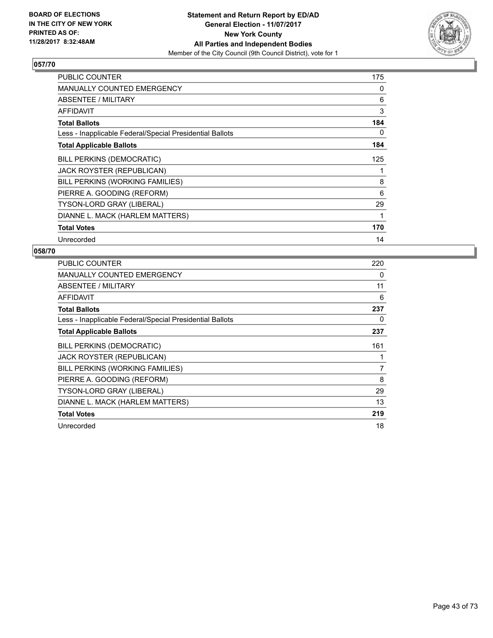

| <b>PUBLIC COUNTER</b>                                    | 175 |
|----------------------------------------------------------|-----|
| <b>MANUALLY COUNTED EMERGENCY</b>                        | 0   |
| ABSENTEE / MILITARY                                      | 6   |
| <b>AFFIDAVIT</b>                                         | 3   |
| <b>Total Ballots</b>                                     | 184 |
| Less - Inapplicable Federal/Special Presidential Ballots | 0   |
| <b>Total Applicable Ballots</b>                          | 184 |
| BILL PERKINS (DEMOCRATIC)                                | 125 |
| JACK ROYSTER (REPUBLICAN)                                | 1   |
| BILL PERKINS (WORKING FAMILIES)                          | 8   |
| PIERRE A. GOODING (REFORM)                               | 6   |
| <b>TYSON-LORD GRAY (LIBERAL)</b>                         | 29  |
| DIANNE L. MACK (HARLEM MATTERS)                          | 1   |
| <b>Total Votes</b>                                       | 170 |
| Unrecorded                                               | 14  |

| PUBLIC COUNTER                                           | 220 |
|----------------------------------------------------------|-----|
| MANUALLY COUNTED EMERGENCY                               | 0   |
| ABSENTEE / MILITARY                                      | 11  |
| AFFIDAVIT                                                | 6   |
| <b>Total Ballots</b>                                     | 237 |
| Less - Inapplicable Federal/Special Presidential Ballots | 0   |
| <b>Total Applicable Ballots</b>                          | 237 |
| <b>BILL PERKINS (DEMOCRATIC)</b>                         | 161 |
| <b>JACK ROYSTER (REPUBLICAN)</b>                         |     |
| BILL PERKINS (WORKING FAMILIES)                          | 7   |
| PIERRE A. GOODING (REFORM)                               | 8   |
| <b>TYSON-LORD GRAY (LIBERAL)</b>                         | 29  |
| DIANNE L. MACK (HARLEM MATTERS)                          | 13  |
| <b>Total Votes</b>                                       | 219 |
| Unrecorded                                               | 18  |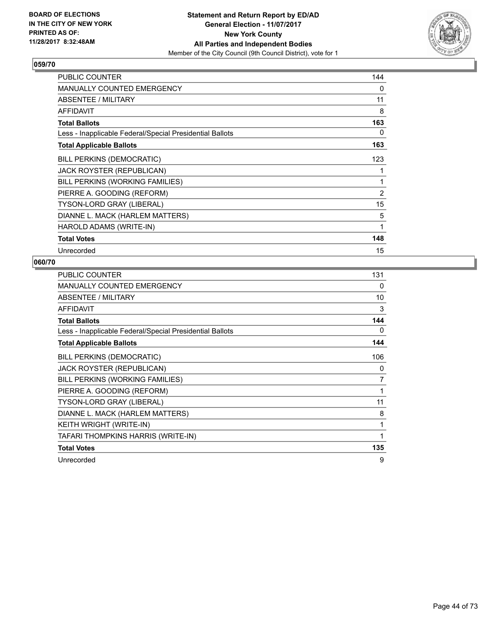

| <b>PUBLIC COUNTER</b>                                    | 144 |
|----------------------------------------------------------|-----|
| <b>MANUALLY COUNTED EMERGENCY</b>                        | 0   |
| ABSENTEE / MILITARY                                      | 11  |
| <b>AFFIDAVIT</b>                                         | 8   |
| <b>Total Ballots</b>                                     | 163 |
| Less - Inapplicable Federal/Special Presidential Ballots | 0   |
| <b>Total Applicable Ballots</b>                          | 163 |
| <b>BILL PERKINS (DEMOCRATIC)</b>                         | 123 |
| JACK ROYSTER (REPUBLICAN)                                | 1   |
| BILL PERKINS (WORKING FAMILIES)                          | 1   |
| PIERRE A. GOODING (REFORM)                               | 2   |
| TYSON-LORD GRAY (LIBERAL)                                | 15  |
| DIANNE L. MACK (HARLEM MATTERS)                          | 5   |
| HAROLD ADAMS (WRITE-IN)                                  | 1   |
| <b>Total Votes</b>                                       | 148 |
| Unrecorded                                               | 15  |

| PUBLIC COUNTER                                           | 131      |
|----------------------------------------------------------|----------|
| <b>MANUALLY COUNTED EMERGENCY</b>                        | $\Omega$ |
| ABSENTEE / MILITARY                                      | 10       |
| <b>AFFIDAVIT</b>                                         | 3        |
| <b>Total Ballots</b>                                     | 144      |
| Less - Inapplicable Federal/Special Presidential Ballots | 0        |
| <b>Total Applicable Ballots</b>                          | 144      |
| <b>BILL PERKINS (DEMOCRATIC)</b>                         | 106      |
| JACK ROYSTER (REPUBLICAN)                                | 0        |
| BILL PERKINS (WORKING FAMILIES)                          | 7        |
| PIERRE A. GOODING (REFORM)                               | 1        |
| TYSON-LORD GRAY (LIBERAL)                                | 11       |
| DIANNE L. MACK (HARLEM MATTERS)                          | 8        |
| KEITH WRIGHT (WRITE-IN)                                  | 1        |
| TAFARI THOMPKINS HARRIS (WRITE-IN)                       | 1        |
| <b>Total Votes</b>                                       | 135      |
| Unrecorded                                               | 9        |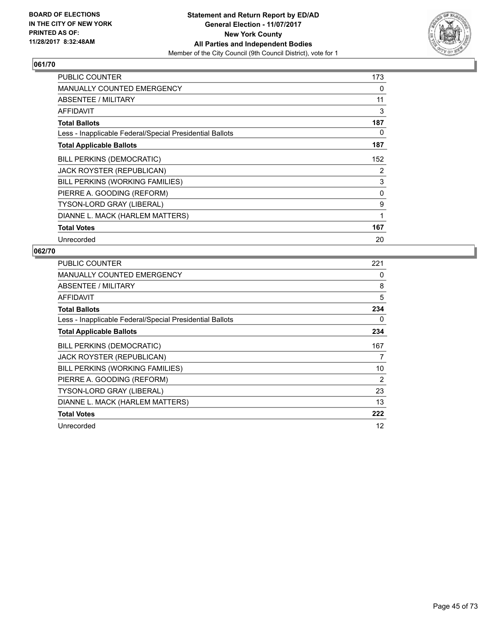

| <b>PUBLIC COUNTER</b>                                    | 173 |
|----------------------------------------------------------|-----|
| <b>MANUALLY COUNTED EMERGENCY</b>                        | 0   |
| <b>ABSENTEE / MILITARY</b>                               | 11  |
| <b>AFFIDAVIT</b>                                         | 3   |
| <b>Total Ballots</b>                                     | 187 |
| Less - Inapplicable Federal/Special Presidential Ballots | 0   |
| <b>Total Applicable Ballots</b>                          | 187 |
| <b>BILL PERKINS (DEMOCRATIC)</b>                         | 152 |
| <b>JACK ROYSTER (REPUBLICAN)</b>                         | 2   |
| BILL PERKINS (WORKING FAMILIES)                          | 3   |
| PIERRE A. GOODING (REFORM)                               | 0   |
| <b>TYSON-LORD GRAY (LIBERAL)</b>                         | 9   |
| DIANNE L. MACK (HARLEM MATTERS)                          | 1   |
| <b>Total Votes</b>                                       | 167 |
| Unrecorded                                               | 20  |

| <b>PUBLIC COUNTER</b>                                    | 221 |
|----------------------------------------------------------|-----|
| MANUALLY COUNTED EMERGENCY                               | 0   |
| ABSENTEE / MILITARY                                      | 8   |
| AFFIDAVIT                                                | 5   |
| <b>Total Ballots</b>                                     | 234 |
| Less - Inapplicable Federal/Special Presidential Ballots | 0   |
| <b>Total Applicable Ballots</b>                          | 234 |
| <b>BILL PERKINS (DEMOCRATIC)</b>                         | 167 |
| <b>JACK ROYSTER (REPUBLICAN)</b>                         | 7   |
| BILL PERKINS (WORKING FAMILIES)                          | 10  |
| PIERRE A. GOODING (REFORM)                               | 2   |
| <b>TYSON-LORD GRAY (LIBERAL)</b>                         | 23  |
| DIANNE L. MACK (HARLEM MATTERS)                          | 13  |
| <b>Total Votes</b>                                       | 222 |
| Unrecorded                                               | 12  |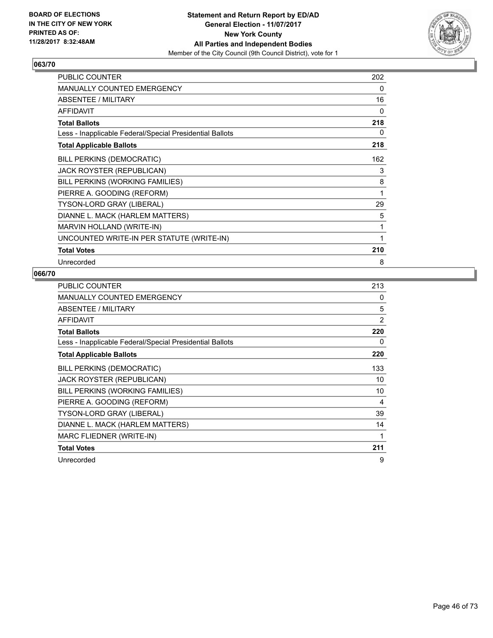

| <b>PUBLIC COUNTER</b>                                    | 202 |
|----------------------------------------------------------|-----|
| <b>MANUALLY COUNTED EMERGENCY</b>                        | 0   |
| <b>ABSENTEE / MILITARY</b>                               | 16  |
| <b>AFFIDAVIT</b>                                         | 0   |
| <b>Total Ballots</b>                                     | 218 |
| Less - Inapplicable Federal/Special Presidential Ballots | 0   |
| <b>Total Applicable Ballots</b>                          | 218 |
| BILL PERKINS (DEMOCRATIC)                                | 162 |
| <b>JACK ROYSTER (REPUBLICAN)</b>                         | 3   |
| BILL PERKINS (WORKING FAMILIES)                          | 8   |
| PIERRE A. GOODING (REFORM)                               | 1   |
| TYSON-LORD GRAY (LIBERAL)                                | 29  |
| DIANNE L. MACK (HARLEM MATTERS)                          | 5   |
| MARVIN HOLLAND (WRITE-IN)                                | 1   |
| UNCOUNTED WRITE-IN PER STATUTE (WRITE-IN)                | 1   |
| <b>Total Votes</b>                                       | 210 |
| Unrecorded                                               | 8   |

| <b>PUBLIC COUNTER</b>                                    | 213 |
|----------------------------------------------------------|-----|
| <b>MANUALLY COUNTED EMERGENCY</b>                        | 0   |
| ABSENTEE / MILITARY                                      | 5   |
| AFFIDAVIT                                                | 2   |
| <b>Total Ballots</b>                                     | 220 |
| Less - Inapplicable Federal/Special Presidential Ballots | 0   |
| <b>Total Applicable Ballots</b>                          | 220 |
| <b>BILL PERKINS (DEMOCRATIC)</b>                         | 133 |
| JACK ROYSTER (REPUBLICAN)                                | 10  |
| BILL PERKINS (WORKING FAMILIES)                          | 10  |
| PIERRE A. GOODING (REFORM)                               | 4   |
| <b>TYSON-LORD GRAY (LIBERAL)</b>                         | 39  |
| DIANNE L. MACK (HARLEM MATTERS)                          | 14  |
| MARC FLIEDNER (WRITE-IN)                                 | 1   |
| <b>Total Votes</b>                                       | 211 |
| Unrecorded                                               | 9   |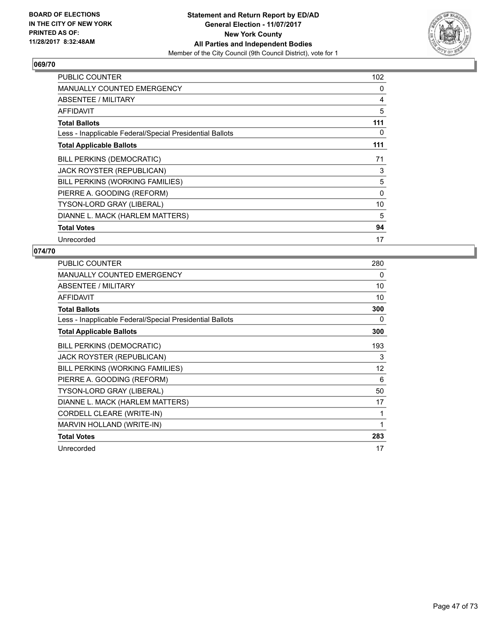

| <b>PUBLIC COUNTER</b>                                    | 102      |
|----------------------------------------------------------|----------|
| <b>MANUALLY COUNTED EMERGENCY</b>                        | 0        |
| <b>ABSENTEE / MILITARY</b>                               | 4        |
| <b>AFFIDAVIT</b>                                         | 5        |
| <b>Total Ballots</b>                                     | 111      |
| Less - Inapplicable Federal/Special Presidential Ballots | 0        |
| <b>Total Applicable Ballots</b>                          | 111      |
| <b>BILL PERKINS (DEMOCRATIC)</b>                         | 71       |
| <b>JACK ROYSTER (REPUBLICAN)</b>                         | 3        |
| BILL PERKINS (WORKING FAMILIES)                          | 5        |
| PIERRE A. GOODING (REFORM)                               | $\Omega$ |
| <b>TYSON-LORD GRAY (LIBERAL)</b>                         | 10       |
| DIANNE L. MACK (HARLEM MATTERS)                          | 5        |
| <b>Total Votes</b>                                       | 94       |
| Unrecorded                                               | 17       |

| PUBLIC COUNTER                                           | 280 |
|----------------------------------------------------------|-----|
| <b>MANUALLY COUNTED EMERGENCY</b>                        | 0   |
| ABSENTEE / MILITARY                                      | 10  |
| <b>AFFIDAVIT</b>                                         | 10  |
| <b>Total Ballots</b>                                     | 300 |
| Less - Inapplicable Federal/Special Presidential Ballots | 0   |
| <b>Total Applicable Ballots</b>                          | 300 |
| <b>BILL PERKINS (DEMOCRATIC)</b>                         | 193 |
| JACK ROYSTER (REPUBLICAN)                                | 3   |
| BILL PERKINS (WORKING FAMILIES)                          | 12  |
| PIERRE A. GOODING (REFORM)                               | 6   |
| TYSON-LORD GRAY (LIBERAL)                                | 50  |
| DIANNE L. MACK (HARLEM MATTERS)                          | 17  |
| CORDELL CLEARE (WRITE-IN)                                | 1   |
| MARVIN HOLLAND (WRITE-IN)                                | 1   |
| <b>Total Votes</b>                                       | 283 |
| Unrecorded                                               | 17  |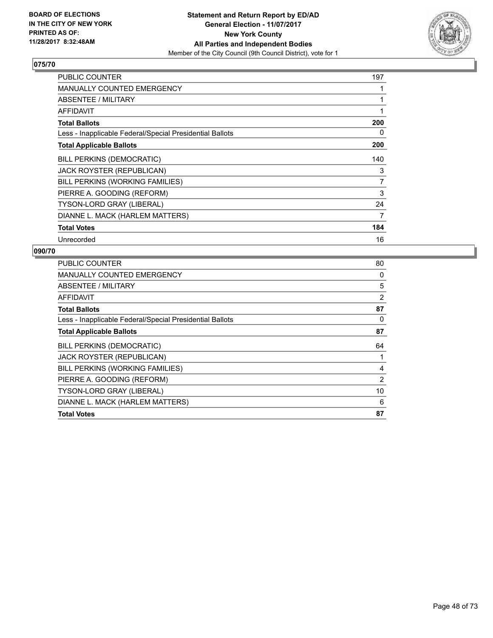

| PUBLIC COUNTER                                           | 197            |
|----------------------------------------------------------|----------------|
| <b>MANUALLY COUNTED EMERGENCY</b>                        |                |
| <b>ABSENTEE / MILITARY</b>                               |                |
| <b>AFFIDAVIT</b>                                         |                |
| <b>Total Ballots</b>                                     | 200            |
| Less - Inapplicable Federal/Special Presidential Ballots | 0              |
| <b>Total Applicable Ballots</b>                          | 200            |
| <b>BILL PERKINS (DEMOCRATIC)</b>                         | 140            |
| <b>JACK ROYSTER (REPUBLICAN)</b>                         | 3              |
| BILL PERKINS (WORKING FAMILIES)                          | $\overline{7}$ |
| PIERRE A. GOODING (REFORM)                               | 3              |
| <b>TYSON-LORD GRAY (LIBERAL)</b>                         | 24             |
| DIANNE L. MACK (HARLEM MATTERS)                          | 7              |
| <b>Total Votes</b>                                       | 184            |
| Unrecorded                                               | 16             |

| <b>PUBLIC COUNTER</b>                                    | 80             |
|----------------------------------------------------------|----------------|
| <b>MANUALLY COUNTED EMERGENCY</b>                        | 0              |
| ABSENTEE / MILITARY                                      | 5              |
| AFFIDAVIT                                                | $\overline{2}$ |
| <b>Total Ballots</b>                                     | 87             |
| Less - Inapplicable Federal/Special Presidential Ballots | 0              |
| <b>Total Applicable Ballots</b>                          | 87             |
| <b>BILL PERKINS (DEMOCRATIC)</b>                         | 64             |
| JACK ROYSTER (REPUBLICAN)                                |                |
| BILL PERKINS (WORKING FAMILIES)                          | 4              |
| PIERRE A. GOODING (REFORM)                               | 2              |
| TYSON-LORD GRAY (LIBERAL)                                | 10             |
| DIANNE L. MACK (HARLEM MATTERS)                          | 6              |
| <b>Total Votes</b>                                       | 87             |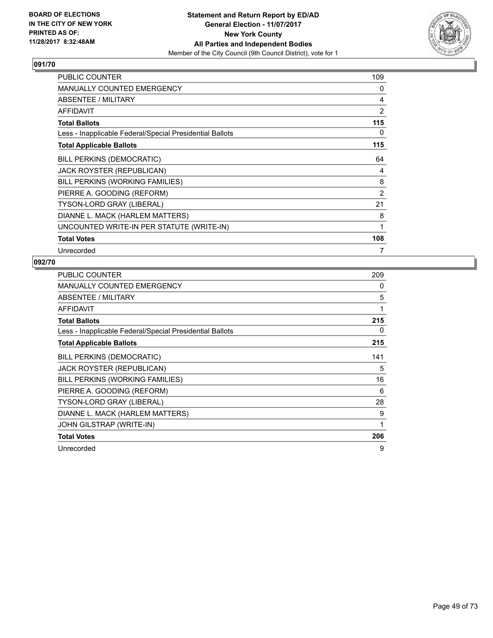

| <b>PUBLIC COUNTER</b>                                    | 109            |
|----------------------------------------------------------|----------------|
| <b>MANUALLY COUNTED EMERGENCY</b>                        | 0              |
| ABSENTEE / MILITARY                                      | 4              |
| <b>AFFIDAVIT</b>                                         | 2              |
| <b>Total Ballots</b>                                     | 115            |
| Less - Inapplicable Federal/Special Presidential Ballots | 0              |
| <b>Total Applicable Ballots</b>                          | 115            |
| <b>BILL PERKINS (DEMOCRATIC)</b>                         | 64             |
| <b>JACK ROYSTER (REPUBLICAN)</b>                         | 4              |
| BILL PERKINS (WORKING FAMILIES)                          | 8              |
| PIERRE A. GOODING (REFORM)                               | $\overline{2}$ |
| TYSON-LORD GRAY (LIBERAL)                                | 21             |
| DIANNE L. MACK (HARLEM MATTERS)                          | 8              |
| UNCOUNTED WRITE-IN PER STATUTE (WRITE-IN)                | 1              |
| <b>Total Votes</b>                                       | 108            |
| Unrecorded                                               | 7              |

| <b>PUBLIC COUNTER</b>                                    | 209 |
|----------------------------------------------------------|-----|
| <b>MANUALLY COUNTED EMERGENCY</b>                        | 0   |
| ABSENTEE / MILITARY                                      | 5   |
| AFFIDAVIT                                                | 1   |
| <b>Total Ballots</b>                                     | 215 |
| Less - Inapplicable Federal/Special Presidential Ballots | 0   |
| <b>Total Applicable Ballots</b>                          | 215 |
| BILL PERKINS (DEMOCRATIC)                                | 141 |
| JACK ROYSTER (REPUBLICAN)                                | 5   |
| BILL PERKINS (WORKING FAMILIES)                          | 16  |
| PIERRE A. GOODING (REFORM)                               | 6   |
| TYSON-LORD GRAY (LIBERAL)                                | 28  |
| DIANNE L. MACK (HARLEM MATTERS)                          | 9   |
| JOHN GILSTRAP (WRITE-IN)                                 | 1   |
| <b>Total Votes</b>                                       | 206 |
| Unrecorded                                               | 9   |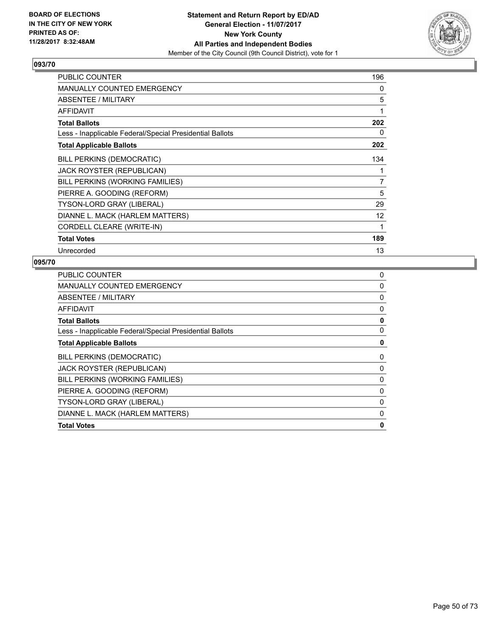

| <b>PUBLIC COUNTER</b>                                    | 196          |
|----------------------------------------------------------|--------------|
| <b>MANUALLY COUNTED EMERGENCY</b>                        | 0            |
| ABSENTEE / MILITARY                                      | 5            |
| <b>AFFIDAVIT</b>                                         | $\mathbf{1}$ |
| <b>Total Ballots</b>                                     | 202          |
| Less - Inapplicable Federal/Special Presidential Ballots | 0            |
| <b>Total Applicable Ballots</b>                          | 202          |
| <b>BILL PERKINS (DEMOCRATIC)</b>                         | 134          |
| <b>JACK ROYSTER (REPUBLICAN)</b>                         | 1            |
| BILL PERKINS (WORKING FAMILIES)                          | 7            |
| PIERRE A. GOODING (REFORM)                               | 5            |
| TYSON-LORD GRAY (LIBERAL)                                | 29           |
| DIANNE L. MACK (HARLEM MATTERS)                          | 12           |
| CORDELL CLEARE (WRITE-IN)                                | 1            |
| <b>Total Votes</b>                                       | 189          |
| Unrecorded                                               | 13           |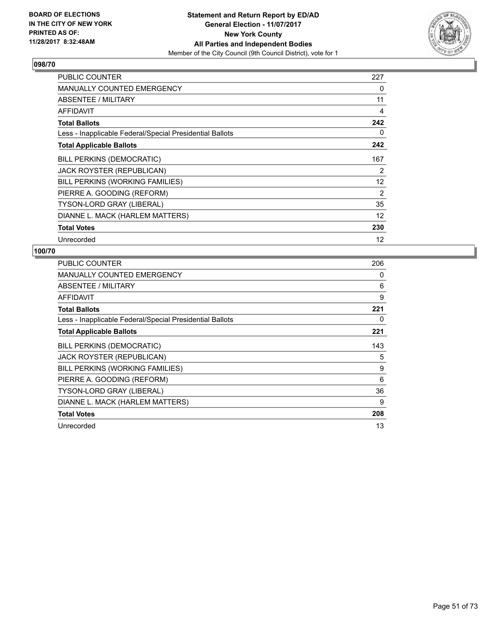

| <b>PUBLIC COUNTER</b>                                    | 227 |
|----------------------------------------------------------|-----|
| <b>MANUALLY COUNTED EMERGENCY</b>                        | 0   |
| <b>ABSENTEE / MILITARY</b>                               | 11  |
| <b>AFFIDAVIT</b>                                         | 4   |
| <b>Total Ballots</b>                                     | 242 |
| Less - Inapplicable Federal/Special Presidential Ballots | 0   |
| <b>Total Applicable Ballots</b>                          | 242 |
| <b>BILL PERKINS (DEMOCRATIC)</b>                         | 167 |
| <b>JACK ROYSTER (REPUBLICAN)</b>                         | 2   |
| BILL PERKINS (WORKING FAMILIES)                          | 12  |
| PIERRE A. GOODING (REFORM)                               | 2   |
| <b>TYSON-LORD GRAY (LIBERAL)</b>                         | 35  |
| DIANNE L. MACK (HARLEM MATTERS)                          | 12  |
| <b>Total Votes</b>                                       | 230 |
| Unrecorded                                               | 12  |

| <b>PUBLIC COUNTER</b>                                    | 206 |
|----------------------------------------------------------|-----|
| <b>MANUALLY COUNTED EMERGENCY</b>                        | 0   |
| ABSENTEE / MILITARY                                      | 6   |
| AFFIDAVIT                                                | 9   |
| <b>Total Ballots</b>                                     | 221 |
| Less - Inapplicable Federal/Special Presidential Ballots | 0   |
| <b>Total Applicable Ballots</b>                          | 221 |
| <b>BILL PERKINS (DEMOCRATIC)</b>                         | 143 |
| JACK ROYSTER (REPUBLICAN)                                | 5   |
| BILL PERKINS (WORKING FAMILIES)                          | 9   |
| PIERRE A. GOODING (REFORM)                               | 6   |
| <b>TYSON-LORD GRAY (LIBERAL)</b>                         | 36  |
| DIANNE L. MACK (HARLEM MATTERS)                          | 9   |
| <b>Total Votes</b>                                       | 208 |
| Unrecorded                                               | 13  |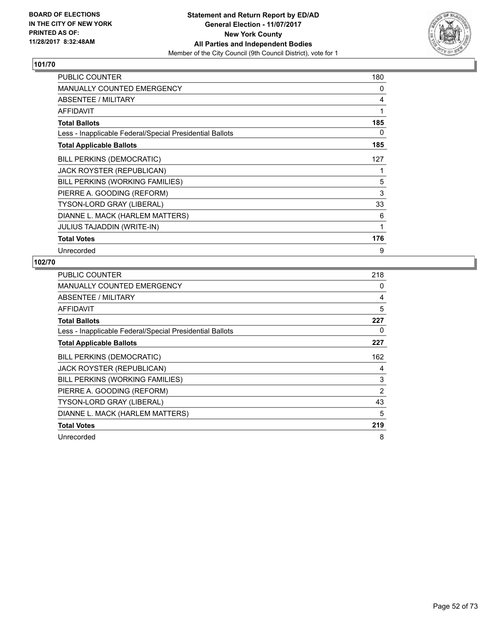

| <b>PUBLIC COUNTER</b>                                    | 180 |
|----------------------------------------------------------|-----|
| MANUALLY COUNTED EMERGENCY                               | 0   |
| ABSENTEE / MILITARY                                      | 4   |
| AFFIDAVIT                                                | 1   |
| <b>Total Ballots</b>                                     | 185 |
| Less - Inapplicable Federal/Special Presidential Ballots | 0   |
| <b>Total Applicable Ballots</b>                          | 185 |
| <b>BILL PERKINS (DEMOCRATIC)</b>                         | 127 |
| JACK ROYSTER (REPUBLICAN)                                | 1   |
| BILL PERKINS (WORKING FAMILIES)                          | 5   |
| PIERRE A. GOODING (REFORM)                               | 3   |
| <b>TYSON-LORD GRAY (LIBERAL)</b>                         | 33  |
| DIANNE L. MACK (HARLEM MATTERS)                          | 6   |
| <b>JULIUS TAJADDIN (WRITE-IN)</b>                        | 1   |
| <b>Total Votes</b>                                       | 176 |
| Unrecorded                                               | 9   |

| <b>PUBLIC COUNTER</b>                                    | 218 |
|----------------------------------------------------------|-----|
| <b>MANUALLY COUNTED EMERGENCY</b>                        | 0   |
| ABSENTEE / MILITARY                                      | 4   |
| <b>AFFIDAVIT</b>                                         | 5   |
| <b>Total Ballots</b>                                     | 227 |
| Less - Inapplicable Federal/Special Presidential Ballots | 0   |
| <b>Total Applicable Ballots</b>                          | 227 |
| <b>BILL PERKINS (DEMOCRATIC)</b>                         | 162 |
| JACK ROYSTER (REPUBLICAN)                                | 4   |
| BILL PERKINS (WORKING FAMILIES)                          | 3   |
| PIERRE A. GOODING (REFORM)                               | 2   |
| <b>TYSON-LORD GRAY (LIBERAL)</b>                         | 43  |
| DIANNE L. MACK (HARLEM MATTERS)                          | 5   |
| <b>Total Votes</b>                                       | 219 |
| Unrecorded                                               | 8   |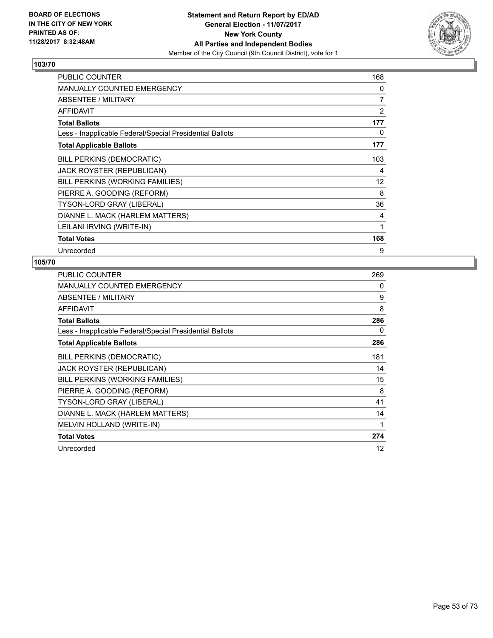

| <b>PUBLIC COUNTER</b>                                    | 168 |
|----------------------------------------------------------|-----|
| <b>MANUALLY COUNTED EMERGENCY</b>                        | 0   |
| ABSENTEE / MILITARY                                      | 7   |
| <b>AFFIDAVIT</b>                                         | 2   |
| <b>Total Ballots</b>                                     | 177 |
| Less - Inapplicable Federal/Special Presidential Ballots | 0   |
| <b>Total Applicable Ballots</b>                          | 177 |
| <b>BILL PERKINS (DEMOCRATIC)</b>                         | 103 |
| <b>JACK ROYSTER (REPUBLICAN)</b>                         | 4   |
| BILL PERKINS (WORKING FAMILIES)                          | 12  |
| PIERRE A. GOODING (REFORM)                               | 8   |
| TYSON-LORD GRAY (LIBERAL)                                | 36  |
| DIANNE L. MACK (HARLEM MATTERS)                          | 4   |
| LEILANI IRVING (WRITE-IN)                                | 1   |
| <b>Total Votes</b>                                       | 168 |
| Unrecorded                                               | 9   |

| <b>PUBLIC COUNTER</b>                                    | 269 |
|----------------------------------------------------------|-----|
| MANUALLY COUNTED EMERGENCY                               | 0   |
| ABSENTEE / MILITARY                                      | 9   |
| AFFIDAVIT                                                | 8   |
| <b>Total Ballots</b>                                     | 286 |
| Less - Inapplicable Federal/Special Presidential Ballots | 0   |
| <b>Total Applicable Ballots</b>                          | 286 |
| BILL PERKINS (DEMOCRATIC)                                | 181 |
| JACK ROYSTER (REPUBLICAN)                                | 14  |
| BILL PERKINS (WORKING FAMILIES)                          | 15  |
| PIERRE A. GOODING (REFORM)                               | 8   |
| TYSON-LORD GRAY (LIBERAL)                                | 41  |
| DIANNE L. MACK (HARLEM MATTERS)                          | 14  |
| MELVIN HOLLAND (WRITE-IN)                                | 1   |
| <b>Total Votes</b>                                       | 274 |
| Unrecorded                                               | 12  |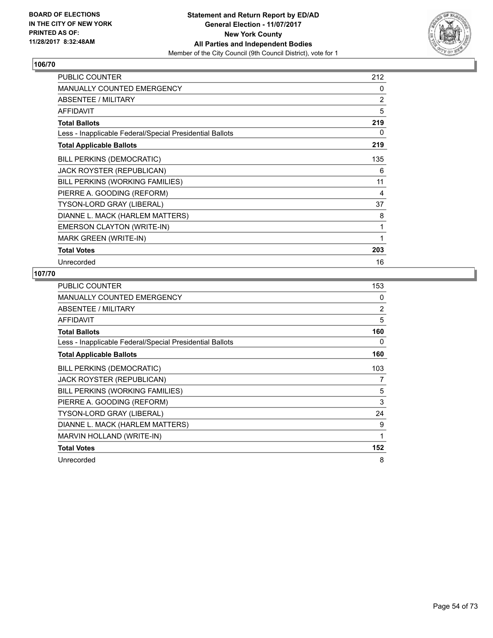

| <b>PUBLIC COUNTER</b>                                    | 212 |
|----------------------------------------------------------|-----|
| <b>MANUALLY COUNTED EMERGENCY</b>                        | 0   |
| <b>ABSENTEE / MILITARY</b>                               | 2   |
| <b>AFFIDAVIT</b>                                         | 5   |
| <b>Total Ballots</b>                                     | 219 |
| Less - Inapplicable Federal/Special Presidential Ballots | 0   |
| <b>Total Applicable Ballots</b>                          | 219 |
| BILL PERKINS (DEMOCRATIC)                                | 135 |
| JACK ROYSTER (REPUBLICAN)                                | 6   |
| BILL PERKINS (WORKING FAMILIES)                          | 11  |
| PIERRE A. GOODING (REFORM)                               | 4   |
| TYSON-LORD GRAY (LIBERAL)                                | 37  |
| DIANNE L. MACK (HARLEM MATTERS)                          | 8   |
| EMERSON CLAYTON (WRITE-IN)                               | 1   |
| MARK GREEN (WRITE-IN)                                    | 1   |
| <b>Total Votes</b>                                       | 203 |
| Unrecorded                                               | 16  |

| <b>PUBLIC COUNTER</b>                                    | 153 |
|----------------------------------------------------------|-----|
| MANUALLY COUNTED EMERGENCY                               | 0   |
| ABSENTEE / MILITARY                                      | 2   |
| <b>AFFIDAVIT</b>                                         | 5   |
| <b>Total Ballots</b>                                     | 160 |
| Less - Inapplicable Federal/Special Presidential Ballots | 0   |
| <b>Total Applicable Ballots</b>                          | 160 |
| <b>BILL PERKINS (DEMOCRATIC)</b>                         | 103 |
| <b>JACK ROYSTER (REPUBLICAN)</b>                         | 7   |
| BILL PERKINS (WORKING FAMILIES)                          | 5   |
| PIERRE A. GOODING (REFORM)                               | 3   |
| TYSON-LORD GRAY (LIBERAL)                                | 24  |
| DIANNE L. MACK (HARLEM MATTERS)                          | 9   |
| MARVIN HOLLAND (WRITE-IN)                                | 1   |
| <b>Total Votes</b>                                       | 152 |
| Unrecorded                                               | 8   |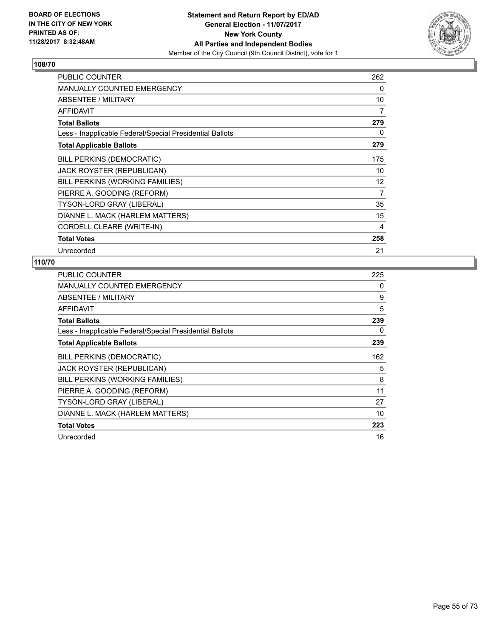

| <b>PUBLIC COUNTER</b>                                    | 262 |
|----------------------------------------------------------|-----|
| <b>MANUALLY COUNTED EMERGENCY</b>                        | 0   |
| ABSENTEE / MILITARY                                      | 10  |
| <b>AFFIDAVIT</b>                                         | 7   |
| <b>Total Ballots</b>                                     | 279 |
| Less - Inapplicable Federal/Special Presidential Ballots | 0   |
| <b>Total Applicable Ballots</b>                          | 279 |
| <b>BILL PERKINS (DEMOCRATIC)</b>                         | 175 |
| <b>JACK ROYSTER (REPUBLICAN)</b>                         | 10  |
| BILL PERKINS (WORKING FAMILIES)                          | 12  |
| PIERRE A. GOODING (REFORM)                               | 7   |
| TYSON-LORD GRAY (LIBERAL)                                | 35  |
| DIANNE L. MACK (HARLEM MATTERS)                          | 15  |
| CORDELL CLEARE (WRITE-IN)                                | 4   |
| <b>Total Votes</b>                                       | 258 |
| Unrecorded                                               | 21  |

| <b>PUBLIC COUNTER</b>                                    | 225 |
|----------------------------------------------------------|-----|
| MANUALLY COUNTED EMERGENCY                               | 0   |
| ABSENTEE / MILITARY                                      | 9   |
| <b>AFFIDAVIT</b>                                         | 5   |
| <b>Total Ballots</b>                                     | 239 |
| Less - Inapplicable Federal/Special Presidential Ballots | 0   |
| <b>Total Applicable Ballots</b>                          | 239 |
| <b>BILL PERKINS (DEMOCRATIC)</b>                         | 162 |
| <b>JACK ROYSTER (REPUBLICAN)</b>                         | 5   |
| BILL PERKINS (WORKING FAMILIES)                          | 8   |
| PIERRE A. GOODING (REFORM)                               | 11  |
| <b>TYSON-LORD GRAY (LIBERAL)</b>                         | 27  |
| DIANNE L. MACK (HARLEM MATTERS)                          | 10  |
| <b>Total Votes</b>                                       | 223 |
| Unrecorded                                               | 16  |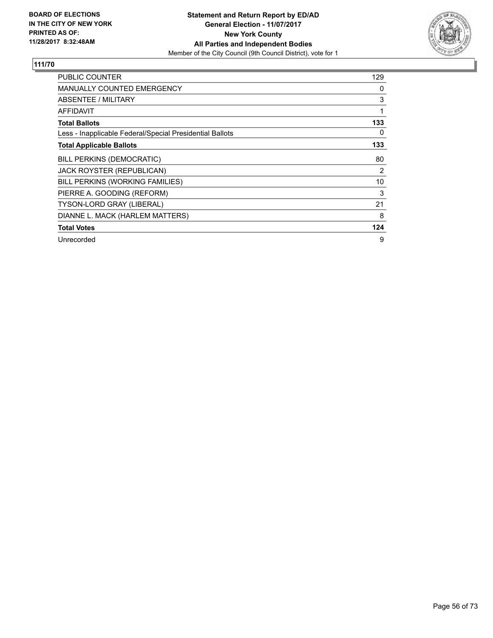

| <b>PUBLIC COUNTER</b>                                    | 129 |
|----------------------------------------------------------|-----|
| <b>MANUALLY COUNTED EMERGENCY</b>                        | 0   |
| ABSENTEE / MILITARY                                      | 3   |
| AFFIDAVIT                                                | 1   |
| <b>Total Ballots</b>                                     | 133 |
| Less - Inapplicable Federal/Special Presidential Ballots | 0   |
| <b>Total Applicable Ballots</b>                          | 133 |
| BILL PERKINS (DEMOCRATIC)                                | 80  |
| <b>JACK ROYSTER (REPUBLICAN)</b>                         | 2   |
| BILL PERKINS (WORKING FAMILIES)                          | 10  |
| PIERRE A. GOODING (REFORM)                               | 3   |
| <b>TYSON-LORD GRAY (LIBERAL)</b>                         | 21  |
| DIANNE L. MACK (HARLEM MATTERS)                          | 8   |
| <b>Total Votes</b>                                       | 124 |
| Unrecorded                                               | 9   |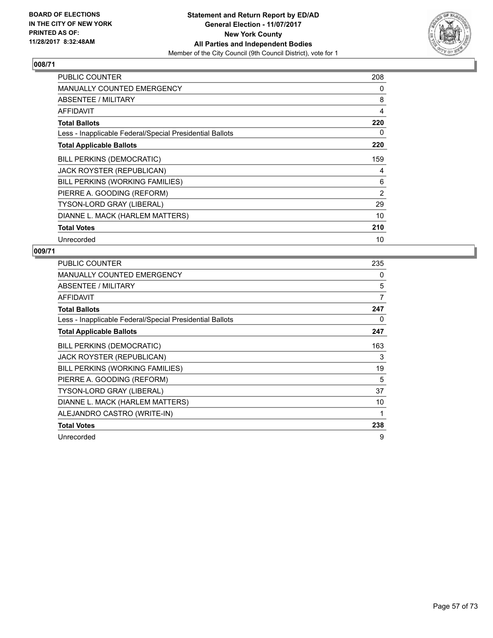

| <b>PUBLIC COUNTER</b>                                    | 208 |
|----------------------------------------------------------|-----|
| <b>MANUALLY COUNTED EMERGENCY</b>                        | 0   |
| ABSENTEE / MILITARY                                      | 8   |
| AFFIDAVIT                                                | 4   |
| <b>Total Ballots</b>                                     | 220 |
| Less - Inapplicable Federal/Special Presidential Ballots | 0   |
| <b>Total Applicable Ballots</b>                          | 220 |
| <b>BILL PERKINS (DEMOCRATIC)</b>                         | 159 |
| JACK ROYSTER (REPUBLICAN)                                | 4   |
| BILL PERKINS (WORKING FAMILIES)                          | 6   |
| PIERRE A. GOODING (REFORM)                               | 2   |
| TYSON-LORD GRAY (LIBERAL)                                | 29  |
| DIANNE L. MACK (HARLEM MATTERS)                          | 10  |
| <b>Total Votes</b>                                       | 210 |
| Unrecorded                                               | 10  |

| <b>PUBLIC COUNTER</b>                                    | 235 |
|----------------------------------------------------------|-----|
| MANUALLY COUNTED EMERGENCY                               | 0   |
| ABSENTEE / MILITARY                                      | 5   |
| <b>AFFIDAVIT</b>                                         | 7   |
| <b>Total Ballots</b>                                     | 247 |
| Less - Inapplicable Federal/Special Presidential Ballots | 0   |
| <b>Total Applicable Ballots</b>                          | 247 |
| BILL PERKINS (DEMOCRATIC)                                | 163 |
| JACK ROYSTER (REPUBLICAN)                                | 3   |
| BILL PERKINS (WORKING FAMILIES)                          | 19  |
| PIERRE A. GOODING (REFORM)                               | 5   |
| TYSON-LORD GRAY (LIBERAL)                                | 37  |
| DIANNE L. MACK (HARLEM MATTERS)                          | 10  |
| ALEJANDRO CASTRO (WRITE-IN)                              | 1   |
| <b>Total Votes</b>                                       | 238 |
| Unrecorded                                               | 9   |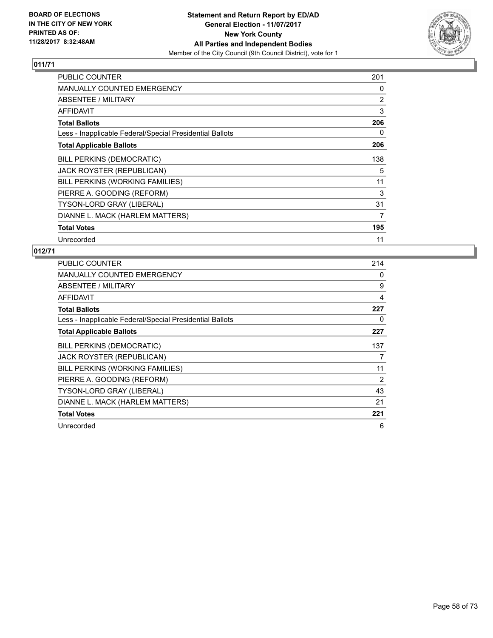

| <b>PUBLIC COUNTER</b>                                    | 201 |
|----------------------------------------------------------|-----|
| <b>MANUALLY COUNTED EMERGENCY</b>                        | 0   |
| ABSENTEE / MILITARY                                      | 2   |
| <b>AFFIDAVIT</b>                                         | 3   |
| <b>Total Ballots</b>                                     | 206 |
| Less - Inapplicable Federal/Special Presidential Ballots | 0   |
| <b>Total Applicable Ballots</b>                          | 206 |
| <b>BILL PERKINS (DEMOCRATIC)</b>                         | 138 |
| JACK ROYSTER (REPUBLICAN)                                | 5   |
| BILL PERKINS (WORKING FAMILIES)                          | 11  |
| PIERRE A. GOODING (REFORM)                               | 3   |
| <b>TYSON-LORD GRAY (LIBERAL)</b>                         | 31  |
| DIANNE L. MACK (HARLEM MATTERS)                          | 7   |
| <b>Total Votes</b>                                       | 195 |
| Unrecorded                                               | 11  |

| <b>PUBLIC COUNTER</b>                                    | 214 |
|----------------------------------------------------------|-----|
| <b>MANUALLY COUNTED EMERGENCY</b>                        | 0   |
| ABSENTEE / MILITARY                                      | 9   |
| AFFIDAVIT                                                | 4   |
| <b>Total Ballots</b>                                     | 227 |
| Less - Inapplicable Federal/Special Presidential Ballots | 0   |
| <b>Total Applicable Ballots</b>                          | 227 |
| <b>BILL PERKINS (DEMOCRATIC)</b>                         | 137 |
| JACK ROYSTER (REPUBLICAN)                                | 7   |
| BILL PERKINS (WORKING FAMILIES)                          | 11  |
| PIERRE A. GOODING (REFORM)                               | 2   |
| <b>TYSON-LORD GRAY (LIBERAL)</b>                         | 43  |
| DIANNE L. MACK (HARLEM MATTERS)                          | 21  |
| <b>Total Votes</b>                                       | 221 |
| Unrecorded                                               | 6   |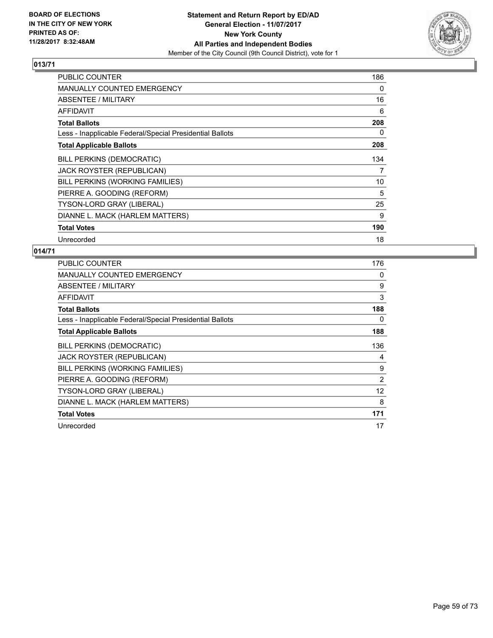

| <b>PUBLIC COUNTER</b>                                    | 186 |
|----------------------------------------------------------|-----|
| <b>MANUALLY COUNTED EMERGENCY</b>                        | 0   |
| ABSENTEE / MILITARY                                      | 16  |
| AFFIDAVIT                                                | 6   |
| <b>Total Ballots</b>                                     | 208 |
| Less - Inapplicable Federal/Special Presidential Ballots | 0   |
| <b>Total Applicable Ballots</b>                          | 208 |
| BILL PERKINS (DEMOCRATIC)                                | 134 |
| JACK ROYSTER (REPUBLICAN)                                | 7   |
| BILL PERKINS (WORKING FAMILIES)                          | 10  |
| PIERRE A. GOODING (REFORM)                               | 5   |
| <b>TYSON-LORD GRAY (LIBERAL)</b>                         | 25  |
| DIANNE L. MACK (HARLEM MATTERS)                          | 9   |
| <b>Total Votes</b>                                       | 190 |
| Unrecorded                                               | 18  |

| <b>PUBLIC COUNTER</b>                                    | 176            |
|----------------------------------------------------------|----------------|
| <b>MANUALLY COUNTED EMERGENCY</b>                        | 0              |
| ABSENTEE / MILITARY                                      | 9              |
| AFFIDAVIT                                                | 3              |
| <b>Total Ballots</b>                                     | 188            |
| Less - Inapplicable Federal/Special Presidential Ballots | 0              |
| <b>Total Applicable Ballots</b>                          | 188            |
| <b>BILL PERKINS (DEMOCRATIC)</b>                         | 136            |
| JACK ROYSTER (REPUBLICAN)                                | 4              |
| BILL PERKINS (WORKING FAMILIES)                          | 9              |
| PIERRE A. GOODING (REFORM)                               | $\overline{2}$ |
| TYSON-LORD GRAY (LIBERAL)                                | 12             |
| DIANNE L. MACK (HARLEM MATTERS)                          | 8              |
| <b>Total Votes</b>                                       | 171            |
| Unrecorded                                               | 17             |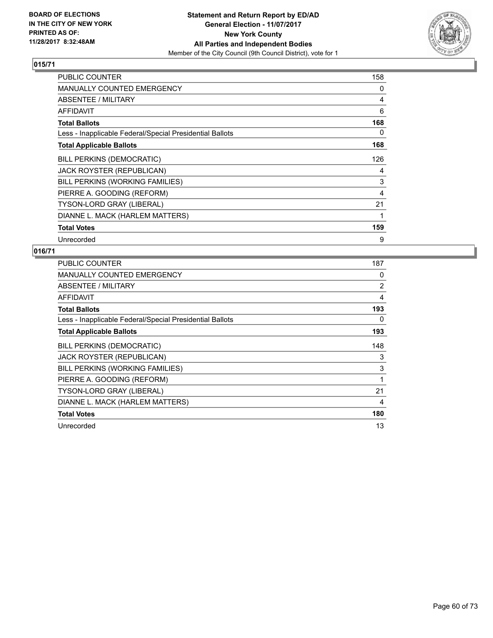

| <b>PUBLIC COUNTER</b>                                    | 158 |
|----------------------------------------------------------|-----|
| <b>MANUALLY COUNTED EMERGENCY</b>                        | 0   |
| ABSENTEE / MILITARY                                      | 4   |
| AFFIDAVIT                                                | 6   |
| <b>Total Ballots</b>                                     | 168 |
| Less - Inapplicable Federal/Special Presidential Ballots | 0   |
| <b>Total Applicable Ballots</b>                          | 168 |
| <b>BILL PERKINS (DEMOCRATIC)</b>                         | 126 |
| JACK ROYSTER (REPUBLICAN)                                | 4   |
| BILL PERKINS (WORKING FAMILIES)                          | 3   |
| PIERRE A. GOODING (REFORM)                               | 4   |
| TYSON-LORD GRAY (LIBERAL)                                | 21  |
| DIANNE L. MACK (HARLEM MATTERS)                          |     |
| <b>Total Votes</b>                                       | 159 |
| Unrecorded                                               | 9   |

| <b>PUBLIC COUNTER</b>                                    | 187            |
|----------------------------------------------------------|----------------|
| <b>MANUALLY COUNTED EMERGENCY</b>                        | 0              |
| ABSENTEE / MILITARY                                      | $\overline{2}$ |
| <b>AFFIDAVIT</b>                                         | 4              |
| <b>Total Ballots</b>                                     | 193            |
| Less - Inapplicable Federal/Special Presidential Ballots | 0              |
| <b>Total Applicable Ballots</b>                          | 193            |
| <b>BILL PERKINS (DEMOCRATIC)</b>                         | 148            |
| JACK ROYSTER (REPUBLICAN)                                | 3              |
| BILL PERKINS (WORKING FAMILIES)                          | 3              |
| PIERRE A. GOODING (REFORM)                               | 1              |
| <b>TYSON-LORD GRAY (LIBERAL)</b>                         | 21             |
| DIANNE L. MACK (HARLEM MATTERS)                          | 4              |
| <b>Total Votes</b>                                       | 180            |
| Unrecorded                                               | 13             |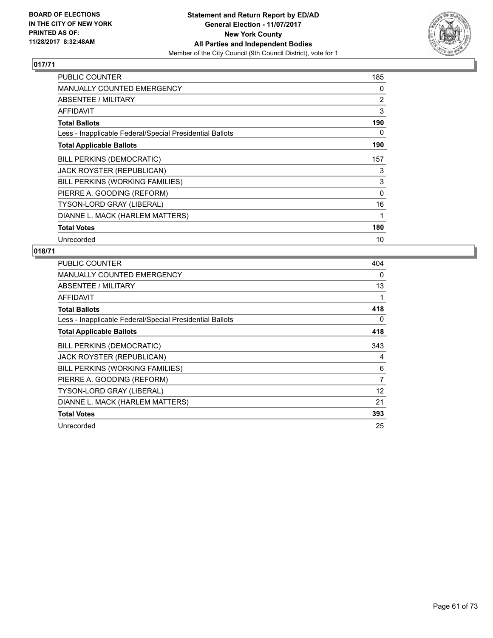

| <b>PUBLIC COUNTER</b>                                    | 185      |
|----------------------------------------------------------|----------|
| <b>MANUALLY COUNTED EMERGENCY</b>                        | 0        |
| ABSENTEE / MILITARY                                      | 2        |
| <b>AFFIDAVIT</b>                                         | 3        |
| <b>Total Ballots</b>                                     | 190      |
| Less - Inapplicable Federal/Special Presidential Ballots | 0        |
| <b>Total Applicable Ballots</b>                          | 190      |
| BILL PERKINS (DEMOCRATIC)                                | 157      |
| JACK ROYSTER (REPUBLICAN)                                | 3        |
| BILL PERKINS (WORKING FAMILIES)                          | 3        |
| PIERRE A. GOODING (REFORM)                               | $\Omega$ |
| <b>TYSON-LORD GRAY (LIBERAL)</b>                         | 16       |
| DIANNE L. MACK (HARLEM MATTERS)                          | 1        |
| <b>Total Votes</b>                                       | 180      |
| Unrecorded                                               | 10       |

| <b>PUBLIC COUNTER</b>                                    | 404            |
|----------------------------------------------------------|----------------|
| MANUALLY COUNTED EMERGENCY                               | 0              |
| ABSENTEE / MILITARY                                      | 13             |
| AFFIDAVIT                                                | 1              |
| <b>Total Ballots</b>                                     | 418            |
| Less - Inapplicable Federal/Special Presidential Ballots | 0              |
| <b>Total Applicable Ballots</b>                          | 418            |
| <b>BILL PERKINS (DEMOCRATIC)</b>                         | 343            |
| JACK ROYSTER (REPUBLICAN)                                | 4              |
| BILL PERKINS (WORKING FAMILIES)                          | 6              |
| PIERRE A. GOODING (REFORM)                               | $\overline{7}$ |
| <b>TYSON-LORD GRAY (LIBERAL)</b>                         | 12             |
| DIANNE L. MACK (HARLEM MATTERS)                          | 21             |
| <b>Total Votes</b>                                       | 393            |
| Unrecorded                                               | 25             |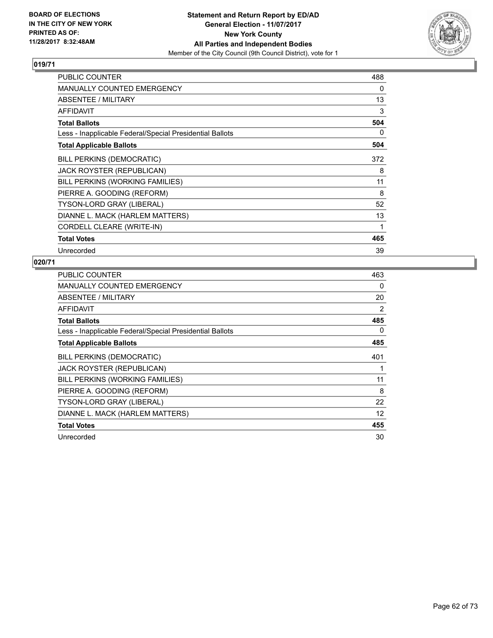

| <b>PUBLIC COUNTER</b>                                    | 488 |
|----------------------------------------------------------|-----|
| <b>MANUALLY COUNTED EMERGENCY</b>                        | 0   |
| ABSENTEE / MILITARY                                      | 13  |
| <b>AFFIDAVIT</b>                                         | 3   |
| <b>Total Ballots</b>                                     | 504 |
| Less - Inapplicable Federal/Special Presidential Ballots | 0   |
| <b>Total Applicable Ballots</b>                          | 504 |
| BILL PERKINS (DEMOCRATIC)                                | 372 |
| JACK ROYSTER (REPUBLICAN)                                | 8   |
| BILL PERKINS (WORKING FAMILIES)                          | 11  |
| PIERRE A. GOODING (REFORM)                               | 8   |
| TYSON-LORD GRAY (LIBERAL)                                | 52  |
| DIANNE L. MACK (HARLEM MATTERS)                          | 13  |
| CORDELL CLEARE (WRITE-IN)                                | 1   |
| <b>Total Votes</b>                                       | 465 |
| Unrecorded                                               | 39  |

| <b>PUBLIC COUNTER</b>                                    | 463 |
|----------------------------------------------------------|-----|
| <b>MANUALLY COUNTED EMERGENCY</b>                        | 0   |
| ABSENTEE / MILITARY                                      | 20  |
| AFFIDAVIT                                                | 2   |
| <b>Total Ballots</b>                                     | 485 |
| Less - Inapplicable Federal/Special Presidential Ballots | 0   |
| <b>Total Applicable Ballots</b>                          | 485 |
| <b>BILL PERKINS (DEMOCRATIC)</b>                         | 401 |
| <b>JACK ROYSTER (REPUBLICAN)</b>                         | 1   |
| BILL PERKINS (WORKING FAMILIES)                          | 11  |
| PIERRE A. GOODING (REFORM)                               | 8   |
| TYSON-LORD GRAY (LIBERAL)                                | 22  |
| DIANNE L. MACK (HARLEM MATTERS)                          | 12  |
| <b>Total Votes</b>                                       | 455 |
| Unrecorded                                               | 30  |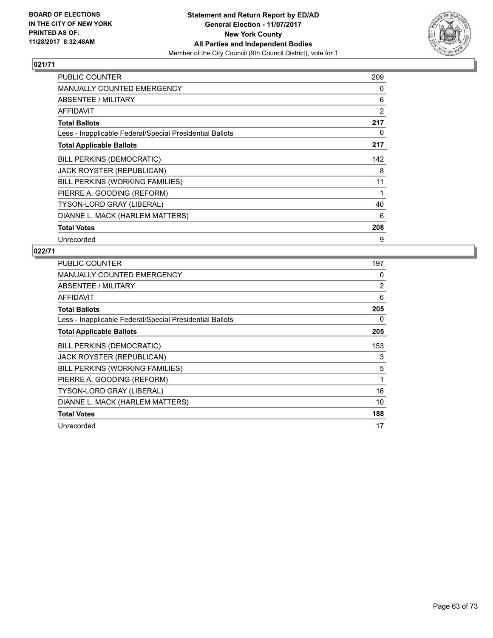

| <b>PUBLIC COUNTER</b>                                    | 209 |
|----------------------------------------------------------|-----|
| <b>MANUALLY COUNTED EMERGENCY</b>                        | 0   |
| ABSENTEE / MILITARY                                      | 6   |
| AFFIDAVIT                                                | 2   |
| <b>Total Ballots</b>                                     | 217 |
| Less - Inapplicable Federal/Special Presidential Ballots | 0   |
| <b>Total Applicable Ballots</b>                          | 217 |
| BILL PERKINS (DEMOCRATIC)                                | 142 |
| JACK ROYSTER (REPUBLICAN)                                | 8   |
| BILL PERKINS (WORKING FAMILIES)                          | 11  |
| PIERRE A. GOODING (REFORM)                               | 1   |
| <b>TYSON-LORD GRAY (LIBERAL)</b>                         | 40  |
| DIANNE L. MACK (HARLEM MATTERS)                          | 6   |
| <b>Total Votes</b>                                       | 208 |
| Unrecorded                                               | 9   |

| <b>PUBLIC COUNTER</b>                                    | 197 |
|----------------------------------------------------------|-----|
| <b>MANUALLY COUNTED EMERGENCY</b>                        | 0   |
| ABSENTEE / MILITARY                                      | 2   |
| AFFIDAVIT                                                | 6   |
| <b>Total Ballots</b>                                     | 205 |
| Less - Inapplicable Federal/Special Presidential Ballots | 0   |
| <b>Total Applicable Ballots</b>                          | 205 |
| <b>BILL PERKINS (DEMOCRATIC)</b>                         | 153 |
| JACK ROYSTER (REPUBLICAN)                                | 3   |
| BILL PERKINS (WORKING FAMILIES)                          | 5   |
| PIERRE A. GOODING (REFORM)                               | 1   |
| <b>TYSON-LORD GRAY (LIBERAL)</b>                         | 16  |
| DIANNE L. MACK (HARLEM MATTERS)                          | 10  |
| <b>Total Votes</b>                                       | 188 |
| Unrecorded                                               | 17  |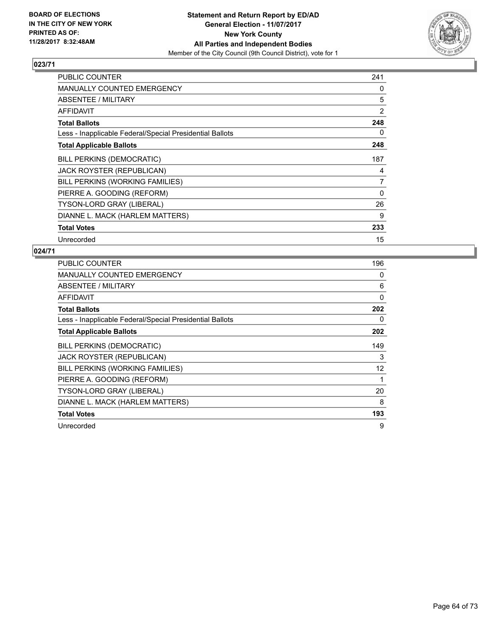

| <b>PUBLIC COUNTER</b>                                    | 241 |
|----------------------------------------------------------|-----|
| <b>MANUALLY COUNTED EMERGENCY</b>                        | 0   |
| ABSENTEE / MILITARY                                      | 5   |
| AFFIDAVIT                                                | 2   |
| <b>Total Ballots</b>                                     | 248 |
| Less - Inapplicable Federal/Special Presidential Ballots | 0   |
| <b>Total Applicable Ballots</b>                          | 248 |
| <b>BILL PERKINS (DEMOCRATIC)</b>                         | 187 |
| JACK ROYSTER (REPUBLICAN)                                | 4   |
| BILL PERKINS (WORKING FAMILIES)                          | 7   |
| PIERRE A. GOODING (REFORM)                               | 0   |
| TYSON-LORD GRAY (LIBERAL)                                | 26  |
| DIANNE L. MACK (HARLEM MATTERS)                          | 9   |
| <b>Total Votes</b>                                       | 233 |
| Unrecorded                                               | 15  |

| <b>PUBLIC COUNTER</b>                                    | 196 |
|----------------------------------------------------------|-----|
| <b>MANUALLY COUNTED EMERGENCY</b>                        | 0   |
| ABSENTEE / MILITARY                                      | 6   |
| AFFIDAVIT                                                | 0   |
| <b>Total Ballots</b>                                     | 202 |
| Less - Inapplicable Federal/Special Presidential Ballots | 0   |
| <b>Total Applicable Ballots</b>                          | 202 |
| <b>BILL PERKINS (DEMOCRATIC)</b>                         | 149 |
| JACK ROYSTER (REPUBLICAN)                                | 3   |
| BILL PERKINS (WORKING FAMILIES)                          | 12  |
| PIERRE A. GOODING (REFORM)                               | 1   |
| <b>TYSON-LORD GRAY (LIBERAL)</b>                         | 20  |
| DIANNE L. MACK (HARLEM MATTERS)                          | 8   |
| <b>Total Votes</b>                                       | 193 |
| Unrecorded                                               | 9   |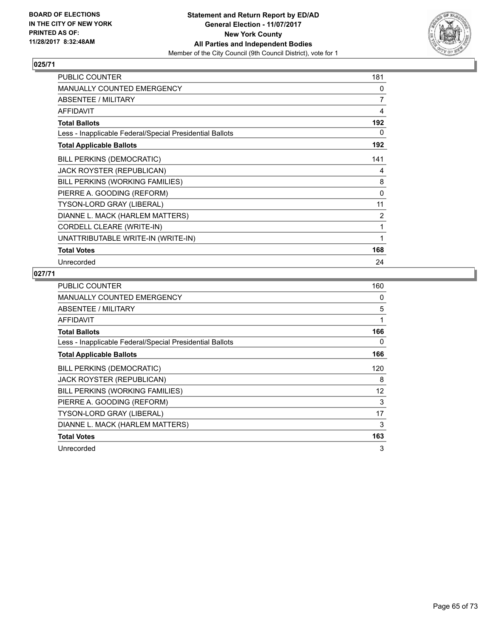

| PUBLIC COUNTER                                           | 181 |
|----------------------------------------------------------|-----|
| <b>MANUALLY COUNTED EMERGENCY</b>                        | 0   |
| ABSENTEE / MILITARY                                      | 7   |
| <b>AFFIDAVIT</b>                                         | 4   |
| <b>Total Ballots</b>                                     | 192 |
| Less - Inapplicable Federal/Special Presidential Ballots | 0   |
| <b>Total Applicable Ballots</b>                          | 192 |
| <b>BILL PERKINS (DEMOCRATIC)</b>                         | 141 |
| <b>JACK ROYSTER (REPUBLICAN)</b>                         | 4   |
| BILL PERKINS (WORKING FAMILIES)                          | 8   |
| PIERRE A. GOODING (REFORM)                               | 0   |
| TYSON-LORD GRAY (LIBERAL)                                | 11  |
| DIANNE L. MACK (HARLEM MATTERS)                          | 2   |
| CORDELL CLEARE (WRITE-IN)                                | 1   |
| UNATTRIBUTABLE WRITE-IN (WRITE-IN)                       | 1   |
| <b>Total Votes</b>                                       | 168 |
| Unrecorded                                               | 24  |

| <b>PUBLIC COUNTER</b>                                    | 160               |
|----------------------------------------------------------|-------------------|
| MANUALLY COUNTED EMERGENCY                               | 0                 |
| ABSENTEE / MILITARY                                      | 5                 |
| <b>AFFIDAVIT</b>                                         | 1                 |
| <b>Total Ballots</b>                                     | 166               |
| Less - Inapplicable Federal/Special Presidential Ballots | 0                 |
| <b>Total Applicable Ballots</b>                          | 166               |
| <b>BILL PERKINS (DEMOCRATIC)</b>                         | 120               |
| <b>JACK ROYSTER (REPUBLICAN)</b>                         | 8                 |
| BILL PERKINS (WORKING FAMILIES)                          | $12 \overline{ }$ |
| PIERRE A. GOODING (REFORM)                               | 3                 |
| <b>TYSON-LORD GRAY (LIBERAL)</b>                         | 17                |
| DIANNE L. MACK (HARLEM MATTERS)                          | 3                 |
| <b>Total Votes</b>                                       | 163               |
| Unrecorded                                               | 3                 |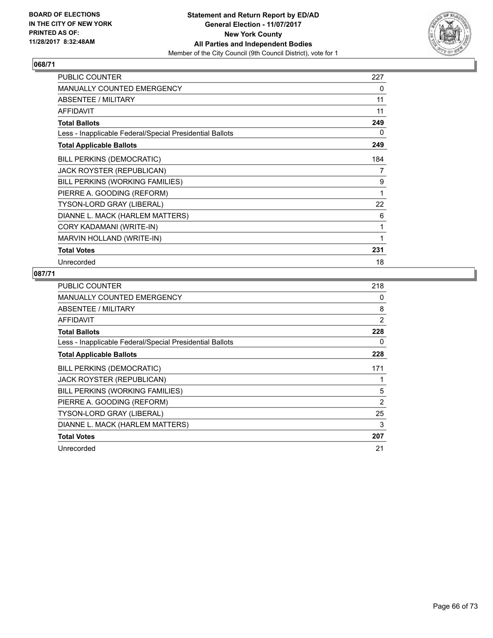

| <b>PUBLIC COUNTER</b>                                    | 227 |
|----------------------------------------------------------|-----|
| <b>MANUALLY COUNTED EMERGENCY</b>                        | 0   |
| ABSENTEE / MILITARY                                      | 11  |
| <b>AFFIDAVIT</b>                                         | 11  |
| <b>Total Ballots</b>                                     | 249 |
| Less - Inapplicable Federal/Special Presidential Ballots | 0   |
| <b>Total Applicable Ballots</b>                          | 249 |
| <b>BILL PERKINS (DEMOCRATIC)</b>                         | 184 |
| <b>JACK ROYSTER (REPUBLICAN)</b>                         | 7   |
| BILL PERKINS (WORKING FAMILIES)                          | 9   |
| PIERRE A. GOODING (REFORM)                               | 1   |
| TYSON-LORD GRAY (LIBERAL)                                | 22  |
| DIANNE L. MACK (HARLEM MATTERS)                          | 6   |
| CORY KADAMANI (WRITE-IN)                                 | 1   |
| MARVIN HOLLAND (WRITE-IN)                                | 1   |
| <b>Total Votes</b>                                       | 231 |
| Unrecorded                                               | 18  |

| <b>PUBLIC COUNTER</b>                                    | 218 |
|----------------------------------------------------------|-----|
| <b>MANUALLY COUNTED EMERGENCY</b>                        | 0   |
| ABSENTEE / MILITARY                                      | 8   |
| AFFIDAVIT                                                | 2   |
| <b>Total Ballots</b>                                     | 228 |
| Less - Inapplicable Federal/Special Presidential Ballots | 0   |
| <b>Total Applicable Ballots</b>                          | 228 |
| BILL PERKINS (DEMOCRATIC)                                | 171 |
| <b>JACK ROYSTER (REPUBLICAN)</b>                         |     |
| BILL PERKINS (WORKING FAMILIES)                          | 5   |
| PIERRE A. GOODING (REFORM)                               | 2   |
| TYSON-LORD GRAY (LIBERAL)                                | 25  |
| DIANNE L. MACK (HARLEM MATTERS)                          | 3   |
| <b>Total Votes</b>                                       | 207 |
| Unrecorded                                               | 21  |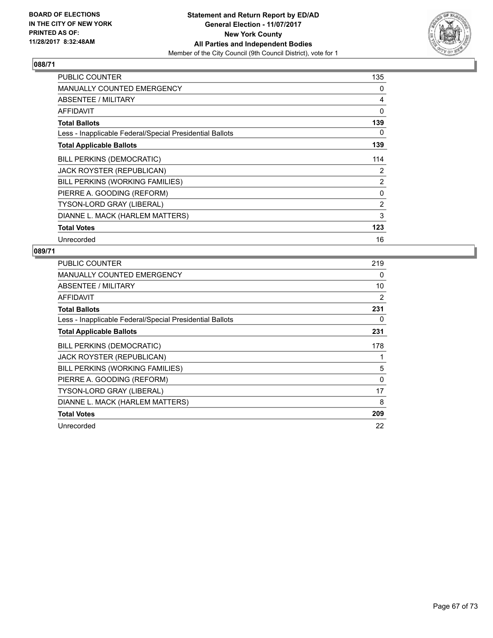

| <b>PUBLIC COUNTER</b>                                    | 135            |
|----------------------------------------------------------|----------------|
| <b>MANUALLY COUNTED EMERGENCY</b>                        | 0              |
| ABSENTEE / MILITARY                                      | 4              |
| <b>AFFIDAVIT</b>                                         | 0              |
| <b>Total Ballots</b>                                     | 139            |
| Less - Inapplicable Federal/Special Presidential Ballots | 0              |
| <b>Total Applicable Ballots</b>                          | 139            |
| <b>BILL PERKINS (DEMOCRATIC)</b>                         | 114            |
| JACK ROYSTER (REPUBLICAN)                                | 2              |
| BILL PERKINS (WORKING FAMILIES)                          | $\overline{2}$ |
| PIERRE A. GOODING (REFORM)                               | 0              |
| <b>TYSON-LORD GRAY (LIBERAL)</b>                         | $\overline{2}$ |
| DIANNE L. MACK (HARLEM MATTERS)                          | 3              |
| <b>Total Votes</b>                                       | 123            |
| Unrecorded                                               | 16             |

| <b>PUBLIC COUNTER</b>                                    | 219 |
|----------------------------------------------------------|-----|
| MANUALLY COUNTED EMERGENCY                               | 0   |
| ABSENTEE / MILITARY                                      | 10  |
| AFFIDAVIT                                                | 2   |
| <b>Total Ballots</b>                                     | 231 |
| Less - Inapplicable Federal/Special Presidential Ballots | 0   |
| <b>Total Applicable Ballots</b>                          | 231 |
| <b>BILL PERKINS (DEMOCRATIC)</b>                         | 178 |
| JACK ROYSTER (REPUBLICAN)                                |     |
| BILL PERKINS (WORKING FAMILIES)                          | 5   |
| PIERRE A. GOODING (REFORM)                               | 0   |
| TYSON-LORD GRAY (LIBERAL)                                | 17  |
| DIANNE L. MACK (HARLEM MATTERS)                          | 8   |
| <b>Total Votes</b>                                       | 209 |
| Unrecorded                                               | 22  |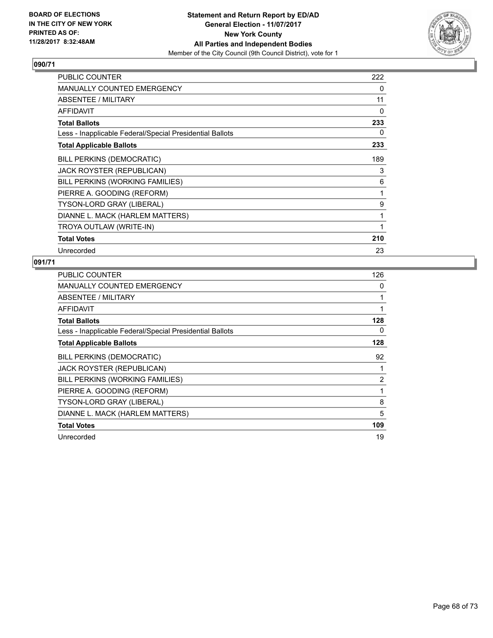

| <b>PUBLIC COUNTER</b>                                    | 222 |
|----------------------------------------------------------|-----|
| <b>MANUALLY COUNTED EMERGENCY</b>                        | 0   |
| ABSENTEE / MILITARY                                      | 11  |
| AFFIDAVIT                                                | 0   |
| <b>Total Ballots</b>                                     | 233 |
| Less - Inapplicable Federal/Special Presidential Ballots | 0   |
| <b>Total Applicable Ballots</b>                          | 233 |
| <b>BILL PERKINS (DEMOCRATIC)</b>                         | 189 |
| JACK ROYSTER (REPUBLICAN)                                | 3   |
| BILL PERKINS (WORKING FAMILIES)                          | 6   |
| PIERRE A. GOODING (REFORM)                               | 1   |
| <b>TYSON-LORD GRAY (LIBERAL)</b>                         | 9   |
| DIANNE L. MACK (HARLEM MATTERS)                          | 1   |
| TROYA OUTLAW (WRITE-IN)                                  | 1   |
| <b>Total Votes</b>                                       | 210 |
| Unrecorded                                               | 23  |

| <b>PUBLIC COUNTER</b>                                    | 126 |
|----------------------------------------------------------|-----|
| <b>MANUALLY COUNTED EMERGENCY</b>                        | 0   |
| ABSENTEE / MILITARY                                      | 1   |
| AFFIDAVIT                                                | 1   |
| <b>Total Ballots</b>                                     | 128 |
| Less - Inapplicable Federal/Special Presidential Ballots | 0   |
| <b>Total Applicable Ballots</b>                          | 128 |
| <b>BILL PERKINS (DEMOCRATIC)</b>                         | 92  |
| <b>JACK ROYSTER (REPUBLICAN)</b>                         | 1   |
| BILL PERKINS (WORKING FAMILIES)                          | 2   |
| PIERRE A. GOODING (REFORM)                               | 1   |
| <b>TYSON-LORD GRAY (LIBERAL)</b>                         | 8   |
| DIANNE L. MACK (HARLEM MATTERS)                          | 5   |
| <b>Total Votes</b>                                       | 109 |
| Unrecorded                                               | 19  |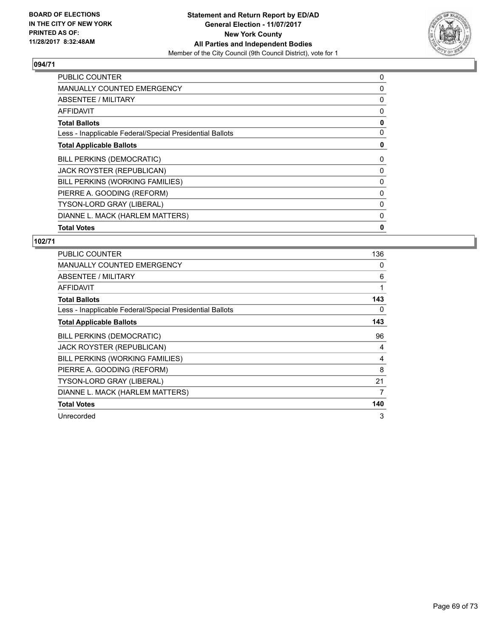

| <b>PUBLIC COUNTER</b>                                    | 0 |
|----------------------------------------------------------|---|
| <b>MANUALLY COUNTED EMERGENCY</b>                        | 0 |
| ABSENTEE / MILITARY                                      | 0 |
| AFFIDAVIT                                                | 0 |
| <b>Total Ballots</b>                                     | 0 |
| Less - Inapplicable Federal/Special Presidential Ballots | 0 |
| <b>Total Applicable Ballots</b>                          | 0 |
| BILL PERKINS (DEMOCRATIC)                                | 0 |
| JACK ROYSTER (REPUBLICAN)                                | 0 |
| BILL PERKINS (WORKING FAMILIES)                          | 0 |
| PIERRE A. GOODING (REFORM)                               | 0 |
| TYSON-LORD GRAY (LIBERAL)                                | 0 |
| DIANNE L. MACK (HARLEM MATTERS)                          | 0 |
| <b>Total Votes</b>                                       | 0 |

| <b>PUBLIC COUNTER</b>                                    | 136 |
|----------------------------------------------------------|-----|
| <b>MANUALLY COUNTED EMERGENCY</b>                        | 0   |
| ABSENTEE / MILITARY                                      | 6   |
| AFFIDAVIT                                                | 1   |
| <b>Total Ballots</b>                                     | 143 |
| Less - Inapplicable Federal/Special Presidential Ballots | 0   |
| <b>Total Applicable Ballots</b>                          | 143 |
| <b>BILL PERKINS (DEMOCRATIC)</b>                         | 96  |
| JACK ROYSTER (REPUBLICAN)                                | 4   |
| BILL PERKINS (WORKING FAMILIES)                          | 4   |
| PIERRE A. GOODING (REFORM)                               | 8   |
| <b>TYSON-LORD GRAY (LIBERAL)</b>                         | 21  |
| DIANNE L. MACK (HARLEM MATTERS)                          | 7   |
| <b>Total Votes</b>                                       | 140 |
| Unrecorded                                               | 3   |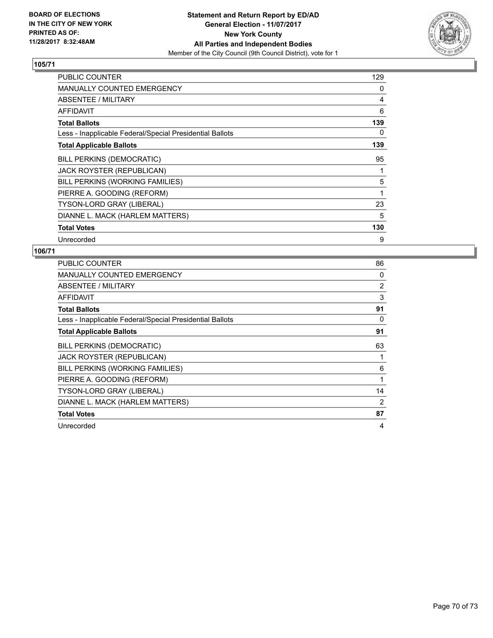

| <b>PUBLIC COUNTER</b>                                    | 129 |
|----------------------------------------------------------|-----|
| <b>MANUALLY COUNTED EMERGENCY</b>                        | 0   |
| ABSENTEE / MILITARY                                      | 4   |
| AFFIDAVIT                                                | 6   |
| <b>Total Ballots</b>                                     | 139 |
| Less - Inapplicable Federal/Special Presidential Ballots | 0   |
| <b>Total Applicable Ballots</b>                          | 139 |
| <b>BILL PERKINS (DEMOCRATIC)</b>                         | 95  |
| JACK ROYSTER (REPUBLICAN)                                | 1   |
| BILL PERKINS (WORKING FAMILIES)                          | 5   |
| PIERRE A. GOODING (REFORM)                               | 1   |
| TYSON-LORD GRAY (LIBERAL)                                | 23  |
| DIANNE L. MACK (HARLEM MATTERS)                          | 5   |
| <b>Total Votes</b>                                       | 130 |
| Unrecorded                                               | 9   |

| <b>PUBLIC COUNTER</b>                                    | 86             |
|----------------------------------------------------------|----------------|
| <b>MANUALLY COUNTED EMERGENCY</b>                        | 0              |
| ABSENTEE / MILITARY                                      | $\overline{2}$ |
| AFFIDAVIT                                                | 3              |
| <b>Total Ballots</b>                                     | 91             |
| Less - Inapplicable Federal/Special Presidential Ballots | 0              |
| <b>Total Applicable Ballots</b>                          | 91             |
| <b>BILL PERKINS (DEMOCRATIC)</b>                         | 63             |
| JACK ROYSTER (REPUBLICAN)                                |                |
| BILL PERKINS (WORKING FAMILIES)                          | 6              |
| PIERRE A. GOODING (REFORM)                               | 1              |
| <b>TYSON-LORD GRAY (LIBERAL)</b>                         | 14             |
| DIANNE L. MACK (HARLEM MATTERS)                          | 2              |
| <b>Total Votes</b>                                       | 87             |
| Unrecorded                                               | 4              |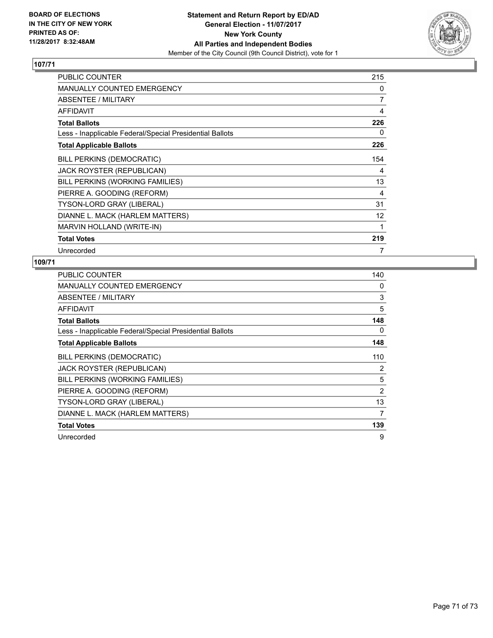

| <b>PUBLIC COUNTER</b>                                    | 215            |
|----------------------------------------------------------|----------------|
| <b>MANUALLY COUNTED EMERGENCY</b>                        | 0              |
| ABSENTEE / MILITARY                                      | $\overline{7}$ |
| <b>AFFIDAVIT</b>                                         | 4              |
| <b>Total Ballots</b>                                     | 226            |
| Less - Inapplicable Federal/Special Presidential Ballots | 0              |
| <b>Total Applicable Ballots</b>                          | 226            |
| <b>BILL PERKINS (DEMOCRATIC)</b>                         | 154            |
| JACK ROYSTER (REPUBLICAN)                                | 4              |
| BILL PERKINS (WORKING FAMILIES)                          | 13             |
| PIERRE A. GOODING (REFORM)                               | 4              |
| TYSON-LORD GRAY (LIBERAL)                                | 31             |
| DIANNE L. MACK (HARLEM MATTERS)                          | 12             |
| <b>MARVIN HOLLAND (WRITE-IN)</b>                         | 1              |
| <b>Total Votes</b>                                       | 219            |
| Unrecorded                                               | 7              |

| <b>PUBLIC COUNTER</b>                                    | 140 |
|----------------------------------------------------------|-----|
| <b>MANUALLY COUNTED EMERGENCY</b>                        | 0   |
| ABSENTEE / MILITARY                                      | 3   |
| <b>AFFIDAVIT</b>                                         | 5   |
| <b>Total Ballots</b>                                     | 148 |
| Less - Inapplicable Federal/Special Presidential Ballots | 0   |
| <b>Total Applicable Ballots</b>                          | 148 |
| BILL PERKINS (DEMOCRATIC)                                | 110 |
| <b>JACK ROYSTER (REPUBLICAN)</b>                         | 2   |
| BILL PERKINS (WORKING FAMILIES)                          | 5   |
| PIERRE A. GOODING (REFORM)                               | 2   |
| TYSON-LORD GRAY (LIBERAL)                                | 13  |
| DIANNE L. MACK (HARLEM MATTERS)                          | 7   |
| <b>Total Votes</b>                                       | 139 |
| Unrecorded                                               | 9   |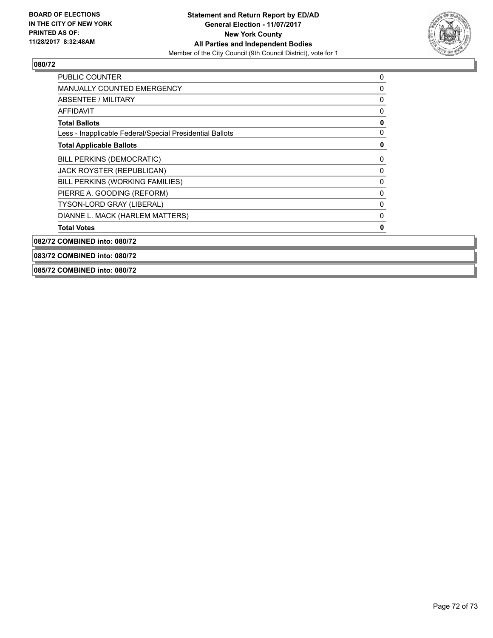

| <b>PUBLIC COUNTER</b>                                    | 0 |
|----------------------------------------------------------|---|
| <b>MANUALLY COUNTED EMERGENCY</b>                        | 0 |
| <b>ABSENTEE / MILITARY</b>                               | 0 |
| <b>AFFIDAVIT</b>                                         | 0 |
| <b>Total Ballots</b>                                     | 0 |
| Less - Inapplicable Federal/Special Presidential Ballots | 0 |
| <b>Total Applicable Ballots</b>                          | 0 |
| <b>BILL PERKINS (DEMOCRATIC)</b>                         | 0 |
| JACK ROYSTER (REPUBLICAN)                                | 0 |
| BILL PERKINS (WORKING FAMILIES)                          | 0 |
| PIERRE A. GOODING (REFORM)                               | 0 |
| TYSON-LORD GRAY (LIBERAL)                                | 0 |
| DIANNE L. MACK (HARLEM MATTERS)                          | 0 |
| <b>Total Votes</b>                                       | 0 |
| 082/72 COMBINED into: 080/72                             |   |

**083/72 COMBINED into: 080/72**

#### **085/72 COMBINED into: 080/72**